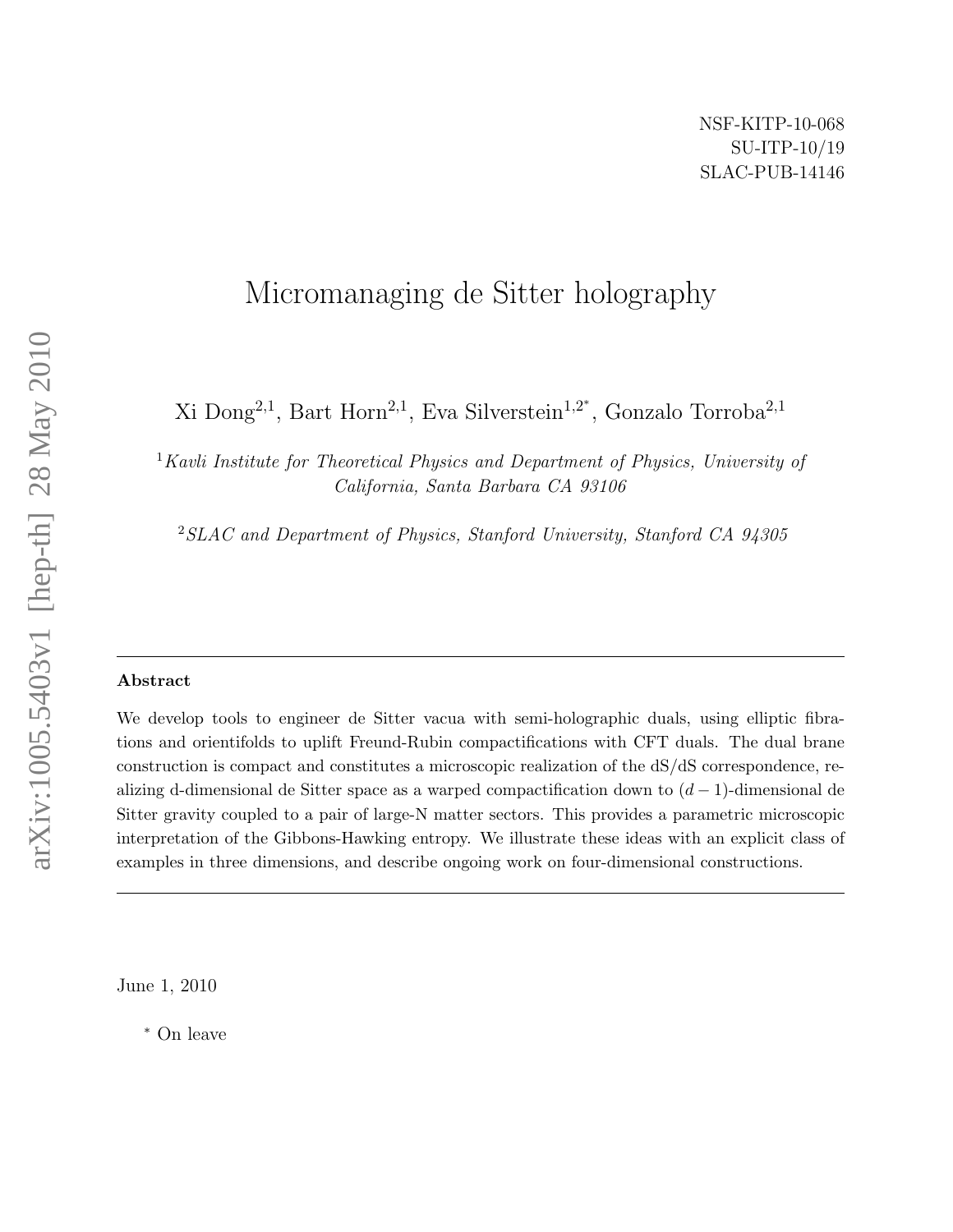# Micromanaging de Sitter holography

Xi Dong<sup>2,1</sup>, Bart Horn<sup>2,1</sup>, Eva Silverstein<sup>1,2\*</sup>, Gonzalo Torroba<sup>2,1</sup>

<sup>1</sup>Kavli Institute for Theoretical Physics and Department of Physics, University of California, Santa Barbara CA 93106

<sup>2</sup>SLAC and Department of Physics, Stanford University, Stanford CA 94305

#### Abstract

We develop tools to engineer de Sitter vacua with semi-holographic duals, using elliptic fibrations and orientifolds to uplift Freund-Rubin compactifications with CFT duals. The dual brane construction is compact and constitutes a microscopic realization of the dS/dS correspondence, realizing d-dimensional de Sitter space as a warped compactification down to  $(d-1)$ -dimensional de Sitter gravity coupled to a pair of large-N matter sectors. This provides a parametric microscopic interpretation of the Gibbons-Hawking entropy. We illustrate these ideas with an explicit class of examples in three dimensions, and describe ongoing work on four-dimensional constructions.

June 1, 2010

<sup>∗</sup> On leave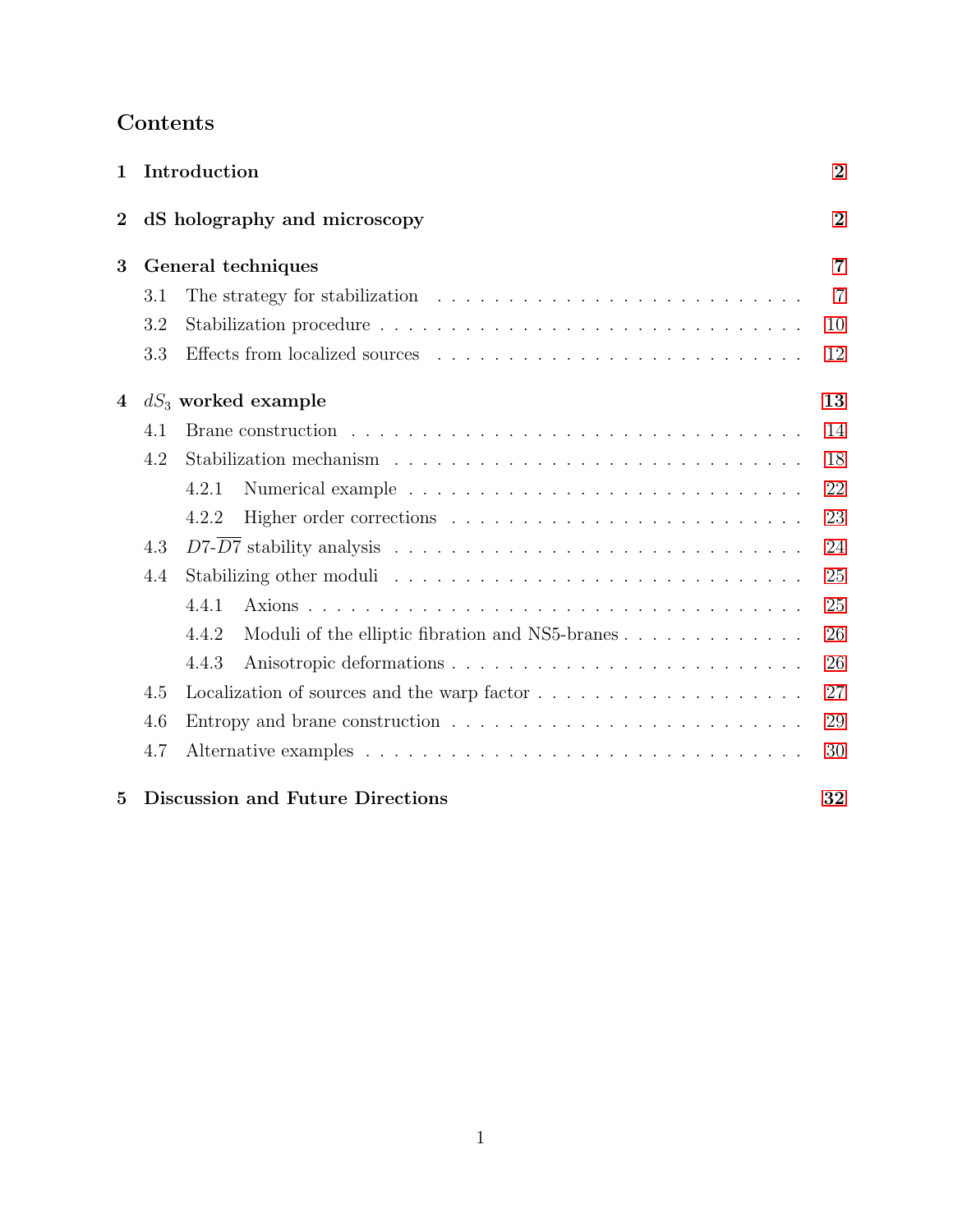## Contents

| 1              |     | Introduction                                                                             | $\overline{2}$ |  |  |
|----------------|-----|------------------------------------------------------------------------------------------|----------------|--|--|
| $\overline{2}$ |     | dS holography and microscopy                                                             | $\overline{2}$ |  |  |
| 3              |     | General techniques                                                                       | 7              |  |  |
|                | 3.1 | The strategy for stabilization $\ldots \ldots \ldots \ldots \ldots \ldots \ldots \ldots$ | $\overline{7}$ |  |  |
|                | 3.2 |                                                                                          | 10             |  |  |
|                | 3.3 |                                                                                          | 12             |  |  |
| 4              |     | $dS_3$ worked example                                                                    | 13             |  |  |
|                | 4.1 |                                                                                          | 14             |  |  |
|                | 4.2 |                                                                                          | 18             |  |  |
|                |     | 4.2.1                                                                                    | 22             |  |  |
|                |     | 4.2.2                                                                                    | 23             |  |  |
|                | 4.3 |                                                                                          | 24             |  |  |
| 4.4            |     |                                                                                          |                |  |  |
|                |     | 4.4.1                                                                                    | 25             |  |  |
|                |     | Moduli of the elliptic fibration and NS5-branes<br>4.4.2                                 | 26             |  |  |
|                |     | 4.4.3                                                                                    | 26             |  |  |
|                | 4.5 | Localization of sources and the warp factor $\dots \dots \dots \dots \dots \dots \dots$  | 27             |  |  |
|                | 4.6 | Entropy and brane construction $\ldots \ldots \ldots \ldots \ldots \ldots \ldots \ldots$ | 29             |  |  |
|                | 4.7 |                                                                                          | 30             |  |  |
| $\overline{5}$ |     | <b>Discussion and Future Directions</b>                                                  | 32             |  |  |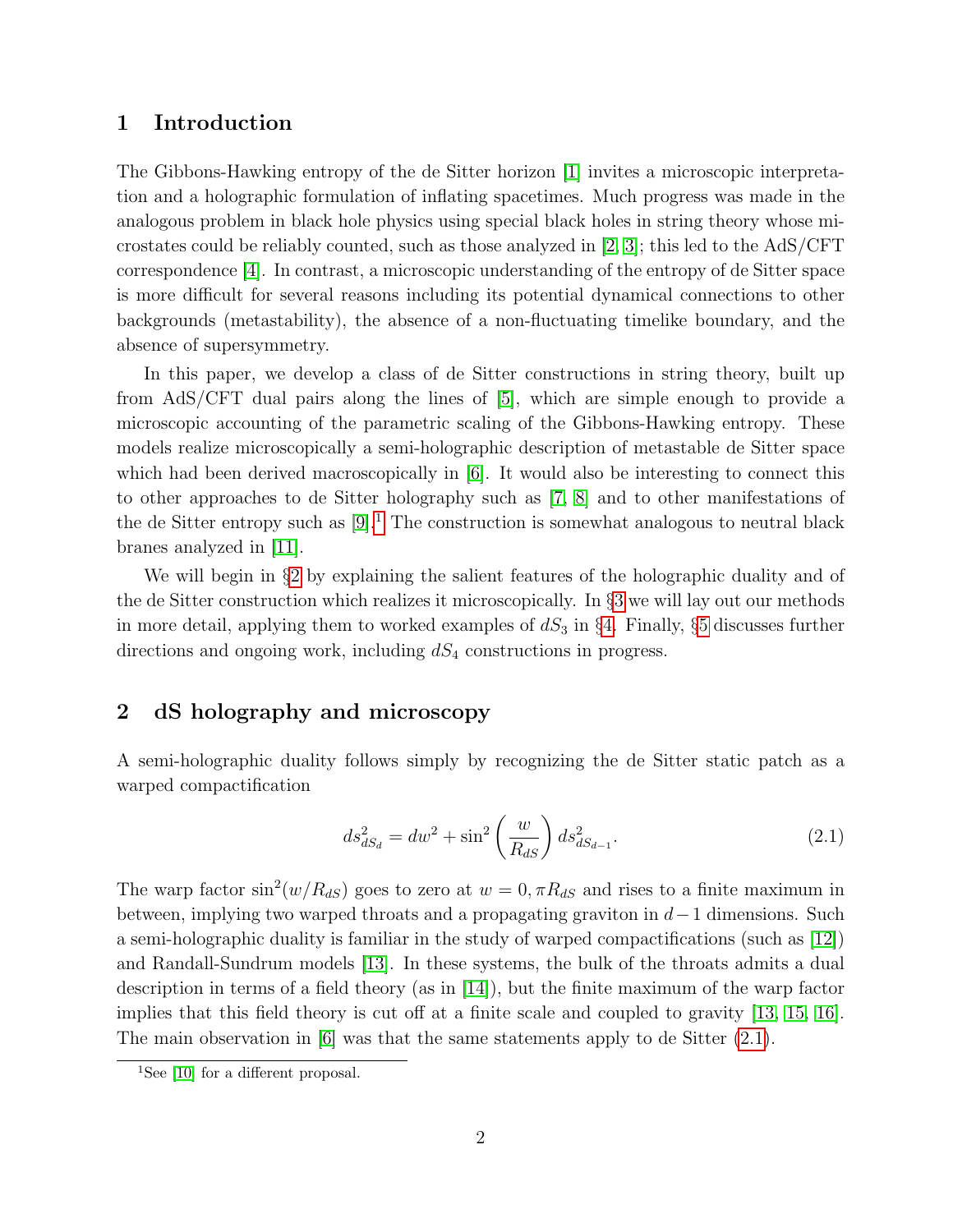## <span id="page-2-0"></span>1 Introduction

The Gibbons-Hawking entropy of the de Sitter horizon [\[1\]](#page-33-0) invites a microscopic interpretation and a holographic formulation of inflating spacetimes. Much progress was made in the analogous problem in black hole physics using special black holes in string theory whose microstates could be reliably counted, such as those analyzed in [\[2,](#page-33-1) [3\]](#page-33-2); this led to the AdS/CFT correspondence [\[4\]](#page-33-3). In contrast, a microscopic understanding of the entropy of de Sitter space is more difficult for several reasons including its potential dynamical connections to other backgrounds (metastability), the absence of a non-fluctuating timelike boundary, and the absence of supersymmetry.

In this paper, we develop a class of de Sitter constructions in string theory, built up from AdS/CFT dual pairs along the lines of [\[5\]](#page-33-4), which are simple enough to provide a microscopic accounting of the parametric scaling of the Gibbons-Hawking entropy. These models realize microscopically a semi-holographic description of metastable de Sitter space which had been derived macroscopically in [\[6\]](#page-33-5). It would also be interesting to connect this to other approaches to de Sitter holography such as [\[7,](#page-34-0) [8\]](#page-34-1) and to other manifestations of the de Sitter entropy such as  $[9]$ <sup>[1](#page-2-2)</sup>. The construction is somewhat analogous to neutral black branes analyzed in [\[11\]](#page-34-3).

We will begin in §[2](#page-2-1) by explaining the salient features of the holographic duality and of the de Sitter construction which realizes it microscopically. In §[3](#page-7-0) we will lay out our methods in more detail, applying them to worked examples of  $dS_3$  in §[4.](#page-13-0) Finally, §[5](#page-32-0) discusses further directions and ongoing work, including  $dS_4$  constructions in progress.

## <span id="page-2-1"></span>2 dS holography and microscopy

A semi-holographic duality follows simply by recognizing the de Sitter static patch as a warped compactification

<span id="page-2-3"></span>
$$
ds_{dS_d}^2 = dw^2 + \sin^2\left(\frac{w}{R_{dS}}\right) ds_{dS_{d-1}}^2.
$$
\n(2.1)

The warp factor  $\sin^2(w/R_{dS})$  goes to zero at  $w = 0, \pi R_{dS}$  and rises to a finite maximum in between, implying two warped throats and a propagating graviton in  $d-1$  dimensions. Such a semi-holographic duality is familiar in the study of warped compactifications (such as [\[12\]](#page-34-4)) and Randall-Sundrum models [\[13\]](#page-34-5). In these systems, the bulk of the throats admits a dual description in terms of a field theory (as in [\[14\]](#page-34-6)), but the finite maximum of the warp factor implies that this field theory is cut off at a finite scale and coupled to gravity [\[13,](#page-34-5) [15,](#page-34-7) [16\]](#page-34-8). The main observation in [\[6\]](#page-33-5) was that the same statements apply to de Sitter  $(2.1)$ .

<span id="page-2-2"></span><sup>&</sup>lt;sup>1</sup>See [\[10\]](#page-34-9) for a different proposal.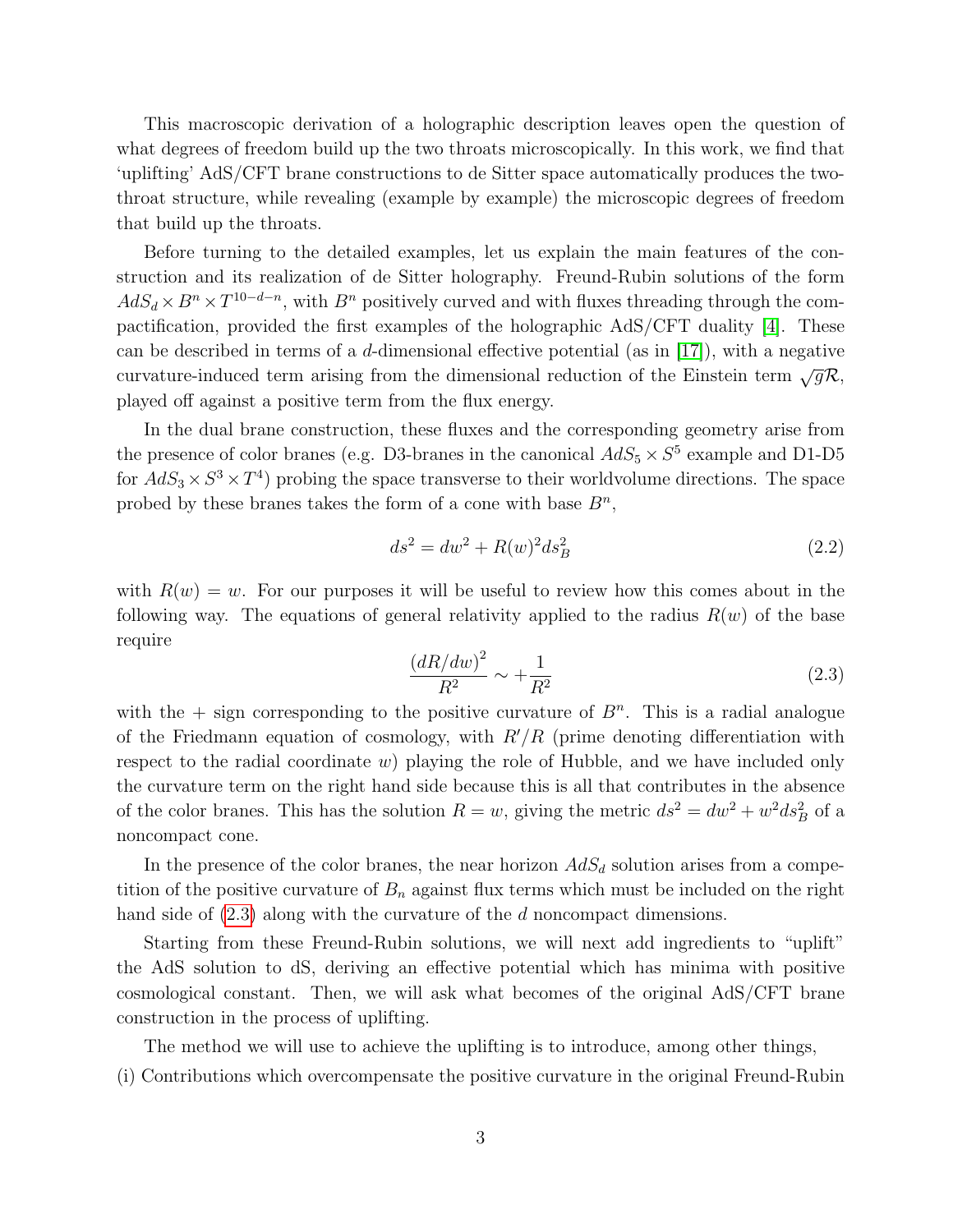This macroscopic derivation of a holographic description leaves open the question of what degrees of freedom build up the two throats microscopically. In this work, we find that 'uplifting' AdS/CFT brane constructions to de Sitter space automatically produces the twothroat structure, while revealing (example by example) the microscopic degrees of freedom that build up the throats.

Before turning to the detailed examples, let us explain the main features of the construction and its realization of de Sitter holography. Freund-Rubin solutions of the form  $AdS_d \times B^n \times T^{10-d-n}$ , with  $B^n$  positively curved and with fluxes threading through the compactification, provided the first examples of the holographic AdS/CFT duality [\[4\]](#page-33-3). These can be described in terms of a d-dimensional effective potential (as in  $[17]$ ), with a negative curvature-induced term arising from the dimensional reduction of the Einstein term  $\sqrt{gR}$ , played off against a positive term from the flux energy.

In the dual brane construction, these fluxes and the corresponding geometry arise from the presence of color branes (e.g. D3-branes in the canonical  $AdS_5 \times S^5$  example and D1-D5 for  $AdS_3 \times S^3 \times T^4$  probing the space transverse to their worldvolume directions. The space probed by these branes takes the form of a cone with base  $B<sup>n</sup>$ ,

$$
ds^2 = dw^2 + R(w)^2 ds_B^2
$$
\n(2.2)

with  $R(w) = w$ . For our purposes it will be useful to review how this comes about in the following way. The equations of general relativity applied to the radius  $R(w)$  of the base require

<span id="page-3-0"></span>
$$
\frac{(dR/dw)^2}{R^2} \sim +\frac{1}{R^2} \tag{2.3}
$$

with the  $+$  sign corresponding to the positive curvature of  $B<sup>n</sup>$ . This is a radial analogue of the Friedmann equation of cosmology, with  $R'/R$  (prime denoting differentiation with respect to the radial coordinate w) playing the role of Hubble, and we have included only the curvature term on the right hand side because this is all that contributes in the absence of the color branes. This has the solution  $R = w$ , giving the metric  $ds^2 = dw^2 + w^2 ds_B^2$  of a noncompact cone.

In the presence of the color branes, the near horizon  $AdS_d$  solution arises from a competition of the positive curvature of  $B_n$  against flux terms which must be included on the right hand side of  $(2.3)$  along with the curvature of the d noncompact dimensions.

Starting from these Freund-Rubin solutions, we will next add ingredients to "uplift" the AdS solution to dS, deriving an effective potential which has minima with positive cosmological constant. Then, we will ask what becomes of the original AdS/CFT brane construction in the process of uplifting.

The method we will use to achieve the uplifting is to introduce, among other things,

(i) Contributions which overcompensate the positive curvature in the original Freund-Rubin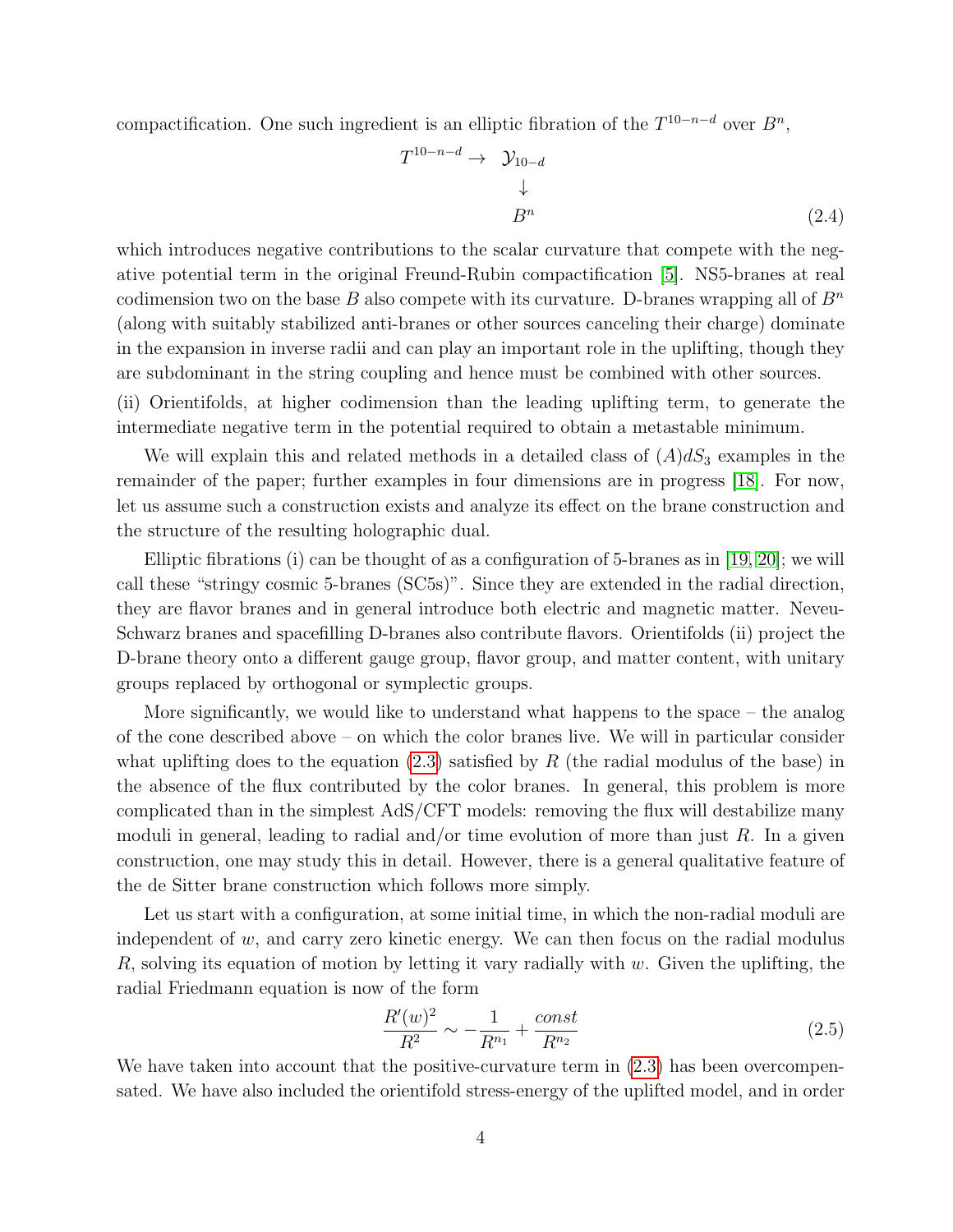compactification. One such ingredient is an elliptic fibration of the  $T^{10-n-d}$  over  $B^n$ ,

<span id="page-4-1"></span>
$$
T^{10-n-d} \rightarrow \mathcal{Y}_{10-d}
$$
\n
$$
\downarrow
$$
\n
$$
B^n \tag{2.4}
$$

which introduces negative contributions to the scalar curvature that compete with the negative potential term in the original Freund-Rubin compactification [\[5\]](#page-33-4). NS5-branes at real codimension two on the base B also compete with its curvature. D-branes wrapping all of  $B<sup>n</sup>$ (along with suitably stabilized anti-branes or other sources canceling their charge) dominate in the expansion in inverse radii and can play an important role in the uplifting, though they are subdominant in the string coupling and hence must be combined with other sources.

(ii) Orientifolds, at higher codimension than the leading uplifting term, to generate the intermediate negative term in the potential required to obtain a metastable minimum.

We will explain this and related methods in a detailed class of  $(A)dS_3$  examples in the remainder of the paper; further examples in four dimensions are in progress [\[18\]](#page-35-1). For now, let us assume such a construction exists and analyze its effect on the brane construction and the structure of the resulting holographic dual.

Elliptic fibrations (i) can be thought of as a configuration of 5-branes as in [\[19,](#page-35-2) [20\]](#page-35-3); we will call these "stringy cosmic 5-branes (SC5s)". Since they are extended in the radial direction, they are flavor branes and in general introduce both electric and magnetic matter. Neveu-Schwarz branes and spacefilling D-branes also contribute flavors. Orientifolds (ii) project the D-brane theory onto a different gauge group, flavor group, and matter content, with unitary groups replaced by orthogonal or symplectic groups.

More significantly, we would like to understand what happens to the space – the analog of the cone described above – on which the color branes live. We will in particular consider what uplifting does to the equation  $(2.3)$  satisfied by R (the radial modulus of the base) in the absence of the flux contributed by the color branes. In general, this problem is more complicated than in the simplest AdS/CFT models: removing the flux will destabilize many moduli in general, leading to radial and/or time evolution of more than just R. In a given construction, one may study this in detail. However, there is a general qualitative feature of the de Sitter brane construction which follows more simply.

Let us start with a configuration, at some initial time, in which the non-radial moduli are independent of  $w$ , and carry zero kinetic energy. We can then focus on the radial modulus R, solving its equation of motion by letting it vary radially with w. Given the uplifting, the radial Friedmann equation is now of the form

<span id="page-4-0"></span>
$$
\frac{R'(w)^2}{R^2} \sim -\frac{1}{R^{n_1}} + \frac{const}{R^{n_2}}\tag{2.5}
$$

We have taken into account that the positive-curvature term in  $(2.3)$  has been overcompensated. We have also included the orientifold stress-energy of the uplifted model, and in order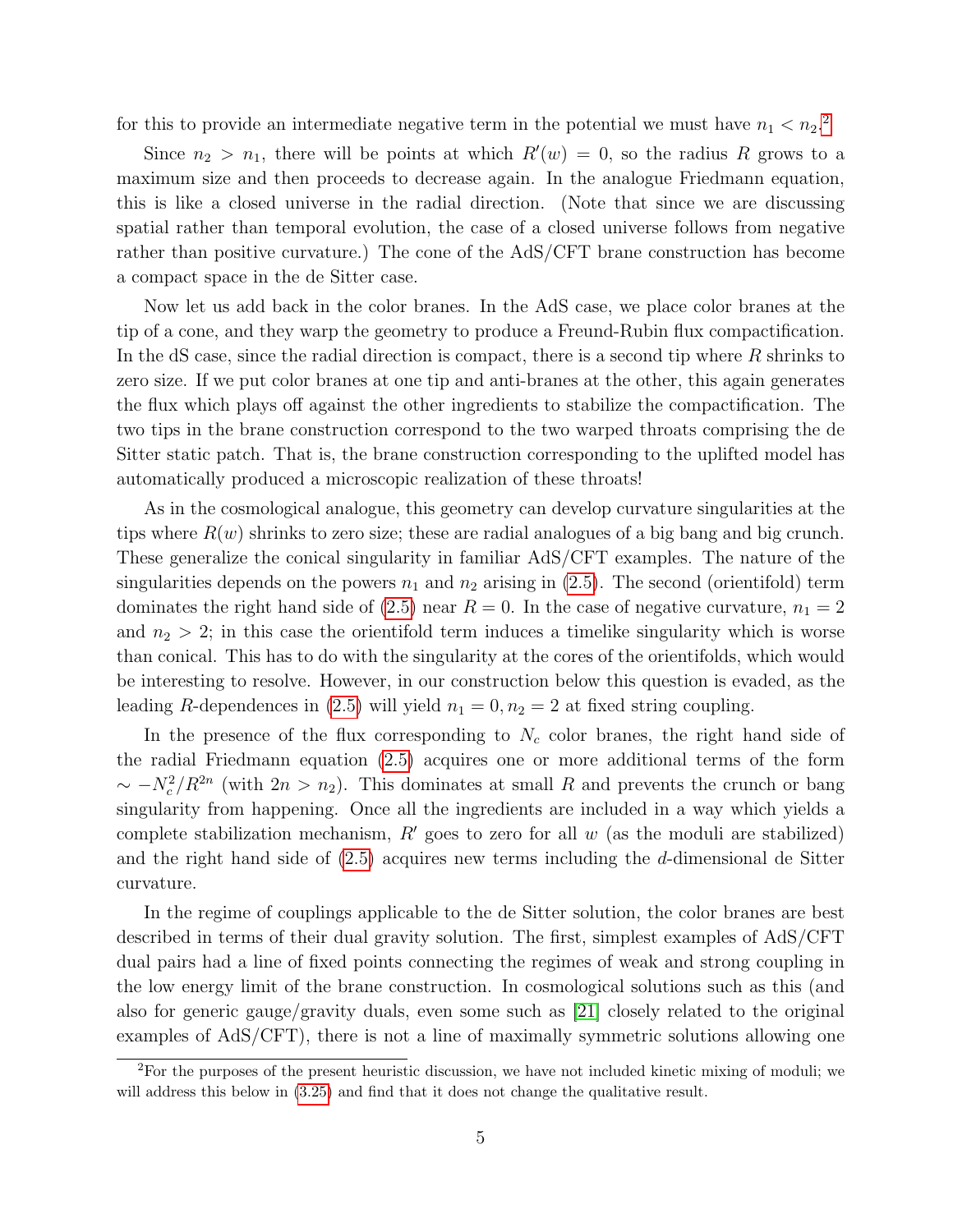for this to provide an intermediate negative term in the potential we must have  $n_1 < n_2$  $n_1 < n_2$ <sup>2</sup>.

Since  $n_2 > n_1$ , there will be points at which  $R'(w) = 0$ , so the radius R grows to a maximum size and then proceeds to decrease again. In the analogue Friedmann equation, this is like a closed universe in the radial direction. (Note that since we are discussing spatial rather than temporal evolution, the case of a closed universe follows from negative rather than positive curvature.) The cone of the AdS/CFT brane construction has become a compact space in the de Sitter case.

Now let us add back in the color branes. In the AdS case, we place color branes at the tip of a cone, and they warp the geometry to produce a Freund-Rubin flux compactification. In the dS case, since the radial direction is compact, there is a second tip where  $R$  shrinks to zero size. If we put color branes at one tip and anti-branes at the other, this again generates the flux which plays off against the other ingredients to stabilize the compactification. The two tips in the brane construction correspond to the two warped throats comprising the de Sitter static patch. That is, the brane construction corresponding to the uplifted model has automatically produced a microscopic realization of these throats!

As in the cosmological analogue, this geometry can develop curvature singularities at the tips where  $R(w)$  shrinks to zero size; these are radial analogues of a big bang and big crunch. These generalize the conical singularity in familiar AdS/CFT examples. The nature of the singularities depends on the powers  $n_1$  and  $n_2$  arising in [\(2.5\)](#page-4-0). The second (orientifold) term dominates the right hand side of [\(2.5\)](#page-4-0) near  $R = 0$ . In the case of negative curvature,  $n_1 = 2$ and  $n_2 > 2$ ; in this case the orientifold term induces a timelike singularity which is worse than conical. This has to do with the singularity at the cores of the orientifolds, which would be interesting to resolve. However, in our construction below this question is evaded, as the leading R-dependences in [\(2.5\)](#page-4-0) will yield  $n_1 = 0, n_2 = 2$  at fixed string coupling.

In the presence of the flux corresponding to  $N_c$  color branes, the right hand side of the radial Friedmann equation [\(2.5\)](#page-4-0) acquires one or more additional terms of the form  $\sim -N_c^2/R^{2n}$  (with  $2n > n_2$ ). This dominates at small R and prevents the crunch or bang singularity from happening. Once all the ingredients are included in a way which yields a complete stabilization mechanism,  $R'$  goes to zero for all w (as the moduli are stabilized) and the right hand side of  $(2.5)$  acquires new terms including the d-dimensional de Sitter curvature.

In the regime of couplings applicable to the de Sitter solution, the color branes are best described in terms of their dual gravity solution. The first, simplest examples of AdS/CFT dual pairs had a line of fixed points connecting the regimes of weak and strong coupling in the low energy limit of the brane construction. In cosmological solutions such as this (and also for generic gauge/gravity duals, even some such as [\[21\]](#page-35-4) closely related to the original examples of AdS/CFT), there is not a line of maximally symmetric solutions allowing one

<span id="page-5-0"></span><sup>&</sup>lt;sup>2</sup>For the purposes of the present heuristic discussion, we have not included kinetic mixing of moduli; we will address this below in  $(3.25)$  and find that it does not change the qualitative result.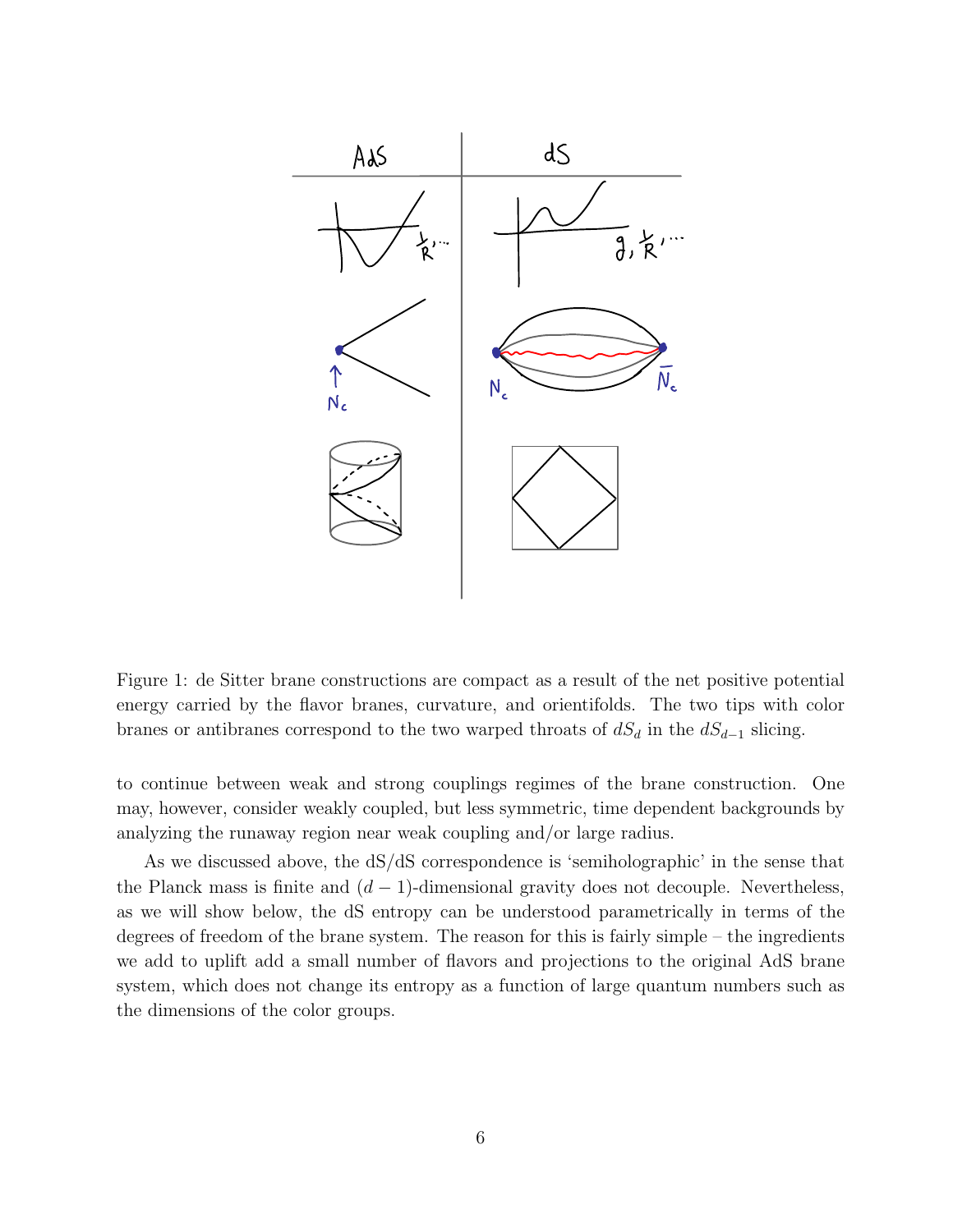

Figure 1: de Sitter brane constructions are compact as a result of the net positive potential energy carried by the flavor branes, curvature, and orientifolds. The two tips with color branes or antibranes correspond to the two warped throats of  $dS_d$  in the  $dS_{d-1}$  slicing.

to continue between weak and strong couplings regimes of the brane construction. One may, however, consider weakly coupled, but less symmetric, time dependent backgrounds by analyzing the runaway region near weak coupling and/or large radius.

As we discussed above, the dS/dS correspondence is 'semiholographic' in the sense that the Planck mass is finite and  $(d-1)$ -dimensional gravity does not decouple. Nevertheless, as we will show below, the dS entropy can be understood parametrically in terms of the degrees of freedom of the brane system. The reason for this is fairly simple – the ingredients we add to uplift add a small number of flavors and projections to the original AdS brane system, which does not change its entropy as a function of large quantum numbers such as the dimensions of the color groups.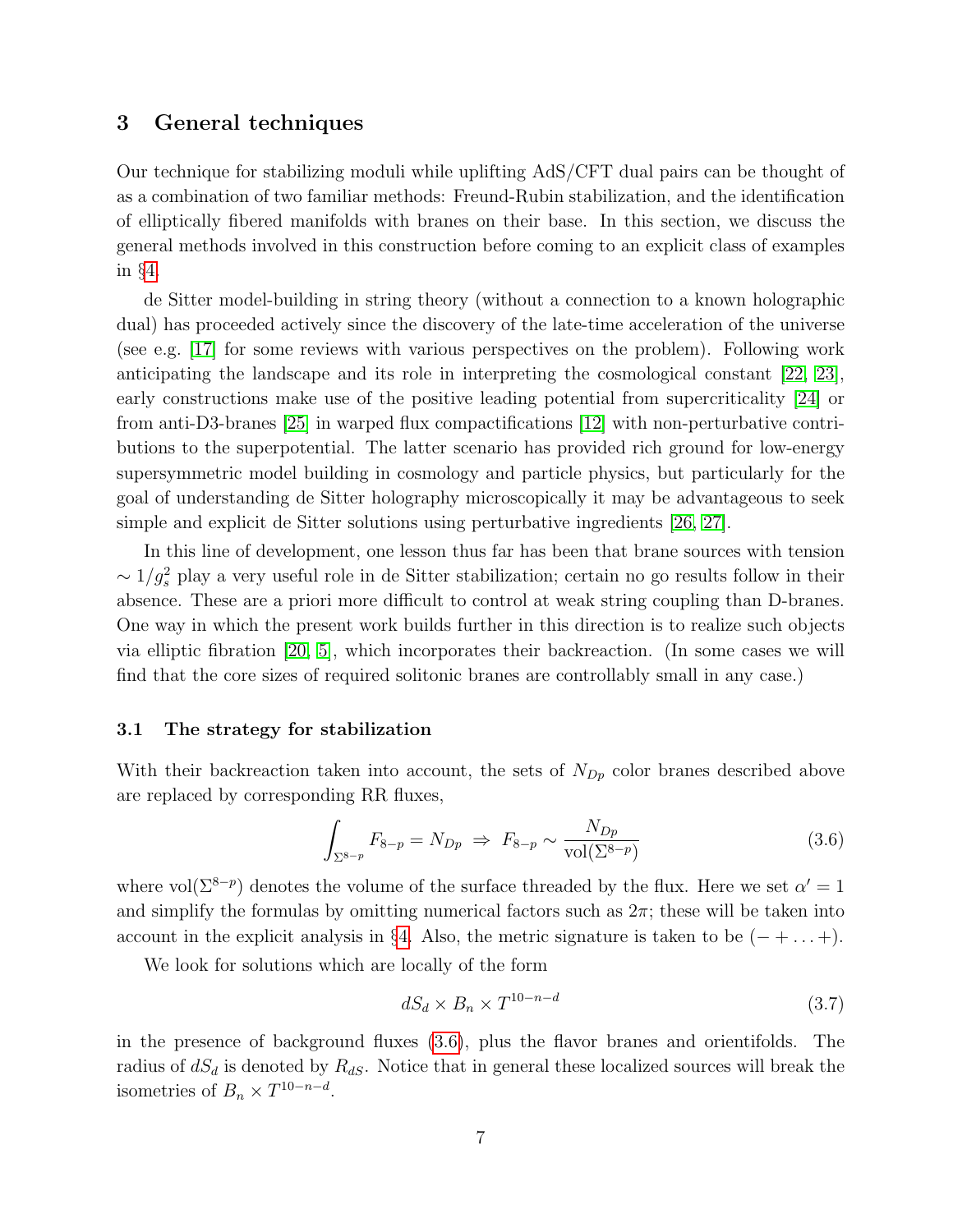## <span id="page-7-0"></span>3 General techniques

Our technique for stabilizing moduli while uplifting AdS/CFT dual pairs can be thought of as a combination of two familiar methods: Freund-Rubin stabilization, and the identification of elliptically fibered manifolds with branes on their base. In this section, we discuss the general methods involved in this construction before coming to an explicit class of examples in §[4.](#page-13-0)

de Sitter model-building in string theory (without a connection to a known holographic dual) has proceeded actively since the discovery of the late-time acceleration of the universe (see e.g. [\[17\]](#page-35-0) for some reviews with various perspectives on the problem). Following work anticipating the landscape and its role in interpreting the cosmological constant [\[22,](#page-35-5) [23\]](#page-35-6), early constructions make use of the positive leading potential from supercriticality [\[24\]](#page-35-7) or from anti-D3-branes [\[25\]](#page-36-0) in warped flux compactifications [\[12\]](#page-34-4) with non-perturbative contributions to the superpotential. The latter scenario has provided rich ground for low-energy supersymmetric model building in cosmology and particle physics, but particularly for the goal of understanding de Sitter holography microscopically it may be advantageous to seek simple and explicit de Sitter solutions using perturbative ingredients [\[26,](#page-36-1) [27\]](#page-36-2).

In this line of development, one lesson thus far has been that brane sources with tension  $\sim 1/g_s^2$  play a very useful role in de Sitter stabilization; certain no go results follow in their absence. These are a priori more difficult to control at weak string coupling than D-branes. One way in which the present work builds further in this direction is to realize such objects via elliptic fibration [\[20,](#page-35-3) [5\]](#page-33-4), which incorporates their backreaction. (In some cases we will find that the core sizes of required solitonic branes are controllably small in any case.)

#### <span id="page-7-1"></span>3.1 The strategy for stabilization

With their backreaction taken into account, the sets of  $N_{Dp}$  color branes described above are replaced by corresponding RR fluxes,

<span id="page-7-2"></span>
$$
\int_{\Sigma^{8-p}} F_{8-p} = N_{Dp} \Rightarrow F_{8-p} \sim \frac{N_{Dp}}{\text{vol}(\Sigma^{8-p})}
$$
\n(3.6)

where vol $(\Sigma^{8-p})$  denotes the volume of the surface threaded by the flux. Here we set  $\alpha' = 1$ and simplify the formulas by omitting numerical factors such as  $2\pi$ ; these will be taken into account in the explicit analysis in §[4.](#page-13-0) Also, the metric signature is taken to be  $(- + \ldots +)$ .

We look for solutions which are locally of the form

$$
dS_d \times B_n \times T^{10-n-d} \tag{3.7}
$$

in the presence of background fluxes [\(3.6\)](#page-7-2), plus the flavor branes and orientifolds. The radius of  $dS_d$  is denoted by  $R_{dS}$ . Notice that in general these localized sources will break the isometries of  $B_n \times T^{10-n-d}$ .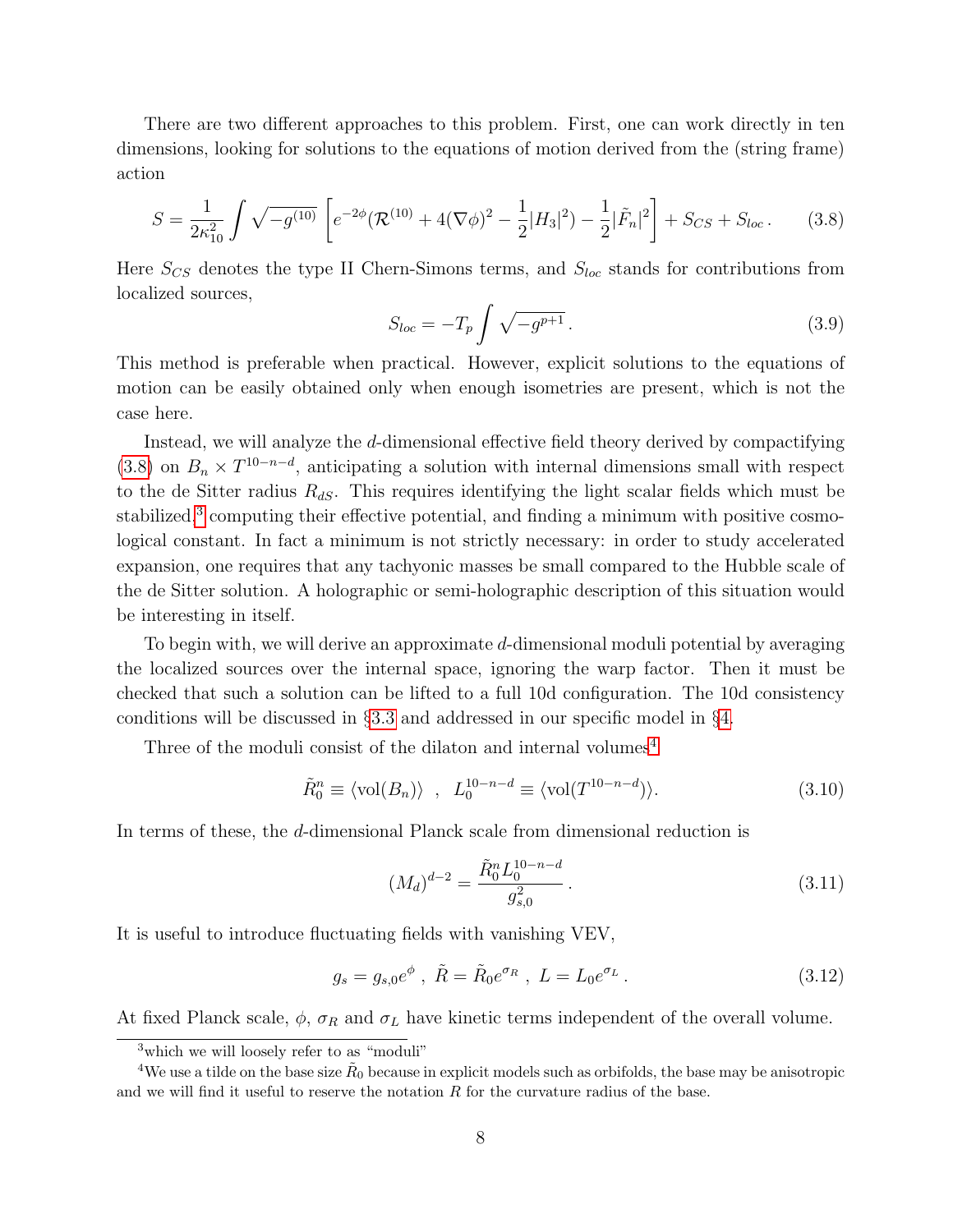There are two different approaches to this problem. First, one can work directly in ten dimensions, looking for solutions to the equations of motion derived from the (string frame) action

<span id="page-8-0"></span>
$$
S = \frac{1}{2\kappa_{10}^2} \int \sqrt{-g^{(10)}} \left[ e^{-2\phi} (\mathcal{R}^{(10)} + 4(\nabla\phi)^2 - \frac{1}{2}|H_3|^2) - \frac{1}{2} |\tilde{F}_n|^2 \right] + S_{CS} + S_{loc}.
$$
 (3.8)

Here  $S_{CS}$  denotes the type II Chern-Simons terms, and  $S_{loc}$  stands for contributions from localized sources,

<span id="page-8-3"></span>
$$
S_{loc} = -T_p \int \sqrt{-g^{p+1}} \,. \tag{3.9}
$$

This method is preferable when practical. However, explicit solutions to the equations of motion can be easily obtained only when enough isometries are present, which is not the case here.

Instead, we will analyze the d-dimensional effective field theory derived by compactifying [\(3.8\)](#page-8-0) on  $B_n \times T^{10-n-d}$ , anticipating a solution with internal dimensions small with respect to the de Sitter radius  $R_{dS}$ . This requires identifying the light scalar fields which must be stabilized,<sup>[3](#page-8-1)</sup> computing their effective potential, and finding a minimum with positive cosmological constant. In fact a minimum is not strictly necessary: in order to study accelerated expansion, one requires that any tachyonic masses be small compared to the Hubble scale of the de Sitter solution. A holographic or semi-holographic description of this situation would be interesting in itself.

To begin with, we will derive an approximate  $d$ -dimensional moduli potential by averaging the localized sources over the internal space, ignoring the warp factor. Then it must be checked that such a solution can be lifted to a full 10d configuration. The 10d consistency conditions will be discussed in §[3.3](#page-12-0) and addressed in our specific model in §[4.](#page-13-0)

Three of the moduli consist of the dilaton and internal volumes<sup>[4](#page-8-2)</sup>

$$
\tilde{R}_0^n \equiv \langle \text{vol}(B_n) \rangle , \quad L_0^{10-n-d} \equiv \langle \text{vol}(T^{10-n-d}) \rangle. \tag{3.10}
$$

In terms of these, the d-dimensional Planck scale from dimensional reduction is

<span id="page-8-4"></span>
$$
(M_d)^{d-2} = \frac{\tilde{R}_0^n L_0^{10-n-d}}{g_{s,0}^2}.
$$
\n(3.11)

It is useful to introduce fluctuating fields with vanishing VEV,

$$
g_s = g_{s,0}e^{\phi} , \ \tilde{R} = \tilde{R}_0e^{\sigma_R} , \ L = L_0e^{\sigma_L} . \tag{3.12}
$$

At fixed Planck scale,  $\phi$ ,  $\sigma_R$  and  $\sigma_L$  have kinetic terms independent of the overall volume.

<span id="page-8-2"></span><span id="page-8-1"></span> $3$  which we will loosely refer to as "moduli"

 ${}^4\text{We}$  use a tilde on the base size  $\tilde R_0$  because in explicit models such as orbifolds, the base may be anisotropic and we will find it useful to reserve the notation  $R$  for the curvature radius of the base.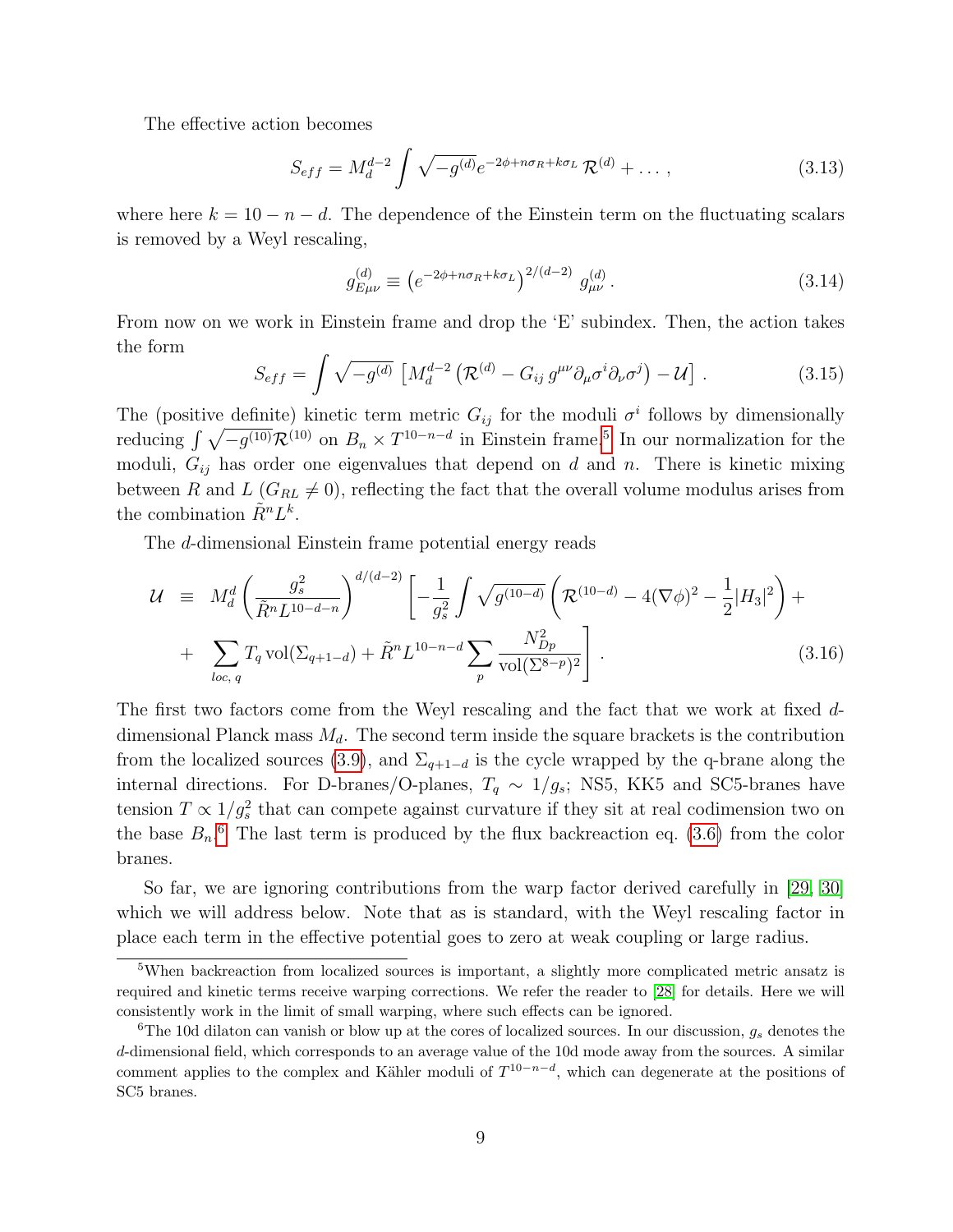The effective action becomes

$$
S_{eff} = M_d^{d-2} \int \sqrt{-g^{(d)}} e^{-2\phi + n\sigma_R + k\sigma_L} \mathcal{R}^{(d)} + \dots, \qquad (3.13)
$$

where here  $k = 10 - n - d$ . The dependence of the Einstein term on the fluctuating scalars is removed by a Weyl rescaling,

$$
g_{E\mu\nu}^{(d)} \equiv \left(e^{-2\phi + n\sigma_R + k\sigma_L}\right)^{2/(d-2)} g_{\mu\nu}^{(d)}.
$$
 (3.14)

From now on we work in Einstein frame and drop the 'E' subindex. Then, the action takes the form

<span id="page-9-3"></span>
$$
S_{eff} = \int \sqrt{-g^{(d)}} \left[ M_d^{d-2} \left( \mathcal{R}^{(d)} - G_{ij} g^{\mu\nu} \partial_\mu \sigma^i \partial_\nu \sigma^j \right) - \mathcal{U} \right] \,. \tag{3.15}
$$

The (positive definite) kinetic term metric  $G_{ij}$  for the moduli  $\sigma^i$  follows by dimensionally reducing  $\int \sqrt{-g^{(10)}} \mathcal{R}^{(10)}$  on  $B_n \times T^{10-n-d}$  in Einstein frame.<sup>[5](#page-9-0)</sup> In our normalization for the moduli,  $G_{ij}$  has order one eigenvalues that depend on d and n. There is kinetic mixing between R and L  $(G_{RL} \neq 0)$ , reflecting the fact that the overall volume modulus arises from the combination  $\tilde{R}^n L^k$ .

The d-dimensional Einstein frame potential energy reads

<span id="page-9-2"></span>
$$
\mathcal{U} \equiv M_d^d \left( \frac{g_s^2}{\tilde{R}^n L^{10-d-n}} \right)^{d/(d-2)} \left[ -\frac{1}{g_s^2} \int \sqrt{g^{(10-d)}} \left( \mathcal{R}^{(10-d)} - 4(\nabla \phi)^2 - \frac{1}{2} |H_3|^2 \right) + \sum_{loc, q} T_q \operatorname{vol}(\Sigma_{q+1-d}) + \tilde{R}^n L^{10-n-d} \sum_p \frac{N_{Dp}^2}{\operatorname{vol}(\Sigma_{q,p})^2} \right]. \tag{3.16}
$$

The first two factors come from the Weyl rescaling and the fact that we work at fixed ddimensional Planck mass  $M_d$ . The second term inside the square brackets is the contribution from the localized sources [\(3.9\)](#page-8-3), and  $\Sigma_{q+1-d}$  is the cycle wrapped by the q-brane along the internal directions. For D-branes/O-planes,  $T_q \sim 1/g_s$ ; NS5, KK5 and SC5-branes have tension  $T \propto 1/g_s^2$  that can compete against curvature if they sit at real codimension two on the base  $B_n$ <sup>[6](#page-9-1)</sup>. The last term is produced by the flux backreaction eq. [\(3.6\)](#page-7-2) from the color branes.

So far, we are ignoring contributions from the warp factor derived carefully in [\[29,](#page-37-0) [30\]](#page-37-1) which we will address below. Note that as is standard, with the Weyl rescaling factor in place each term in the effective potential goes to zero at weak coupling or large radius.

<span id="page-9-0"></span><sup>&</sup>lt;sup>5</sup>When backreaction from localized sources is important, a slightly more complicated metric ansatz is required and kinetic terms receive warping corrections. We refer the reader to [\[28\]](#page-36-3) for details. Here we will consistently work in the limit of small warping, where such effects can be ignored.

<span id="page-9-1"></span><sup>&</sup>lt;sup>6</sup>The 10d dilaton can vanish or blow up at the cores of localized sources. In our discussion,  $g_s$  denotes the d-dimensional field, which corresponds to an average value of the 10d mode away from the sources. A similar comment applies to the complex and Kähler moduli of  $T^{10-n-d}$ , which can degenerate at the positions of SC5 branes.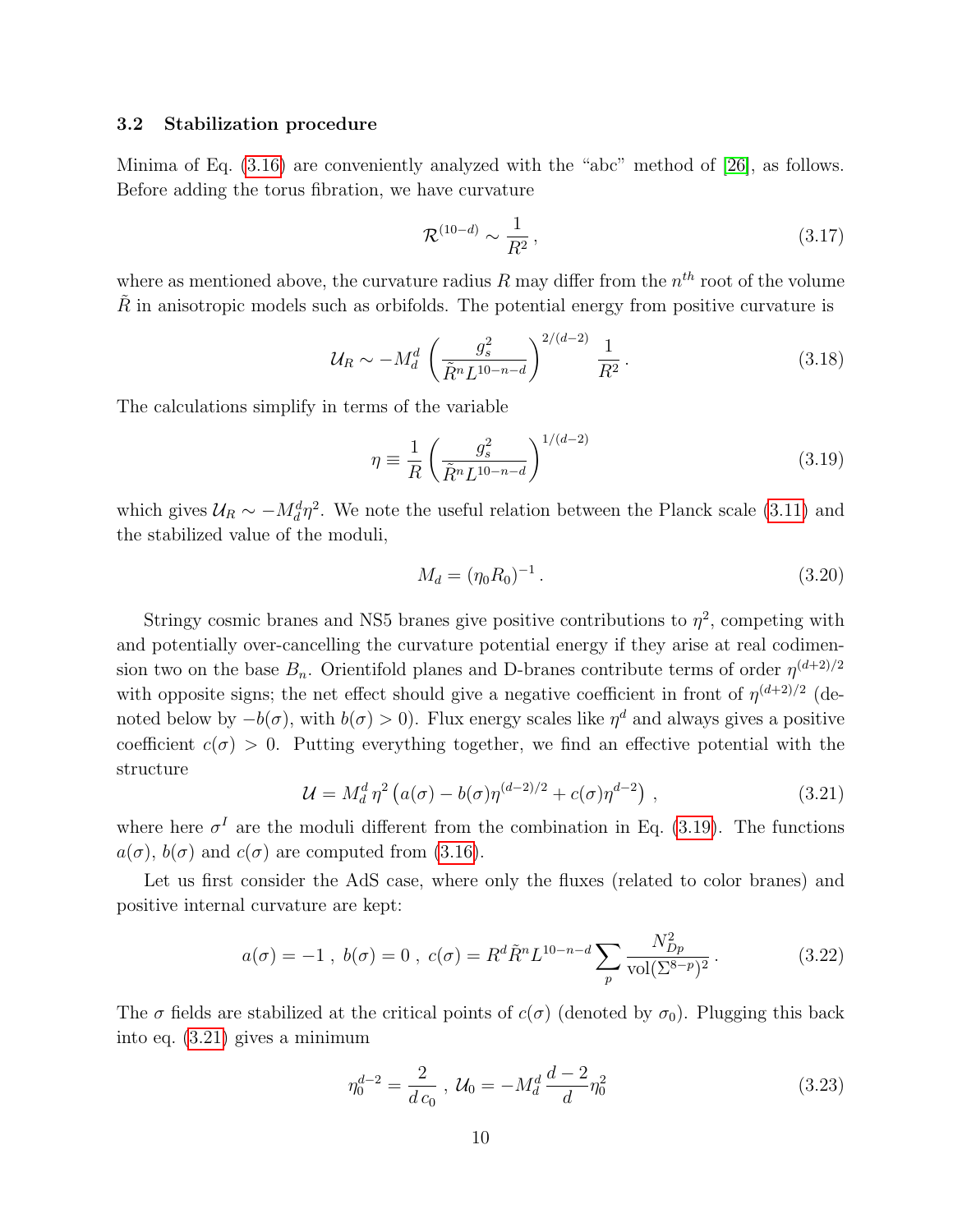#### <span id="page-10-0"></span>3.2 Stabilization procedure

Minima of Eq. [\(3.16\)](#page-9-2) are conveniently analyzed with the "abc" method of [\[26\]](#page-36-1), as follows. Before adding the torus fibration, we have curvature

$$
\mathcal{R}^{(10-d)} \sim \frac{1}{R^2} \,, \tag{3.17}
$$

where as mentioned above, the curvature radius R may differ from the  $n^{th}$  root of the volume  $\tilde{R}$  in anisotropic models such as orbifolds. The potential energy from positive curvature is

$$
\mathcal{U}_R \sim -M_d^d \left(\frac{g_s^2}{\tilde{R}^n L^{10-n-d}}\right)^{2/(d-2)} \frac{1}{R^2} \,. \tag{3.18}
$$

The calculations simplify in terms of the variable

<span id="page-10-1"></span>
$$
\eta \equiv \frac{1}{R} \left( \frac{g_s^2}{\tilde{R}^n L^{10-n-d}} \right)^{1/(d-2)} \tag{3.19}
$$

which gives  $U_R \sim -M_d^d \eta^2$ . We note the useful relation between the Planck scale [\(3.11\)](#page-8-4) and the stabilized value of the moduli,

<span id="page-10-3"></span>
$$
M_d = (\eta_0 R_0)^{-1} \,. \tag{3.20}
$$

Stringy cosmic branes and NS5 branes give positive contributions to  $\eta^2$ , competing with and potentially over-cancelling the curvature potential energy if they arise at real codimension two on the base  $B_n$ . Orientifold planes and D-branes contribute terms of order  $\eta^{(d+2)/2}$ with opposite signs; the net effect should give a negative coefficient in front of  $\eta^{(d+2)/2}$  (denoted below by  $-b(\sigma)$ , with  $b(\sigma) > 0$ ). Flux energy scales like  $\eta^d$  and always gives a positive coefficient  $c(\sigma) > 0$ . Putting everything together, we find an effective potential with the structure

<span id="page-10-2"></span>
$$
\mathcal{U} = M_d^d \eta^2 \left( a(\sigma) - b(\sigma) \eta^{(d-2)/2} + c(\sigma) \eta^{d-2} \right) , \qquad (3.21)
$$

where here  $\sigma^I$  are the moduli different from the combination in Eq. [\(3.19\)](#page-10-1). The functions  $a(\sigma)$ ,  $b(\sigma)$  and  $c(\sigma)$  are computed from [\(3.16\)](#page-9-2).

Let us first consider the AdS case, where only the fluxes (related to color branes) and positive internal curvature are kept:

$$
a(\sigma) = -1 \ , \ b(\sigma) = 0 \ , \ c(\sigma) = R^d \tilde{R}^n L^{10-n-d} \sum_p \frac{N_{Dp}^2}{\text{vol}(\Sigma^{8-p})^2} \,. \tag{3.22}
$$

The  $\sigma$  fields are stabilized at the critical points of  $c(\sigma)$  (denoted by  $\sigma_0$ ). Plugging this back into eq. [\(3.21\)](#page-10-2) gives a minimum

$$
\eta_0^{d-2} = \frac{2}{d c_0} , \mathcal{U}_0 = -M_d^d \frac{d-2}{d} \eta_0^2 \tag{3.23}
$$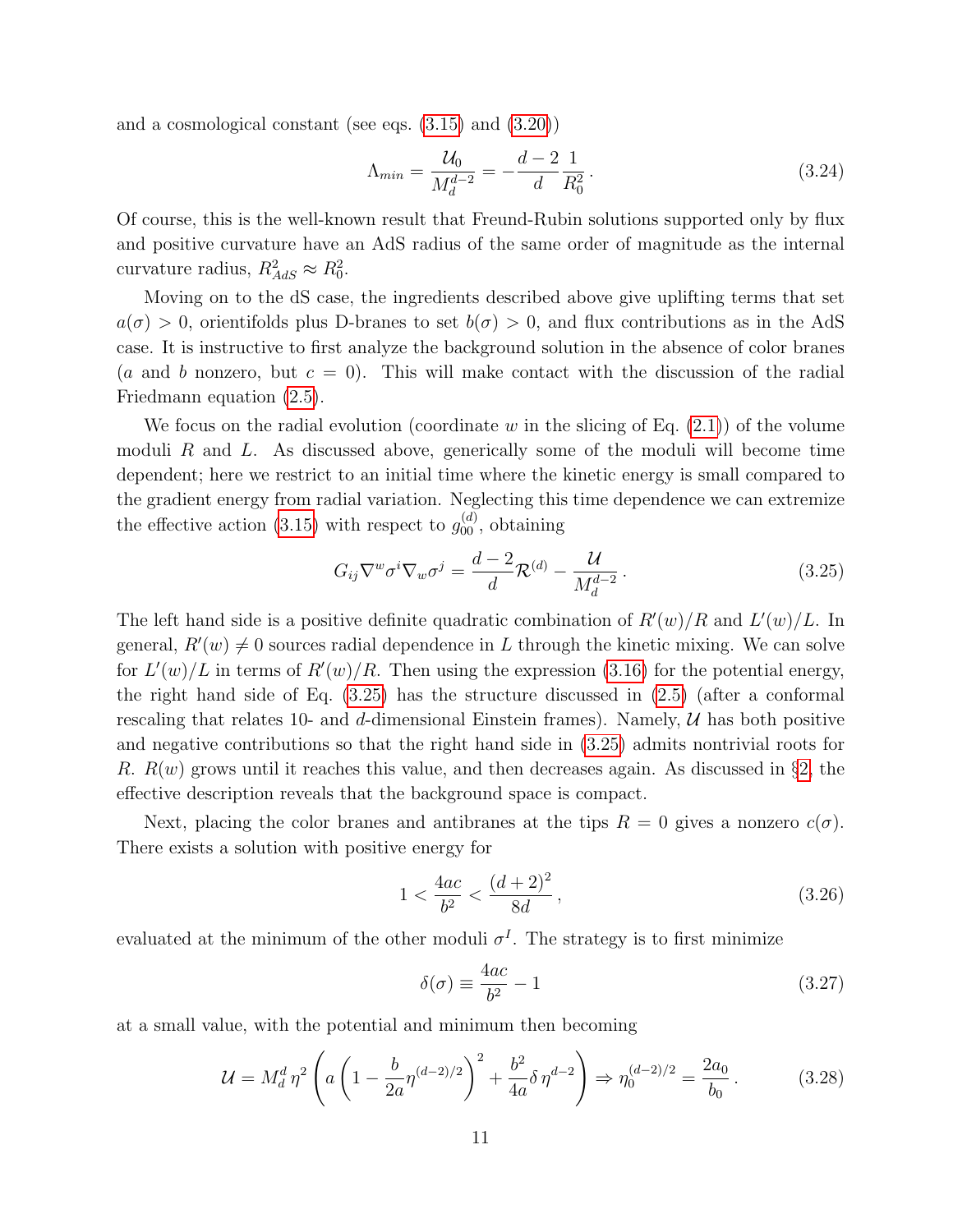and a cosmological constant (see eqs. [\(3.15\)](#page-9-3) and [\(3.20\)](#page-10-3))

$$
\Lambda_{min} = \frac{\mathcal{U}_0}{M_d^{d-2}} = -\frac{d-2}{d} \frac{1}{R_0^2} \,. \tag{3.24}
$$

Of course, this is the well-known result that Freund-Rubin solutions supported only by flux and positive curvature have an AdS radius of the same order of magnitude as the internal curvature radius,  $R_{AdS}^2 \approx R_0^2$ .

Moving on to the dS case, the ingredients described above give uplifting terms that set  $a(\sigma) > 0$ , orientifolds plus D-branes to set  $b(\sigma) > 0$ , and flux contributions as in the AdS case. It is instructive to first analyze the background solution in the absence of color branes (a and b nonzero, but  $c = 0$ ). This will make contact with the discussion of the radial Friedmann equation [\(2.5\)](#page-4-0).

We focus on the radial evolution (coordinate w in the slicing of Eq.  $(2.1)$ ) of the volume moduli R and L. As discussed above, generically some of the moduli will become time dependent; here we restrict to an initial time where the kinetic energy is small compared to the gradient energy from radial variation. Neglecting this time dependence we can extremize the effective action [\(3.15\)](#page-9-3) with respect to  $g_{00}^{(d)}$ , obtaining

<span id="page-11-0"></span>
$$
G_{ij}\nabla^w\sigma^i\nabla_w\sigma^j = \frac{d-2}{d}\mathcal{R}^{(d)} - \frac{\mathcal{U}}{M_d^{d-2}}.
$$
\n(3.25)

The left hand side is a positive definite quadratic combination of  $R'(w)/R$  and  $L'(w)/L$ . In general,  $R'(w) \neq 0$  sources radial dependence in L through the kinetic mixing. We can solve for  $L'(w)/L$  in terms of  $R'(w)/R$ . Then using the expression [\(3.16\)](#page-9-2) for the potential energy, the right hand side of Eq. [\(3.25\)](#page-11-0) has the structure discussed in [\(2.5\)](#page-4-0) (after a conformal rescaling that relates 10- and d-dimensional Einstein frames). Namely,  $\mathcal{U}$  has both positive and negative contributions so that the right hand side in [\(3.25\)](#page-11-0) admits nontrivial roots for R.  $R(w)$  grows until it reaches this value, and then decreases again. As discussed in §[2,](#page-2-1) the effective description reveals that the background space is compact.

Next, placing the color branes and antibranes at the tips  $R = 0$  gives a nonzero  $c(\sigma)$ . There exists a solution with positive energy for

<span id="page-11-1"></span>
$$
1 < \frac{4ac}{b^2} < \frac{(d+2)^2}{8d} \,,\tag{3.26}
$$

evaluated at the minimum of the other moduli  $\sigma^I$ . The strategy is to first minimize

$$
\delta(\sigma) \equiv \frac{4ac}{b^2} - 1\tag{3.27}
$$

at a small value, with the potential and minimum then becoming

$$
\mathcal{U} = M_d^d \eta^2 \left( a \left( 1 - \frac{b}{2a} \eta^{(d-2)/2} \right)^2 + \frac{b^2}{4a} \delta \eta^{d-2} \right) \Rightarrow \eta_0^{(d-2)/2} = \frac{2a_0}{b_0} \,. \tag{3.28}
$$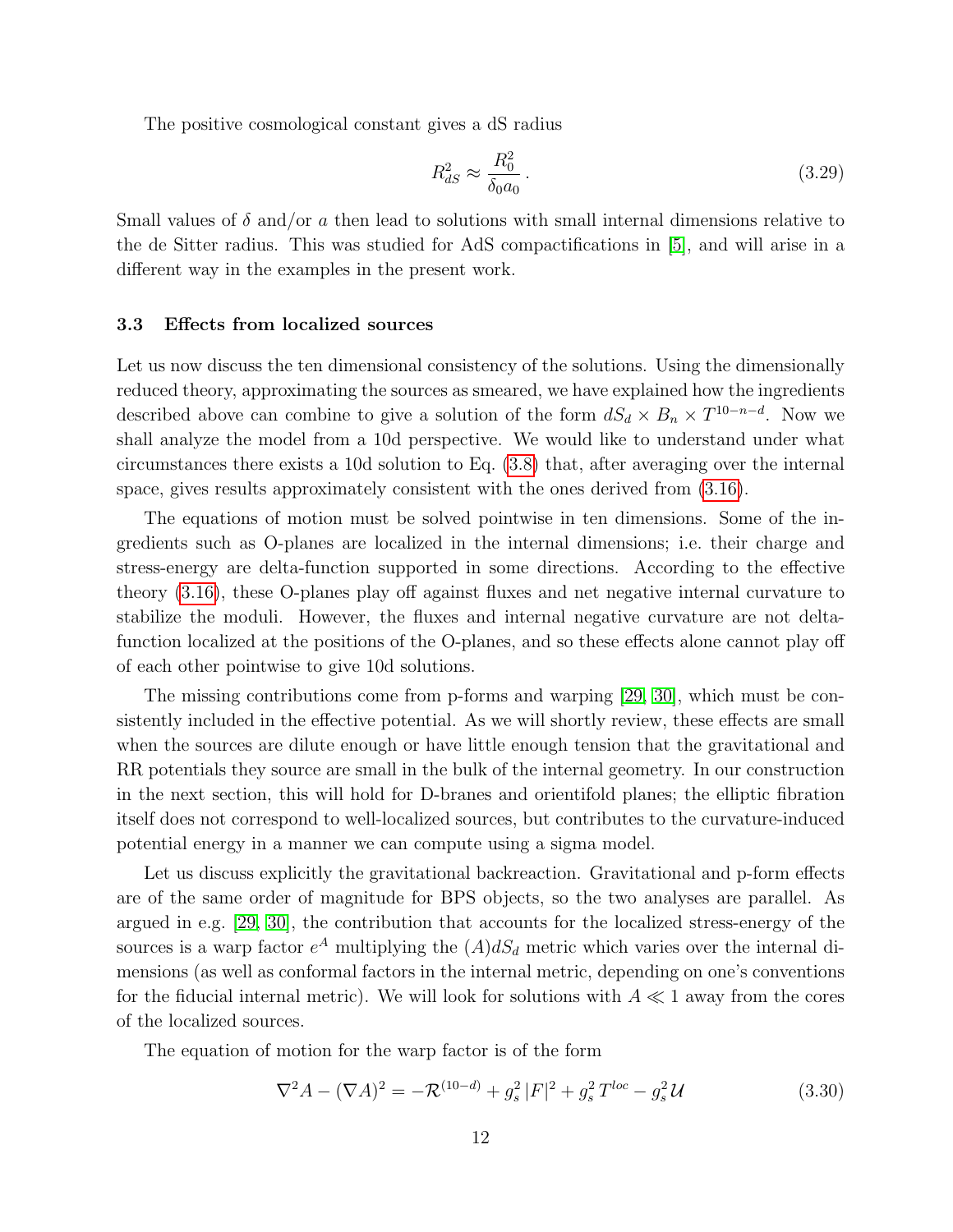The positive cosmological constant gives a dS radius

<span id="page-12-1"></span>
$$
R_{dS}^2 \approx \frac{R_0^2}{\delta_0 a_0} \,. \tag{3.29}
$$

Small values of  $\delta$  and/or a then lead to solutions with small internal dimensions relative to the de Sitter radius. This was studied for AdS compactifications in [\[5\]](#page-33-4), and will arise in a different way in the examples in the present work.

#### <span id="page-12-0"></span>3.3 Effects from localized sources

Let us now discuss the ten dimensional consistency of the solutions. Using the dimensionally reduced theory, approximating the sources as smeared, we have explained how the ingredients described above can combine to give a solution of the form  $dS_d \times B_n \times T^{10-n-d}$ . Now we shall analyze the model from a 10d perspective. We would like to understand under what circumstances there exists a 10d solution to Eq. [\(3.8\)](#page-8-0) that, after averaging over the internal space, gives results approximately consistent with the ones derived from [\(3.16\)](#page-9-2).

The equations of motion must be solved pointwise in ten dimensions. Some of the ingredients such as O-planes are localized in the internal dimensions; i.e. their charge and stress-energy are delta-function supported in some directions. According to the effective theory [\(3.16\)](#page-9-2), these O-planes play off against fluxes and net negative internal curvature to stabilize the moduli. However, the fluxes and internal negative curvature are not deltafunction localized at the positions of the O-planes, and so these effects alone cannot play off of each other pointwise to give 10d solutions.

The missing contributions come from p-forms and warping [\[29,](#page-37-0) [30\]](#page-37-1), which must be consistently included in the effective potential. As we will shortly review, these effects are small when the sources are dilute enough or have little enough tension that the gravitational and RR potentials they source are small in the bulk of the internal geometry. In our construction in the next section, this will hold for D-branes and orientifold planes; the elliptic fibration itself does not correspond to well-localized sources, but contributes to the curvature-induced potential energy in a manner we can compute using a sigma model.

Let us discuss explicitly the gravitational backreaction. Gravitational and p-form effects are of the same order of magnitude for BPS objects, so the two analyses are parallel. As argued in e.g. [\[29,](#page-37-0) [30\]](#page-37-1), the contribution that accounts for the localized stress-energy of the sources is a warp factor  $e^A$  multiplying the  $(A)dS_d$  metric which varies over the internal dimensions (as well as conformal factors in the internal metric, depending on one's conventions for the fiducial internal metric). We will look for solutions with  $A \ll 1$  away from the cores of the localized sources.

The equation of motion for the warp factor is of the form

<span id="page-12-2"></span>
$$
\nabla^2 A - (\nabla A)^2 = -\mathcal{R}^{(10-d)} + g_s^2 |F|^2 + g_s^2 T^{loc} - g_s^2 \mathcal{U}
$$
\n(3.30)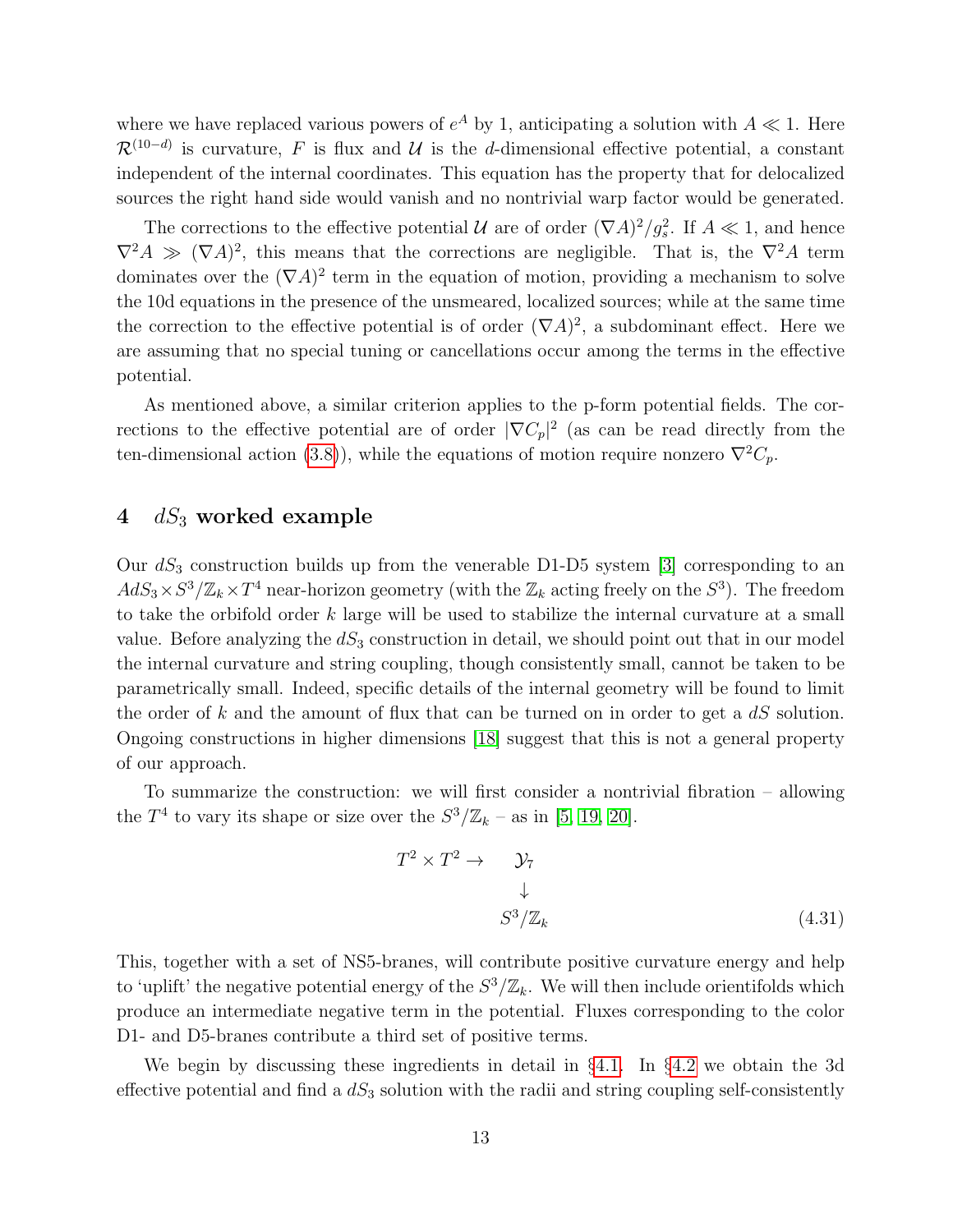where we have replaced various powers of  $e^A$  by 1, anticipating a solution with  $A \ll 1$ . Here  $\mathcal{R}^{(10-d)}$  is curvature, F is flux and U is the d-dimensional effective potential, a constant independent of the internal coordinates. This equation has the property that for delocalized sources the right hand side would vanish and no nontrivial warp factor would be generated.

The corrections to the effective potential  $\mathcal U$  are of order  $(\nabla A)^2/g_s^2$ . If  $A \ll 1$ , and hence  $\nabla^2 A \gg (\nabla A)^2$ , this means that the corrections are negligible. That is, the  $\nabla^2 A$  term dominates over the  $(\nabla A)^2$  term in the equation of motion, providing a mechanism to solve the 10d equations in the presence of the unsmeared, localized sources; while at the same time the correction to the effective potential is of order  $(\nabla A)^2$ , a subdominant effect. Here we are assuming that no special tuning or cancellations occur among the terms in the effective potential.

As mentioned above, a similar criterion applies to the p-form potential fields. The corrections to the effective potential are of order  $|\nabla C_p|^2$  (as can be read directly from the ten-dimensional action [\(3.8\)](#page-8-0)), while the equations of motion require nonzero  $\nabla^2 C_p$ .

## <span id="page-13-0"></span> $4$  dS<sub>3</sub> worked example

Our  $dS_3$  construction builds up from the venerable D1-D5 system [\[3\]](#page-33-2) corresponding to an  $AdS_3 \times S^3/\mathbb{Z}_k \times T^4$  near-horizon geometry (with the  $\mathbb{Z}_k$  acting freely on the  $S^3$ ). The freedom to take the orbifold order  $k$  large will be used to stabilize the internal curvature at a small value. Before analyzing the  $dS_3$  construction in detail, we should point out that in our model the internal curvature and string coupling, though consistently small, cannot be taken to be parametrically small. Indeed, specific details of the internal geometry will be found to limit the order of k and the amount of flux that can be turned on in order to get a  $dS$  solution. Ongoing constructions in higher dimensions [\[18\]](#page-35-1) suggest that this is not a general property of our approach.

To summarize the construction: we will first consider a nontrivial fibration – allowing the  $T^4$  to vary its shape or size over the  $S^3/\mathbb{Z}_k$  – as in [\[5,](#page-33-4) [19,](#page-35-2) [20\]](#page-35-3).

<span id="page-13-1"></span>
$$
T^2 \times T^2 \to \mathcal{Y}_7
$$
  
\n
$$
\downarrow
$$
  
\n
$$
S^3/\mathbb{Z}_k
$$
\n(4.31)

This, together with a set of NS5-branes, will contribute positive curvature energy and help to 'uplift' the negative potential energy of the  $S^3/\mathbb{Z}_k$ . We will then include orientifolds which produce an intermediate negative term in the potential. Fluxes corresponding to the color D1- and D5-branes contribute a third set of positive terms.

We begin by discussing these ingredients in detail in §[4.1.](#page-14-0) In §[4.2](#page-18-0) we obtain the 3d effective potential and find a  $dS_3$  solution with the radii and string coupling self-consistently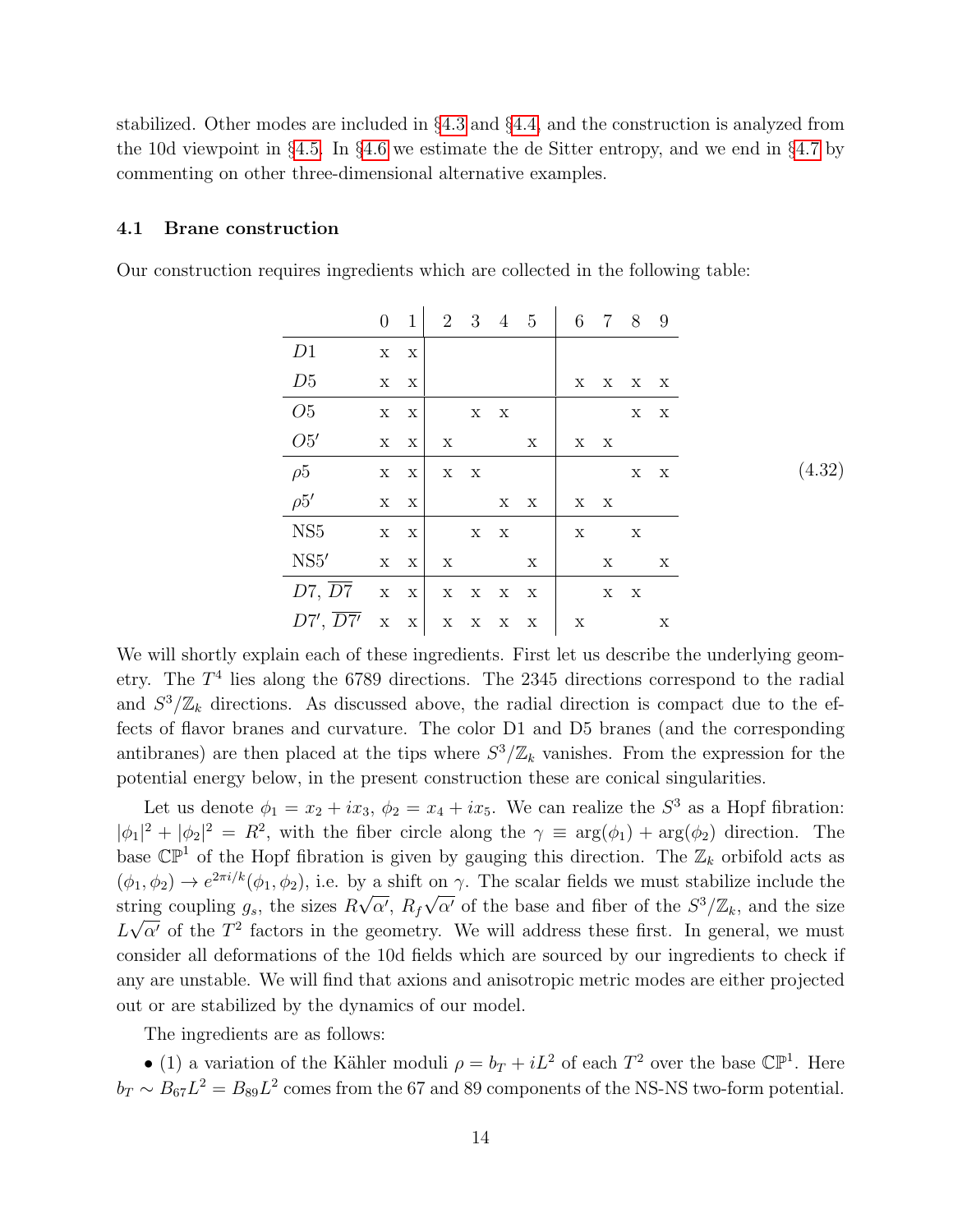stabilized. Other modes are included in §[4.3](#page-24-0) and §[4.4,](#page-25-0) and the construction is analyzed from the 10d viewpoint in §[4.5.](#page-27-0) In §[4.6](#page-29-0) we estimate the de Sitter entropy, and we end in §[4.7](#page-30-0) by commenting on other three-dimensional alternative examples.

#### <span id="page-14-0"></span>4.1 Brane construction

Our construction requires ingredients which are collected in the following table:

<span id="page-14-1"></span>

|                                   |                       | $0 \quad 1$             |                |         |                                               | 2 3 4 5                   | 6 7 8 9                   |              |             |                           |        |
|-----------------------------------|-----------------------|-------------------------|----------------|---------|-----------------------------------------------|---------------------------|---------------------------|--------------|-------------|---------------------------|--------|
| D1                                | $\mathbf X-\mathbf X$ |                         |                |         |                                               |                           |                           |              |             |                           |        |
| D5                                | $X - X$               |                         |                |         |                                               |                           |                           | X X X X      |             |                           |        |
| O5                                |                       | $X \tX$                 | $X$ X          |         |                                               |                           |                           |              |             | $X - X$                   |        |
| O5'                               |                       | X X                     | $\mathbf X$    |         | $\mathbf X$                                   |                           |                           | X X          |             |                           |        |
| $\rho 5$<br>$\rho 5'$             |                       | $\mathbf{X}-\mathbf{X}$ |                | $X - X$ |                                               |                           |                           |              |             | $X - X$                   | (4.32) |
|                                   |                       | $X \tX$                 |                |         |                                               | $X$ X                     |                           | $X - X$      |             |                           |        |
| NS5                               |                       | $X - X$                 | $X$ X          |         |                                               |                           | $\mathbf X$               | $\mathbf{X}$ |             |                           |        |
| NS5'                              |                       |                         | $X \times  X $ |         |                                               | $\boldsymbol{\mathrm{X}}$ |                           |              | $\mathbf X$ | $\boldsymbol{\mathrm{X}}$ |        |
| $D7, \overline{D7}$ x x           |                       |                         |                |         | $\mathbf{X}=\mathbf{X}-\mathbf{X}-\mathbf{X}$ |                           |                           |              | X X         |                           |        |
| $D7', \overline{D7'}$ x x x x x x |                       |                         |                |         |                                               |                           | $\boldsymbol{\mathrm{X}}$ |              |             | X                         |        |

We will shortly explain each of these ingredients. First let us describe the underlying geometry. The  $T<sup>4</sup>$  lies along the 6789 directions. The 2345 directions correspond to the radial and  $S^3/\mathbb{Z}_k$  directions. As discussed above, the radial direction is compact due to the effects of flavor branes and curvature. The color D1 and D5 branes (and the corresponding antibranes) are then placed at the tips where  $S^3/\mathbb{Z}_k$  vanishes. From the expression for the potential energy below, in the present construction these are conical singularities.

Let us denote  $\phi_1 = x_2 + ix_3$ ,  $\phi_2 = x_4 + ix_5$ . We can realize the  $S^3$  as a Hopf fibration:  $|\phi_1|^2 + |\phi_2|^2 = R^2$ , with the fiber circle along the  $\gamma \equiv \arg(\phi_1) + \arg(\phi_2)$  direction. The base  $\mathbb{CP}^1$  of the Hopf fibration is given by gauging this direction. The  $\mathbb{Z}_k$  orbifold acts as  $(\phi_1, \phi_2) \to e^{2\pi i/k}(\phi_1, \phi_2)$ , i.e. by a shift on  $\gamma$ . The scalar fields we must stabilize include the string coupling  $g_s$ , the sizes  $R\sqrt{\alpha'}$ ,  $R_f\sqrt{\alpha'}$  of the base and fiber of the  $S^3/\mathbb{Z}_k$ , and the size  $L\sqrt{\alpha'}$  of the  $T^2$  factors in the geometry. We will address these first. In general, we must consider all deformations of the 10d fields which are sourced by our ingredients to check if any are unstable. We will find that axions and anisotropic metric modes are either projected out or are stabilized by the dynamics of our model.

The ingredients are as follows:

• (1) a variation of the Kähler moduli  $\rho = b_T + iL^2$  of each  $T^2$  over the base  $\mathbb{CP}^1$ . Here  $b_T \sim B_{67}L^2 = B_{89}L^2$  comes from the 67 and 89 components of the NS-NS two-form potential.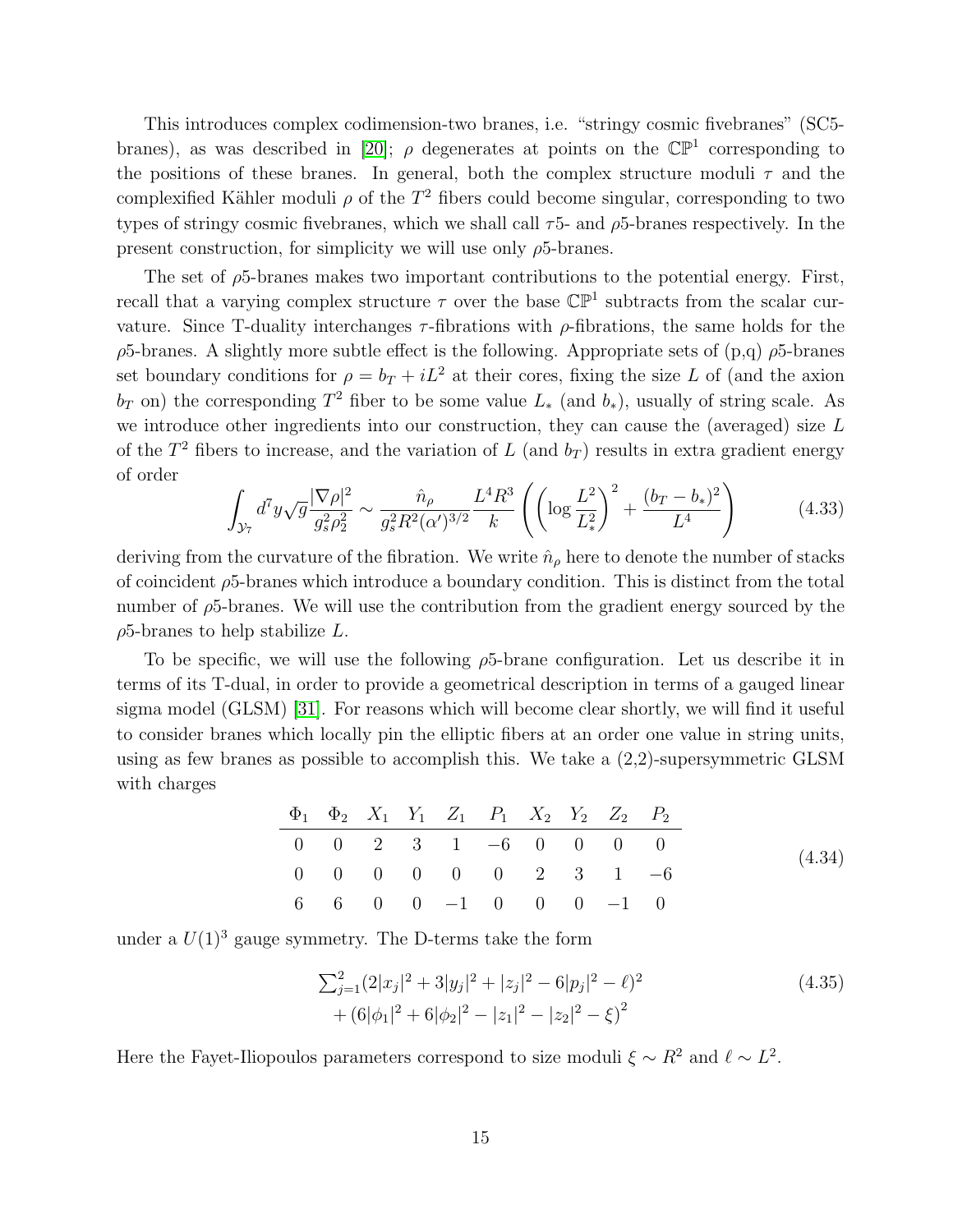This introduces complex codimension-two branes, i.e. "stringy cosmic fivebranes" (SC5- branes), as was described in [\[20\]](#page-35-3);  $\rho$  degenerates at points on the  $\mathbb{CP}^1$  corresponding to the positions of these branes. In general, both the complex structure moduli  $\tau$  and the complexified Kähler moduli  $\rho$  of the  $T^2$  fibers could become singular, corresponding to two types of stringy cosmic fivebranes, which we shall call  $\tau$ 5- and  $\rho$ 5-branes respectively. In the present construction, for simplicity we will use only  $\rho$ 5-branes.

The set of  $\rho$ 5-branes makes two important contributions to the potential energy. First, recall that a varying complex structure  $\tau$  over the base  $\mathbb{CP}^1$  subtracts from the scalar curvature. Since T-duality interchanges  $\tau$ -fibrations with  $\rho$ -fibrations, the same holds for the  $\rho$ 5-branes. A slightly more subtle effect is the following. Appropriate sets of  $(p,q)$   $\rho$ 5-branes set boundary conditions for  $\rho = b_T + iL^2$  at their cores, fixing the size L of (and the axion  $b_T$  on) the corresponding  $T^2$  fiber to be some value  $L_*$  (and  $b_*$ ), usually of string scale. As we introduce other ingredients into our construction, they can cause the (averaged) size L of the  $T^2$  fibers to increase, and the variation of L (and  $b_T$ ) results in extra gradient energy of order

<span id="page-15-1"></span>
$$
\int_{\mathcal{Y}_7} d^7 y \sqrt{g} \frac{|\nabla \rho|^2}{g_s^2 \rho_2^2} \sim \frac{\hat{n}_\rho}{g_s^2 R^2 (\alpha')^{3/2}} \frac{L^4 R^3}{k} \left( \left( \log \frac{L^2}{L_*^2} \right)^2 + \frac{(b_T - b_*)^2}{L^4} \right) \tag{4.33}
$$

deriving from the curvature of the fibration. We write  $\hat{n}_{\rho}$  here to denote the number of stacks of coincident  $\rho$ 5-branes which introduce a boundary condition. This is distinct from the total number of  $\rho$ 5-branes. We will use the contribution from the gradient energy sourced by the  $\rho$ 5-branes to help stabilize L.

To be specific, we will use the following  $\rho$ 5-brane configuration. Let us describe it in terms of its T-dual, in order to provide a geometrical description in terms of a gauged linear sigma model (GLSM) [\[31\]](#page-37-2). For reasons which will become clear shortly, we will find it useful to consider branes which locally pin the elliptic fibers at an order one value in string units, using as few branes as possible to accomplish this. We take a (2,2)-supersymmetric GLSM with charges

<span id="page-15-0"></span>

|  |  | $\Phi_1$ $\Phi_2$ $X_1$ $Y_1$ $Z_1$ $P_1$ $X_2$ $Y_2$ $Z_2$ $P_2$ |  |  |
|--|--|-------------------------------------------------------------------|--|--|
|  |  | $0 \t 0 \t 2 \t 3 \t 1 \t -6 \t 0 \t 0 \t 0 \t 0$                 |  |  |
|  |  | $0 \t 0 \t 0 \t 0 \t 0 \t 0 \t 2 \t 3 \t 1 \t -6$                 |  |  |
|  |  | 6 6 0 0 -1 0 0 0 -1 0                                             |  |  |

under a  $U(1)^3$  gauge symmetry. The D-terms take the form

$$
\sum_{j=1}^{2} (2|x_j|^2 + 3|y_j|^2 + |z_j|^2 - 6|p_j|^2 - \ell)^2
$$
\n
$$
+ (6|\phi_1|^2 + 6|\phi_2|^2 - |z_1|^2 - |z_2|^2 - \xi)^2
$$
\n(4.35)

Here the Fayet-Iliopoulos parameters correspond to size moduli  $\xi \sim R^2$  and  $\ell \sim L^2$ .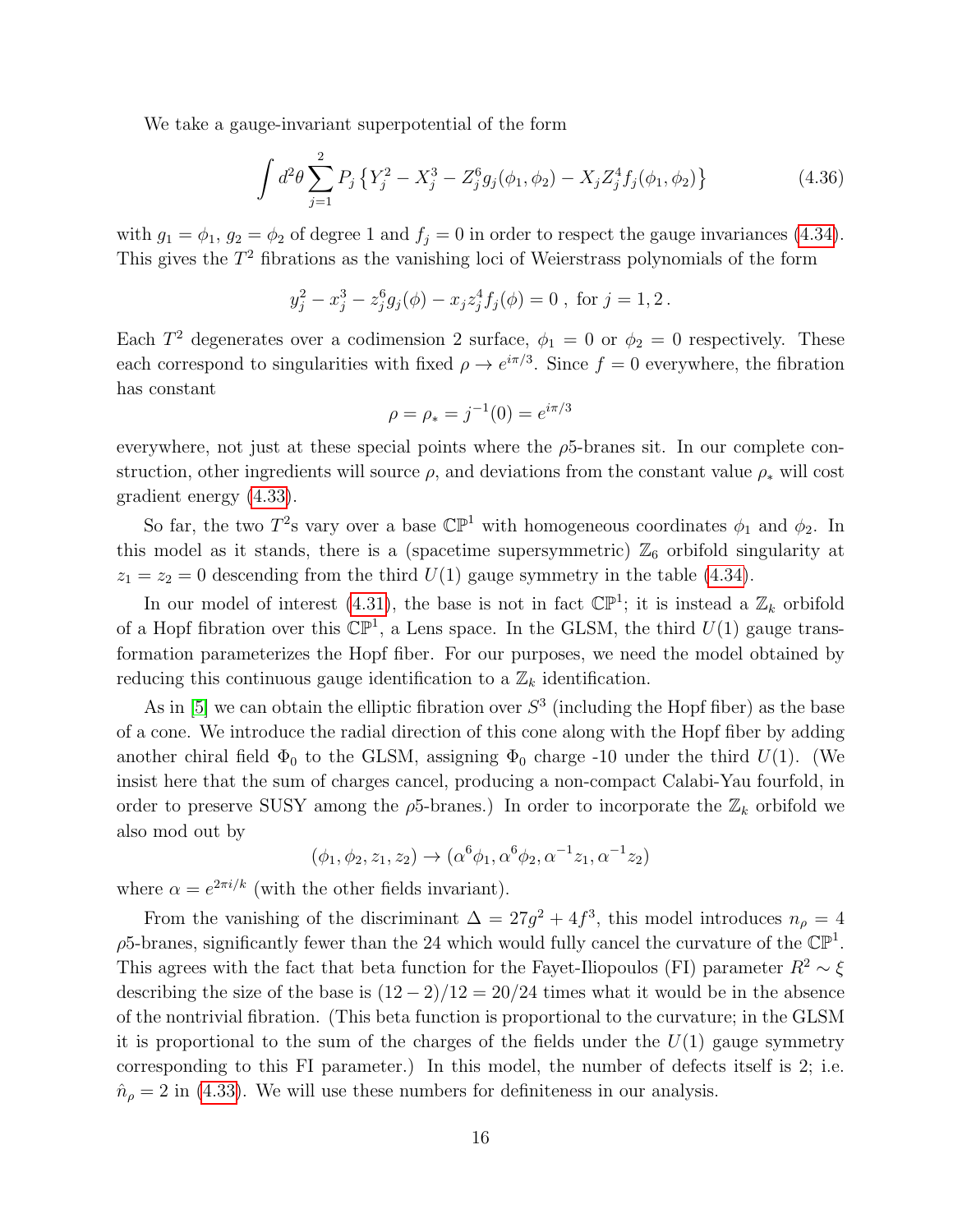We take a gauge-invariant superpotential of the form

$$
\int d^2\theta \sum_{j=1}^2 P_j \left\{ Y_j^2 - X_j^3 - Z_j^6 g_j(\phi_1, \phi_2) - X_j Z_j^4 f_j(\phi_1, \phi_2) \right\} \tag{4.36}
$$

with  $g_1 = \phi_1, g_2 = \phi_2$  of degree 1 and  $f_j = 0$  in order to respect the gauge invariances [\(4.34\)](#page-15-0). This gives the  $T<sup>2</sup>$  fibrations as the vanishing loci of Weierstrass polynomials of the form

$$
y_j^2 - x_j^3 - z_j^6 g_j(\phi) - x_j z_j^4 f_j(\phi) = 0
$$
, for  $j = 1, 2$ .

Each  $T^2$  degenerates over a codimension 2 surface,  $\phi_1 = 0$  or  $\phi_2 = 0$  respectively. These each correspond to singularities with fixed  $\rho \to e^{i\pi/3}$ . Since  $f = 0$  everywhere, the fibration has constant

$$
\rho = \rho_* = j^{-1}(0) = e^{i\pi/3}
$$

everywhere, not just at these special points where the  $\rho$ 5-branes sit. In our complete construction, other ingredients will source  $\rho$ , and deviations from the constant value  $\rho_*$  will cost gradient energy [\(4.33\)](#page-15-1).

So far, the two  $T^2$ s vary over a base  $\mathbb{CP}^1$  with homogeneous coordinates  $\phi_1$  and  $\phi_2$ . In this model as it stands, there is a (spacetime supersymmetric)  $\mathbb{Z}_6$  orbifold singularity at  $z_1 = z_2 = 0$  descending from the third  $U(1)$  gauge symmetry in the table [\(4.34\)](#page-15-0).

In our model of interest [\(4.31\)](#page-13-1), the base is not in fact  $\mathbb{CP}^1$ ; it is instead a  $\mathbb{Z}_k$  orbifold of a Hopf fibration over this  $\mathbb{CP}^1$ , a Lens space. In the GLSM, the third  $U(1)$  gauge transformation parameterizes the Hopf fiber. For our purposes, we need the model obtained by reducing this continuous gauge identification to a  $\mathbb{Z}_k$  identification.

As in [\[5\]](#page-33-4) we can obtain the elliptic fibration over  $S<sup>3</sup>$  (including the Hopf fiber) as the base of a cone. We introduce the radial direction of this cone along with the Hopf fiber by adding another chiral field  $\Phi_0$  to the GLSM, assigning  $\Phi_0$  charge -10 under the third  $U(1)$ . (We insist here that the sum of charges cancel, producing a non-compact Calabi-Yau fourfold, in order to preserve SUSY among the  $\rho$ 5-branes.) In order to incorporate the  $\mathbb{Z}_k$  orbifold we also mod out by

$$
(\phi_1, \phi_2, z_1, z_2) \to (\alpha^6 \phi_1, \alpha^6 \phi_2, \alpha^{-1} z_1, \alpha^{-1} z_2)
$$

where  $\alpha = e^{2\pi i/k}$  (with the other fields invariant).

From the vanishing of the discriminant  $\Delta = 27g^2 + 4f^3$ , this model introduces  $n<sub>\rho</sub> = 4$  $\rho$ 5-branes, significantly fewer than the 24 which would fully cancel the curvature of the  $\mathbb{CP}^1$ . This agrees with the fact that beta function for the Fayet-Iliopoulos (FI) parameter  $R^2 \sim \xi$ describing the size of the base is  $(12-2)/12 = 20/24$  times what it would be in the absence of the nontrivial fibration. (This beta function is proportional to the curvature; in the GLSM it is proportional to the sum of the charges of the fields under the  $U(1)$  gauge symmetry corresponding to this FI parameter.) In this model, the number of defects itself is 2; i.e.  $\hat{n}_{\rho} = 2$  in [\(4.33\)](#page-15-1). We will use these numbers for definiteness in our analysis.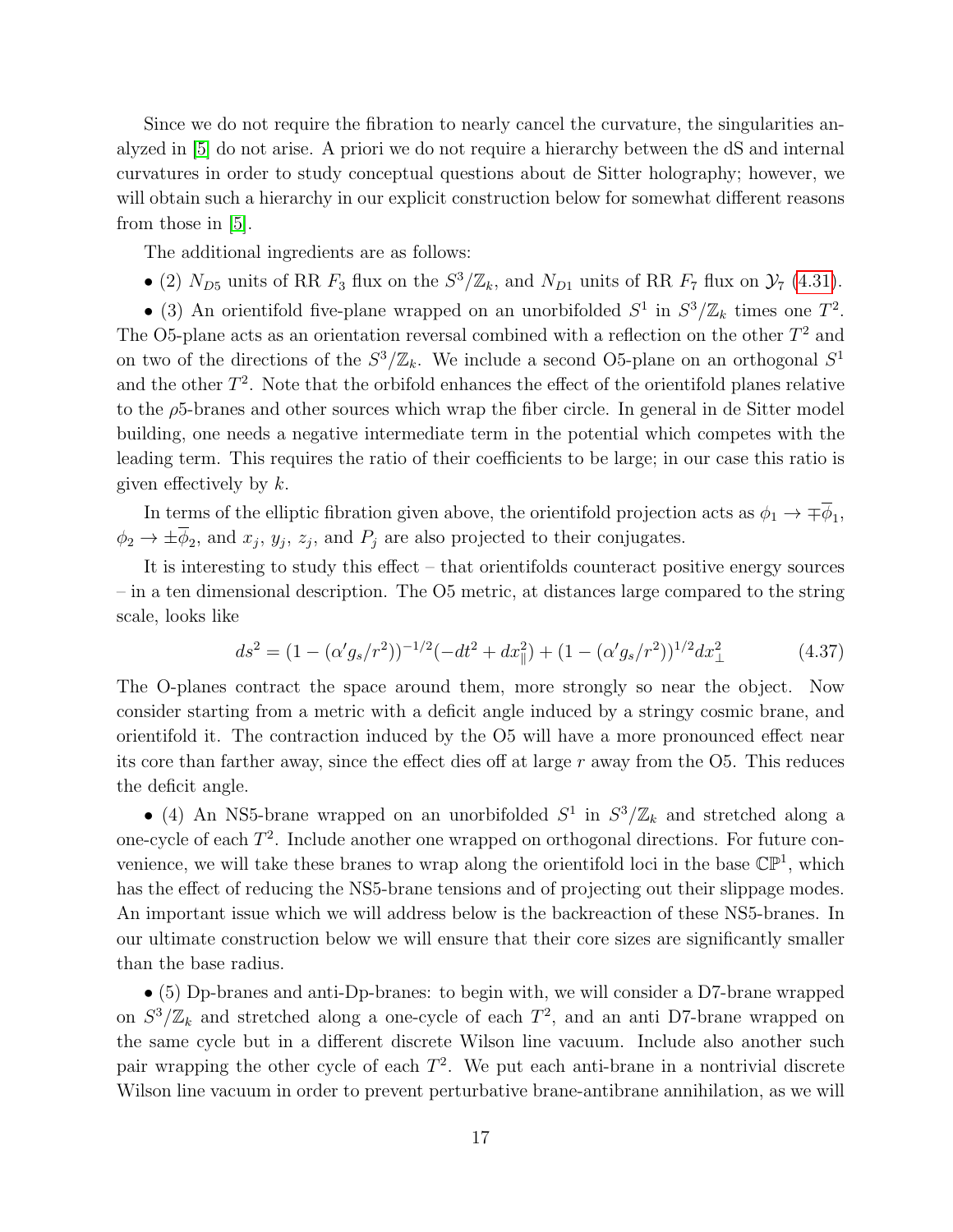Since we do not require the fibration to nearly cancel the curvature, the singularities analyzed in [\[5\]](#page-33-4) do not arise. A priori we do not require a hierarchy between the dS and internal curvatures in order to study conceptual questions about de Sitter holography; however, we will obtain such a hierarchy in our explicit construction below for somewhat different reasons from those in [\[5\]](#page-33-4).

The additional ingredients are as follows:

• (2)  $N_{D5}$  units of RR  $F_3$  flux on the  $S^3/\mathbb{Z}_k$ , and  $N_{D1}$  units of RR  $F_7$  flux on  $\mathcal{Y}_7$  [\(4.31\)](#page-13-1).

• (3) An orientifold five-plane wrapped on an unorbifolded  $S^1$  in  $S^3/\mathbb{Z}_k$  times one  $T^2$ . The O5-plane acts as an orientation reversal combined with a reflection on the other  $T^2$  and on two of the directions of the  $S^3/\mathbb{Z}_k$ . We include a second O5-plane on an orthogonal  $S^1$ and the other  $T^2$ . Note that the orbifold enhances the effect of the orientifold planes relative to the  $\rho$ 5-branes and other sources which wrap the fiber circle. In general in de Sitter model building, one needs a negative intermediate term in the potential which competes with the leading term. This requires the ratio of their coefficients to be large; in our case this ratio is given effectively by  $k$ .

In terms of the elliptic fibration given above, the orientifold projection acts as  $\phi_1 \to \mp \overline{\phi}_1$ ,  $\phi_2 \to \pm \phi_2$ , and  $x_j$ ,  $y_j$ ,  $z_j$ , and  $P_j$  are also projected to their conjugates.

It is interesting to study this effect – that orientifolds counteract positive energy sources – in a ten dimensional description. The O5 metric, at distances large compared to the string scale, looks like

$$
ds^{2} = (1 - (\alpha' g_{s}/r^{2}))^{-1/2} (-dt^{2} + dx_{\parallel}^{2}) + (1 - (\alpha' g_{s}/r^{2}))^{1/2} dx_{\perp}^{2}
$$
(4.37)

The O-planes contract the space around them, more strongly so near the object. Now consider starting from a metric with a deficit angle induced by a stringy cosmic brane, and orientifold it. The contraction induced by the O5 will have a more pronounced effect near its core than farther away, since the effect dies off at large  $r$  away from the  $\overline{O5}$ . This reduces the deficit angle.

• (4) An NS5-brane wrapped on an unorbifolded  $S^1$  in  $S^3/\mathbb{Z}_k$  and stretched along a one-cycle of each  $T^2$ . Include another one wrapped on orthogonal directions. For future convenience, we will take these branes to wrap along the orientifold loci in the base  $\mathbb{CP}^1$ , which has the effect of reducing the NS5-brane tensions and of projecting out their slippage modes. An important issue which we will address below is the backreaction of these NS5-branes. In our ultimate construction below we will ensure that their core sizes are significantly smaller than the base radius.

• (5) Dp-branes and anti-Dp-branes: to begin with, we will consider a D7-brane wrapped on  $S^3/\mathbb{Z}_k$  and stretched along a one-cycle of each  $T^2$ , and an anti D7-brane wrapped on the same cycle but in a different discrete Wilson line vacuum. Include also another such pair wrapping the other cycle of each  $T^2$ . We put each anti-brane in a nontrivial discrete Wilson line vacuum in order to prevent perturbative brane-antibrane annihilation, as we will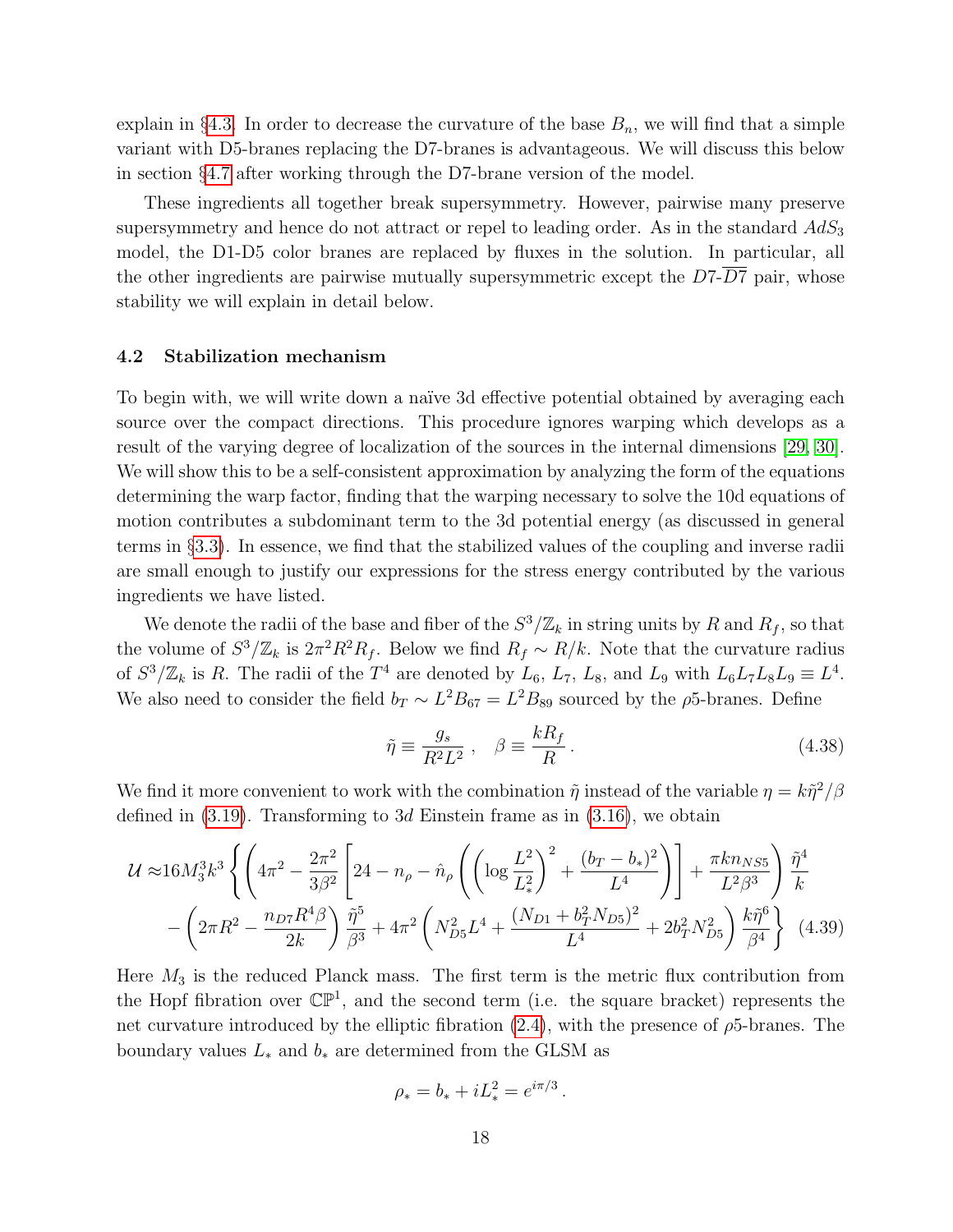explain in §[4.3.](#page-24-0) In order to decrease the curvature of the base  $B_n$ , we will find that a simple variant with D5-branes replacing the D7-branes is advantageous. We will discuss this below in section §[4.7](#page-30-0) after working through the D7-brane version of the model.

These ingredients all together break supersymmetry. However, pairwise many preserve supersymmetry and hence do not attract or repel to leading order. As in the standard  $AdS_3$ model, the D1-D5 color branes are replaced by fluxes in the solution. In particular, all the other ingredients are pairwise mutually supersymmetric except the  $D7-\overline{D7}$  pair, whose stability we will explain in detail below.

#### <span id="page-18-0"></span>4.2 Stabilization mechanism

To begin with, we will write down a naïve 3d effective potential obtained by averaging each source over the compact directions. This procedure ignores warping which develops as a result of the varying degree of localization of the sources in the internal dimensions [\[29,](#page-37-0) [30\]](#page-37-1). We will show this to be a self-consistent approximation by analyzing the form of the equations determining the warp factor, finding that the warping necessary to solve the 10d equations of motion contributes a subdominant term to the 3d potential energy (as discussed in general terms in §[3.3\)](#page-12-0). In essence, we find that the stabilized values of the coupling and inverse radii are small enough to justify our expressions for the stress energy contributed by the various ingredients we have listed.

We denote the radii of the base and fiber of the  $S^3/\mathbb{Z}_k$  in string units by R and  $R_f$ , so that the volume of  $S^3/\mathbb{Z}_k$  is  $2\pi^2 R^2 R_f$ . Below we find  $R_f \sim R/k$ . Note that the curvature radius of  $S^3/\mathbb{Z}_k$  is R. The radii of the  $T^4$  are denoted by  $L_6$ ,  $L_7$ ,  $L_8$ , and  $L_9$  with  $L_6L_7L_8L_9 \equiv L^4$ . We also need to consider the field  $b_T \sim L^2 B_{67} = L^2 B_{89}$  sourced by the  $\rho$ 5-branes. Define

$$
\tilde{\eta} \equiv \frac{g_s}{R^2 L^2} \ , \quad \beta \equiv \frac{k R_f}{R} \ . \tag{4.38}
$$

We find it more convenient to work with the combination  $\tilde{\eta}$  instead of the variable  $\eta = k\tilde{\eta}^2/\beta$ defined in  $(3.19)$ . Transforming to 3d Einstein frame as in  $(3.16)$ , we obtain

$$
\mathcal{U} \approx 16 M_3^3 k^3 \left\{ \left( 4\pi^2 - \frac{2\pi^2}{3\beta^2} \left[ 24 - n_\rho - \hat{n}_\rho \left( \left( \log \frac{L^2}{L_*^2} \right)^2 + \frac{(b_T - b_*)^2}{L^4} \right) \right] + \frac{\pi k n_{NS5}}{L^2 \beta^3} \right) \frac{\tilde{\eta}^4}{k} - \left( 2\pi R^2 - \frac{n_{D7} R^4 \beta}{2k} \right) \frac{\tilde{\eta}^5}{\beta^3} + 4\pi^2 \left( N_{D5}^2 L^4 + \frac{(N_{D1} + b_T^2 N_{D5})^2}{L^4} + 2b_T^2 N_{D5}^2 \right) \frac{k \tilde{\eta}^6}{\beta^4} \right\} \tag{4.39}
$$

Here  $M_3$  is the reduced Planck mass. The first term is the metric flux contribution from the Hopf fibration over  $\mathbb{CP}^1$ , and the second term (i.e. the square bracket) represents the net curvature introduced by the elliptic fibration  $(2.4)$ , with the presence of  $\rho$ 5-branes. The boundary values  $L_*$  and  $b_*$  are determined from the GLSM as

<span id="page-18-1"></span>
$$
\rho_* = b_* + iL_*^2 = e^{i\pi/3}.
$$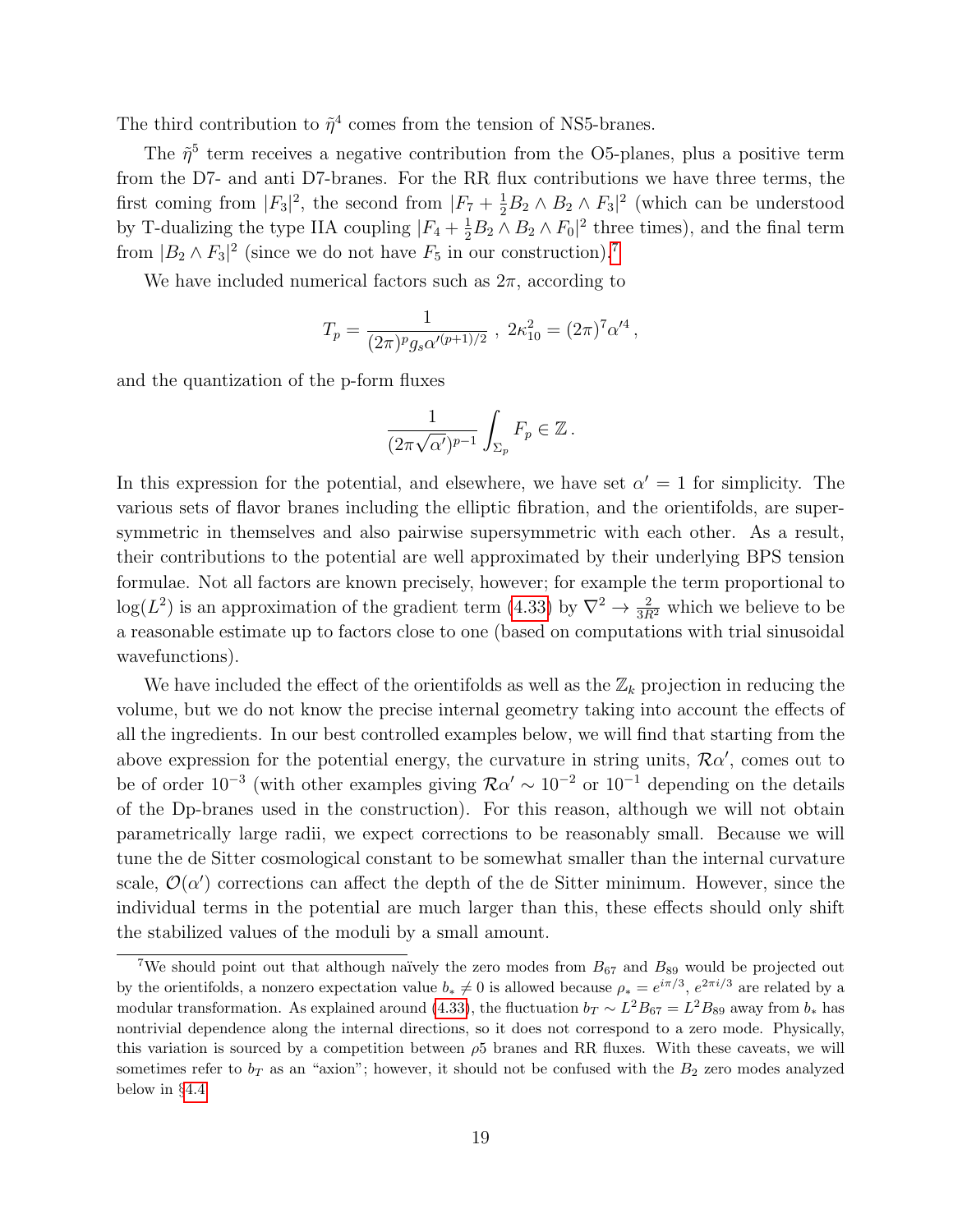The third contribution to  $\tilde{\eta}^4$  comes from the tension of NS5-branes.

The  $\tilde{\eta}^5$  term receives a negative contribution from the O5-planes, plus a positive term from the D7- and anti D7-branes. For the RR flux contributions we have three terms, the first coming from  $|F_3|^2$ , the second from  $|F_7 + \frac{1}{2}B_2 \wedge B_2 \wedge F_3|^2$  (which can be understood by T-dualizing the type IIA coupling  $|F_4 + \frac{1}{2}B_2 \wedge B_2 \wedge F_0|^2$  three times), and the final term from  $|B_2 \wedge F_3|^2$  (since we do not have  $F_5$  in our construction).<sup>[7](#page-19-0)</sup>

We have included numerical factors such as  $2\pi$ , according to

$$
T_p = \frac{1}{(2\pi)^p g_s \alpha^{(p+1)/2}}, \ 2\kappa_{10}^2 = (2\pi)^7 \alpha^{/4},
$$

and the quantization of the p-form fluxes

$$
\frac{1}{(2\pi\sqrt{\alpha'})^{p-1}}\int_{\Sigma_p}F_p\in\mathbb{Z}\,.
$$

In this expression for the potential, and elsewhere, we have set  $\alpha' = 1$  for simplicity. The various sets of flavor branes including the elliptic fibration, and the orientifolds, are supersymmetric in themselves and also pairwise supersymmetric with each other. As a result, their contributions to the potential are well approximated by their underlying BPS tension formulae. Not all factors are known precisely, however; for example the term proportional to  $log(L^2)$  is an approximation of the gradient term [\(4.33\)](#page-15-1) by  $\nabla^2 \to \frac{2}{3R^2}$  which we believe to be a reasonable estimate up to factors close to one (based on computations with trial sinusoidal wavefunctions).

We have included the effect of the orientifolds as well as the  $\mathbb{Z}_k$  projection in reducing the volume, but we do not know the precise internal geometry taking into account the effects of all the ingredients. In our best controlled examples below, we will find that starting from the above expression for the potential energy, the curvature in string units,  $\mathcal{R}\alpha'$ , comes out to be of order 10<sup>-3</sup> (with other examples giving  $\mathcal{R}\alpha' \sim 10^{-2}$  or  $10^{-1}$  depending on the details of the Dp-branes used in the construction). For this reason, although we will not obtain parametrically large radii, we expect corrections to be reasonably small. Because we will tune the de Sitter cosmological constant to be somewhat smaller than the internal curvature scale,  $\mathcal{O}(\alpha')$  corrections can affect the depth of the de Sitter minimum. However, since the individual terms in the potential are much larger than this, these effects should only shift the stabilized values of the moduli by a small amount.

<span id="page-19-0"></span><sup>&</sup>lt;sup>7</sup>We should point out that although naïvely the zero modes from  $B_{67}$  and  $B_{89}$  would be projected out by the orientifolds, a nonzero expectation value  $b_* \neq 0$  is allowed because  $\rho_* = e^{i\pi/3}$ ,  $e^{2\pi i/3}$  are related by a modular transformation. As explained around [\(4.33\)](#page-15-1), the fluctuation  $b_T \sim L^2 B_{67} = L^2 B_{89}$  away from  $b_*$  has nontrivial dependence along the internal directions, so it does not correspond to a zero mode. Physically, this variation is sourced by a competition between  $\rho$ 5 branes and RR fluxes. With these caveats, we will sometimes refer to  $b_T$  as an "axion"; however, it should not be confused with the  $B_2$  zero modes analyzed below in §[4.4.](#page-25-0)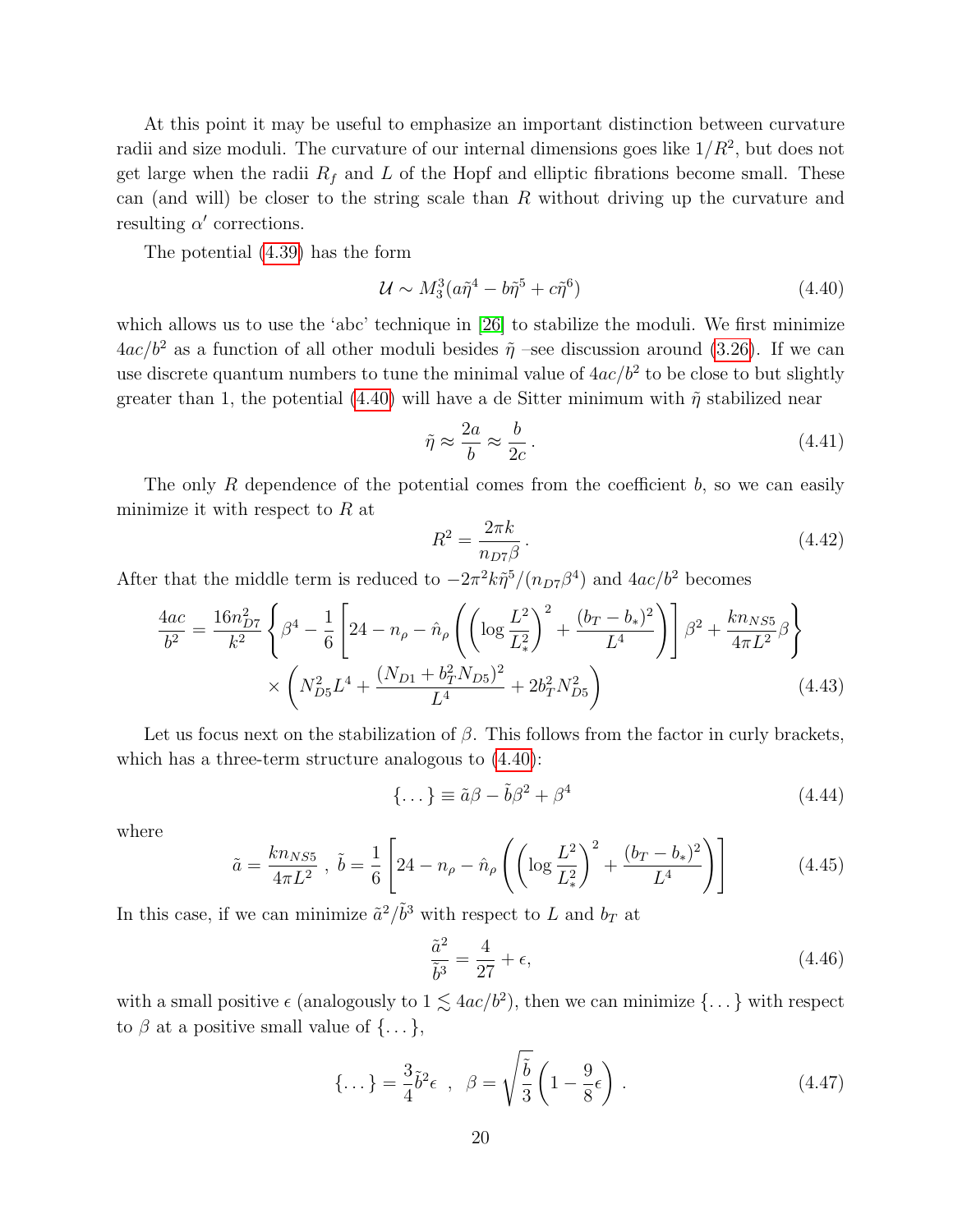At this point it may be useful to emphasize an important distinction between curvature radii and size moduli. The curvature of our internal dimensions goes like  $1/R^2$ , but does not get large when the radii  $R_f$  and L of the Hopf and elliptic fibrations become small. These can (and will) be closer to the string scale than  $R$  without driving up the curvature and resulting  $\alpha'$  corrections.

The potential [\(4.39\)](#page-18-1) has the form

<span id="page-20-0"></span>
$$
\mathcal{U} \sim M_3^3 (a\tilde{\eta}^4 - b\tilde{\eta}^5 + c\tilde{\eta}^6) \tag{4.40}
$$

which allows us to use the 'abc' technique in [\[26\]](#page-36-1) to stabilize the moduli. We first minimize  $4ac/b^2$  as a function of all other moduli besides  $\tilde{\eta}$  –see discussion around [\(3.26\)](#page-11-1). If we can use discrete quantum numbers to tune the minimal value of  $4ac/b^2$  to be close to but slightly greater than 1, the potential [\(4.40\)](#page-20-0) will have a de Sitter minimum with  $\tilde{\eta}$  stabilized near

$$
\tilde{\eta} \approx \frac{2a}{b} \approx \frac{b}{2c} \,. \tag{4.41}
$$

The only R dependence of the potential comes from the coefficient  $b$ , so we can easily minimize it with respect to  $R$  at

<span id="page-20-2"></span>
$$
R^2 = \frac{2\pi k}{n_{D7}\beta} \,. \tag{4.42}
$$

After that the middle term is reduced to  $-2\pi^2k\tilde{\eta}^5/(n_{D7}\beta^4)$  and  $4ac/b^2$  becomes

$$
\frac{4ac}{b^2} = \frac{16n_{D7}^2}{k^2} \left\{ \beta^4 - \frac{1}{6} \left[ 24 - n_\rho - \hat{n}_\rho \left( \left( \log \frac{L^2}{L_*^2} \right)^2 + \frac{(b_T - b_*)^2}{L^4} \right) \right] \beta^2 + \frac{kn_{NS5}}{4\pi L^2} \beta \right\}
$$

$$
\times \left( N_{D5}^2 L^4 + \frac{(N_{D1} + b_T^2 N_{D5})^2}{L^4} + 2b_T^2 N_{D5}^2 \right) \tag{4.43}
$$

Let us focus next on the stabilization of  $\beta$ . This follows from the factor in curly brackets, which has a three-term structure analogous to [\(4.40\)](#page-20-0):

<span id="page-20-3"></span>
$$
\{\dots\} \equiv \tilde{a}\beta - \tilde{b}\beta^2 + \beta^4 \tag{4.44}
$$

where

$$
\tilde{a} = \frac{k n_{NS5}}{4\pi L^2}, \quad \tilde{b} = \frac{1}{6} \left[ 24 - n_{\rho} - \hat{n}_{\rho} \left( \left( \log \frac{L^2}{L_*^2} \right)^2 + \frac{(b_T - b_*)^2}{L^4} \right) \right]
$$
(4.45)

In this case, if we can minimize  $\tilde{a}^2/\tilde{b}^3$  with respect to L and  $b_T$  at

<span id="page-20-1"></span>
$$
\frac{\tilde{a}^2}{\tilde{b}^3} = \frac{4}{27} + \epsilon,\tag{4.46}
$$

with a small positive  $\epsilon$  (analogously to  $1 \lesssim 4ac/b^2$ ), then we can minimize  $\{\ldots\}$  with respect to  $\beta$  at a positive small value of  $\{\ldots\},\$ 

$$
\{\ldots\} = \frac{3}{4}\tilde{b}^2\epsilon \ , \ \ \beta = \sqrt{\frac{\tilde{b}}{3}}\left(1 - \frac{9}{8}\epsilon\right) \ . \tag{4.47}
$$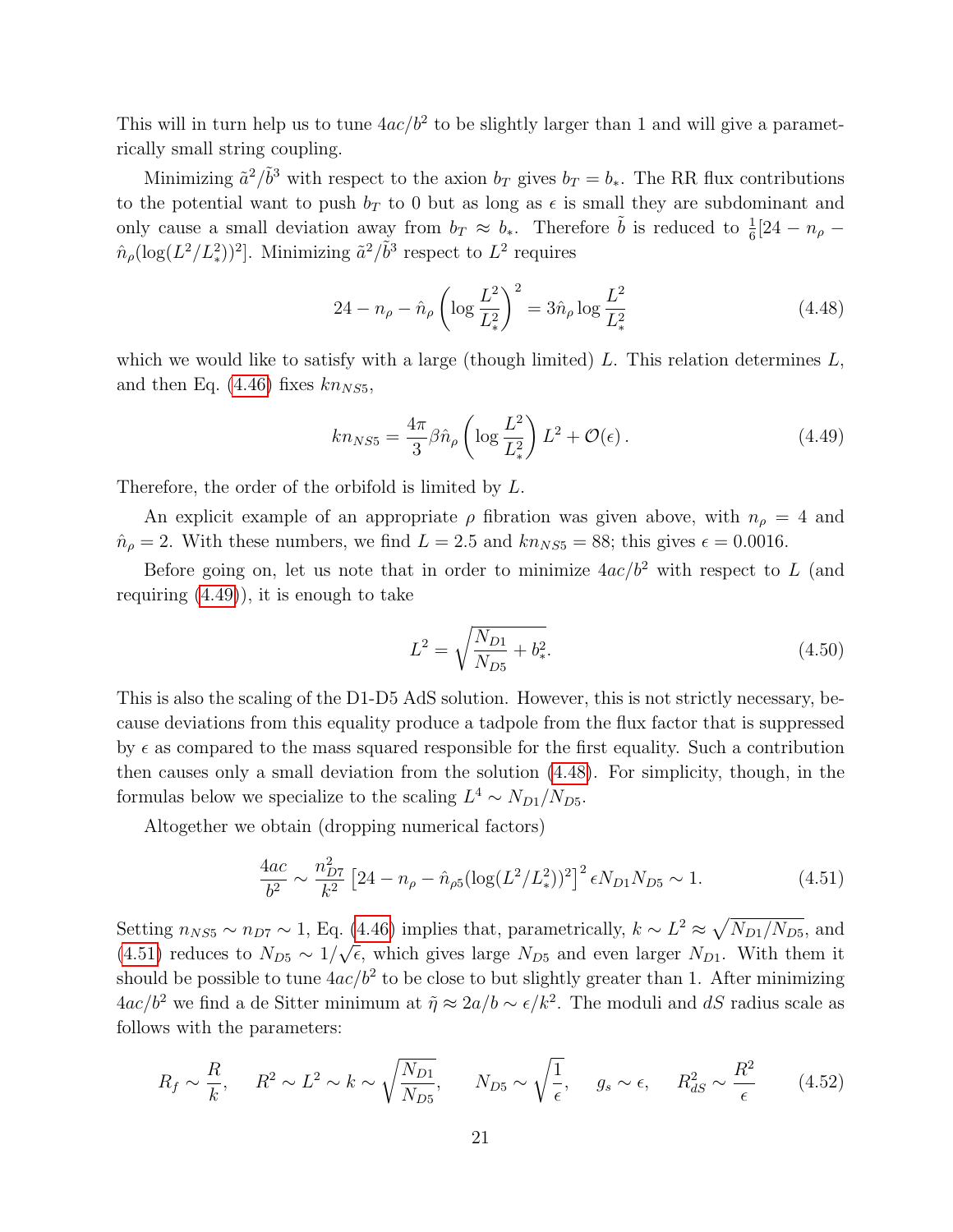This will in turn help us to tune  $4ac/b^2$  to be slightly larger than 1 and will give a parametrically small string coupling.

Minimizing  $\tilde{a}^2/\tilde{b}^3$  with respect to the axion  $b_T$  gives  $b_T = b_*$ . The RR flux contributions to the potential want to push  $b_T$  to 0 but as long as  $\epsilon$  is small they are subdominant and only cause a small deviation away from  $b_T \approx b_*$ . Therefore  $\tilde{b}$  is reduced to  $\frac{1}{6}$ [24 –  $n_\rho$  –  $\hat{n}_{\rho}(\log(L^2/L_*^2))^2]$ . Minimizing  $\tilde{a}^2/\tilde{b}^3$  respect to  $L^2$  requires

<span id="page-21-1"></span>
$$
24 - n_{\rho} - \hat{n}_{\rho} \left( \log \frac{L^2}{L_*^2} \right)^2 = 3\hat{n}_{\rho} \log \frac{L^2}{L_*^2}
$$
 (4.48)

which we would like to satisfy with a large (though limited) L. This relation determines  $L$ , and then Eq. [\(4.46\)](#page-20-1) fixes  $kn_{NS5}$ ,

<span id="page-21-0"></span>
$$
kn_{NS5} = \frac{4\pi}{3} \beta \hat{n}_{\rho} \left( \log \frac{L^2}{L_*^2} \right) L^2 + \mathcal{O}(\epsilon).
$$
 (4.49)

Therefore, the order of the orbifold is limited by L.

An explicit example of an appropriate  $\rho$  fibration was given above, with  $n_{\rho} = 4$  and  $n<sub>ρ</sub> = 2$ . With these numbers, we find  $L = 2.5$  and  $kn<sub>NS5</sub> = 88$ ; this gives  $\epsilon = 0.0016$ .

Before going on, let us note that in order to minimize  $4ac/b^2$  with respect to L (and requiring  $(4.49)$ , it is enough to take

$$
L^2 = \sqrt{\frac{N_{D1}}{N_{D5}} + b_*^2}.\tag{4.50}
$$

This is also the scaling of the D1-D5 AdS solution. However, this is not strictly necessary, because deviations from this equality produce a tadpole from the flux factor that is suppressed by  $\epsilon$  as compared to the mass squared responsible for the first equality. Such a contribution then causes only a small deviation from the solution [\(4.48\)](#page-21-1). For simplicity, though, in the formulas below we specialize to the scaling  $L^4 \sim N_{D1}/N_{D5}$ .

Altogether we obtain (dropping numerical factors)

<span id="page-21-2"></span>
$$
\frac{4ac}{b^2} \sim \frac{n_{D7}^2}{k^2} \left[ 24 - n_\rho - \hat{n}_{\rho 5} (\log(L^2/L_*^2))^2 \right]^2 \epsilon N_{D1} N_{D5} \sim 1. \tag{4.51}
$$

Setting  $n_{NS5} \sim n_{D7} \sim 1$ , Eq. [\(4.46\)](#page-20-1) implies that, parametrically,  $k \sim L^2 \approx \sqrt{N_{D1}/N_{D5}}$ , and [\(4.51\)](#page-21-2) reduces to  $N_{D5} \sim 1/\sqrt{\epsilon}$ , which gives large  $N_{D5}$  and even larger  $N_{D1}$ . With them it should be possible to tune  $4ac/b^2$  to be close to but slightly greater than 1. After minimizing  $4ac/b^2$  we find a de Sitter minimum at  $\tilde{\eta} \approx 2a/b \sim \epsilon/k^2$ . The moduli and dS radius scale as follows with the parameters:

<span id="page-21-3"></span>
$$
R_f \sim \frac{R}{k}
$$
,  $R^2 \sim L^2 \sim k \sim \sqrt{\frac{N_{D1}}{N_{D5}}}$ ,  $N_{D5} \sim \sqrt{\frac{1}{\epsilon}}$ ,  $g_s \sim \epsilon$ ,  $R_{dS}^2 \sim \frac{R^2}{\epsilon}$  (4.52)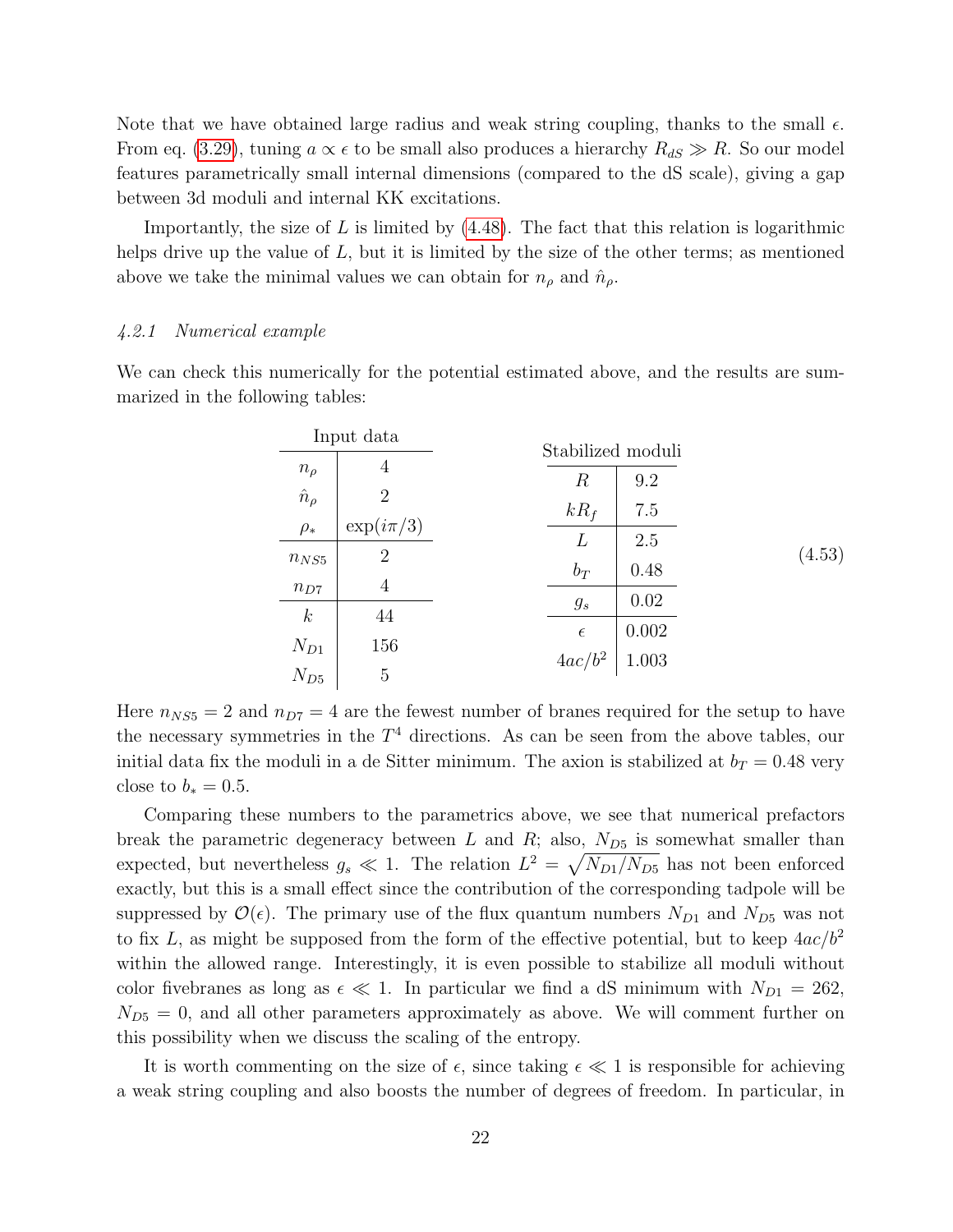Note that we have obtained large radius and weak string coupling, thanks to the small  $\epsilon$ . From eq. [\(3.29\)](#page-12-1), tuning  $a \propto \epsilon$  to be small also produces a hierarchy  $R_{dS} \gg R$ . So our model features parametrically small internal dimensions (compared to the dS scale), giving a gap between 3d moduli and internal KK excitations.

Importantly, the size of  $L$  is limited by  $(4.48)$ . The fact that this relation is logarithmic helps drive up the value of  $L$ , but it is limited by the size of the other terms; as mentioned above we take the minimal values we can obtain for  $n_{\rho}$  and  $\hat{n}_{\rho}$ .

#### <span id="page-22-0"></span>4.2.1 Numerical example

We can check this numerically for the potential estimated above, and the results are summarized in the following tables:

| Input data       |                | Stabilized moduli        |       |        |  |  |  |
|------------------|----------------|--------------------------|-------|--------|--|--|--|
| $n_{\rho}$       | 4              | $\, R \,$                | 9.2   |        |  |  |  |
| $\hat{n}_{\rho}$ | $\overline{2}$ |                          |       |        |  |  |  |
| $\rho_*$         | $\exp(i\pi/3)$ | $kR_f$                   | 7.5   |        |  |  |  |
| $n_{NS5}$        | $\overline{2}$ | L                        | 2.5   | (4.53) |  |  |  |
| $n_{D7}$         | 4              | $b_T$                    | 0.48  |        |  |  |  |
| $\boldsymbol{k}$ | 44             | $g_s$                    | 0.02  |        |  |  |  |
|                  |                |                          | 0.002 |        |  |  |  |
| $N_{D1}$         | 156            | $rac{\epsilon}{4ac/b^2}$ | 1.003 |        |  |  |  |
| $N_{D5}$         | 5              |                          |       |        |  |  |  |

Here  $n_{NS5} = 2$  and  $n_{D7} = 4$  are the fewest number of branes required for the setup to have the necessary symmetries in the  $T<sup>4</sup>$  directions. As can be seen from the above tables, our initial data fix the moduli in a de Sitter minimum. The axion is stabilized at  $b_T = 0.48$  very close to  $b_* = 0.5$ .

Comparing these numbers to the parametrics above, we see that numerical prefactors break the parametric degeneracy between  $L$  and  $R$ ; also,  $N_{D5}$  is somewhat smaller than expected, but nevertheless  $g_s \ll 1$ . The relation  $L^2 = \sqrt{N_{D1}/N_{D5}}$  has not been enforced exactly, but this is a small effect since the contribution of the corresponding tadpole will be suppressed by  $\mathcal{O}(\epsilon)$ . The primary use of the flux quantum numbers  $N_{D1}$  and  $N_{D5}$  was not to fix L, as might be supposed from the form of the effective potential, but to keep  $4ac/b^2$ within the allowed range. Interestingly, it is even possible to stabilize all moduli without color fivebranes as long as  $\epsilon \ll 1$ . In particular we find a dS minimum with  $N_{D1} = 262$ ,  $N_{D5} = 0$ , and all other parameters approximately as above. We will comment further on this possibility when we discuss the scaling of the entropy.

It is worth commenting on the size of  $\epsilon$ , since taking  $\epsilon \ll 1$  is responsible for achieving a weak string coupling and also boosts the number of degrees of freedom. In particular, in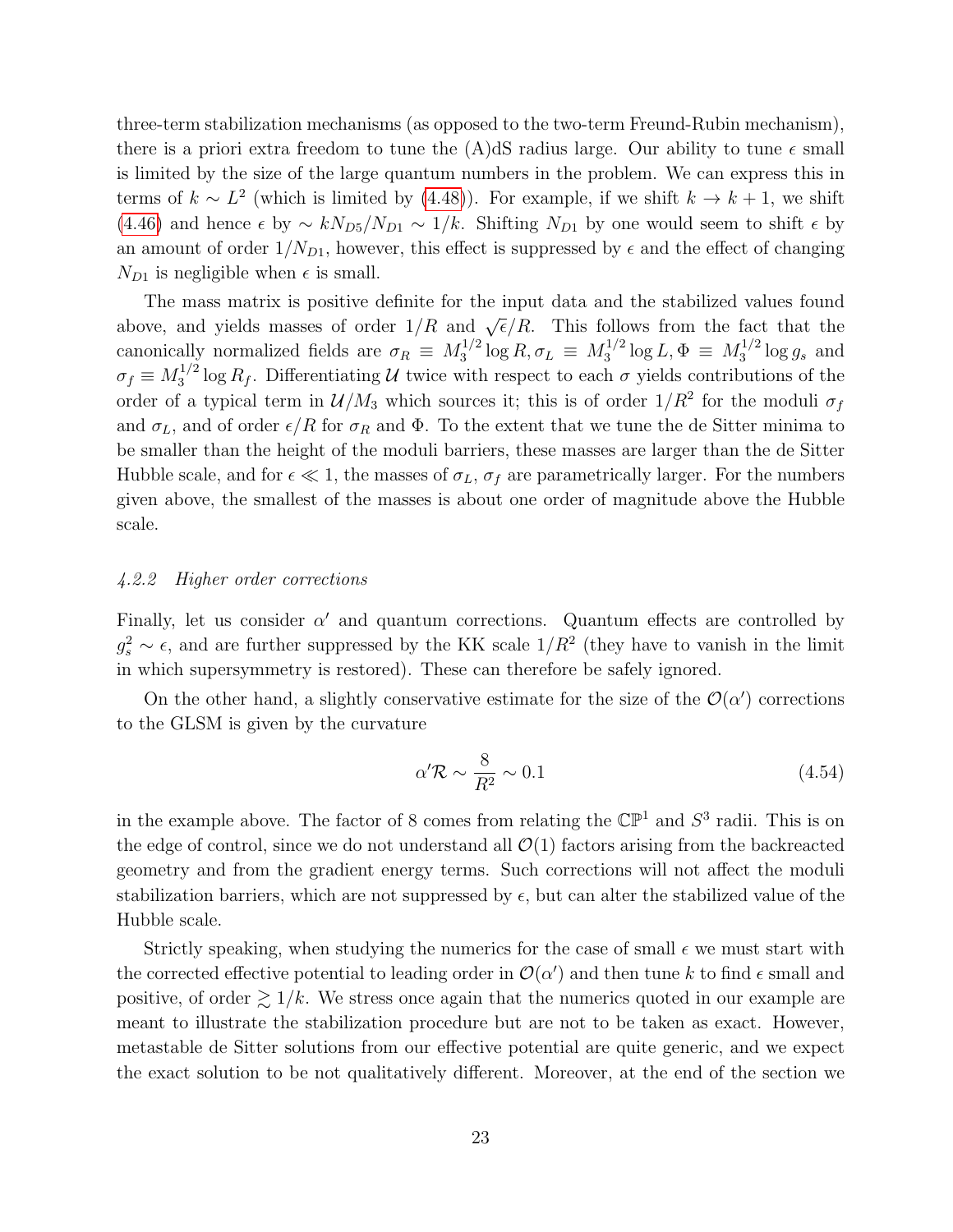three-term stabilization mechanisms (as opposed to the two-term Freund-Rubin mechanism), there is a priori extra freedom to tune the  $(A)dS$  radius large. Our ability to tune  $\epsilon$  small is limited by the size of the large quantum numbers in the problem. We can express this in terms of  $k \sim L^2$  (which is limited by [\(4.48\)](#page-21-1)). For example, if we shift  $k \to k+1$ , we shift [\(4.46\)](#page-20-1) and hence  $\epsilon$  by  $\sim kN_{D5}/N_{D1} \sim 1/k$ . Shifting  $N_{D1}$  by one would seem to shift  $\epsilon$  by an amount of order  $1/N_{D1}$ , however, this effect is suppressed by  $\epsilon$  and the effect of changing  $N_{D1}$  is negligible when  $\epsilon$  is small.

The mass matrix is positive definite for the input data and the stabilized values found above, and yields masses of order  $1/R$  and  $\sqrt{\epsilon}/R$ . This follows from the fact that the canonically normalized fields are  $\sigma_R \equiv M_3^{1/2}$  $\log^{1/2} \log R, \sigma_L \equiv M_3^{1/2}$  $3^{1/2} \log L, \Phi \equiv M_3^{1/2}$  $3^{1/2} \log g_s$  and  $\sigma_f \equiv M_3^{1/2}$  $3^{1/2}$  log  $R_f$ . Differentiating U twice with respect to each  $\sigma$  yields contributions of the order of a typical term in  $\mathcal{U}/M_3$  which sources it; this is of order  $1/R^2$  for the moduli  $\sigma_f$ and  $\sigma_L$ , and of order  $\epsilon/R$  for  $\sigma_R$  and  $\Phi$ . To the extent that we tune the de Sitter minima to be smaller than the height of the moduli barriers, these masses are larger than the de Sitter Hubble scale, and for  $\epsilon \ll 1$ , the masses of  $\sigma_L$ ,  $\sigma_f$  are parametrically larger. For the numbers given above, the smallest of the masses is about one order of magnitude above the Hubble scale.

#### <span id="page-23-0"></span>4.2.2 Higher order corrections

Finally, let us consider  $\alpha'$  and quantum corrections. Quantum effects are controlled by  $g_s^2 \sim \epsilon$ , and are further suppressed by the KK scale  $1/R^2$  (they have to vanish in the limit in which supersymmetry is restored). These can therefore be safely ignored.

On the other hand, a slightly conservative estimate for the size of the  $\mathcal{O}(\alpha')$  corrections to the GLSM is given by the curvature

$$
\alpha' \mathcal{R} \sim \frac{8}{R^2} \sim 0.1\tag{4.54}
$$

in the example above. The factor of 8 comes from relating the  $\mathbb{CP}^1$  and  $S^3$  radii. This is on the edge of control, since we do not understand all  $\mathcal{O}(1)$  factors arising from the backreacted geometry and from the gradient energy terms. Such corrections will not affect the moduli stabilization barriers, which are not suppressed by  $\epsilon$ , but can alter the stabilized value of the Hubble scale.

Strictly speaking, when studying the numerics for the case of small  $\epsilon$  we must start with the corrected effective potential to leading order in  $\mathcal{O}(\alpha')$  and then tune k to find  $\epsilon$  small and positive, of order  $\gtrsim 1/k$ . We stress once again that the numerics quoted in our example are meant to illustrate the stabilization procedure but are not to be taken as exact. However, metastable de Sitter solutions from our effective potential are quite generic, and we expect the exact solution to be not qualitatively different. Moreover, at the end of the section we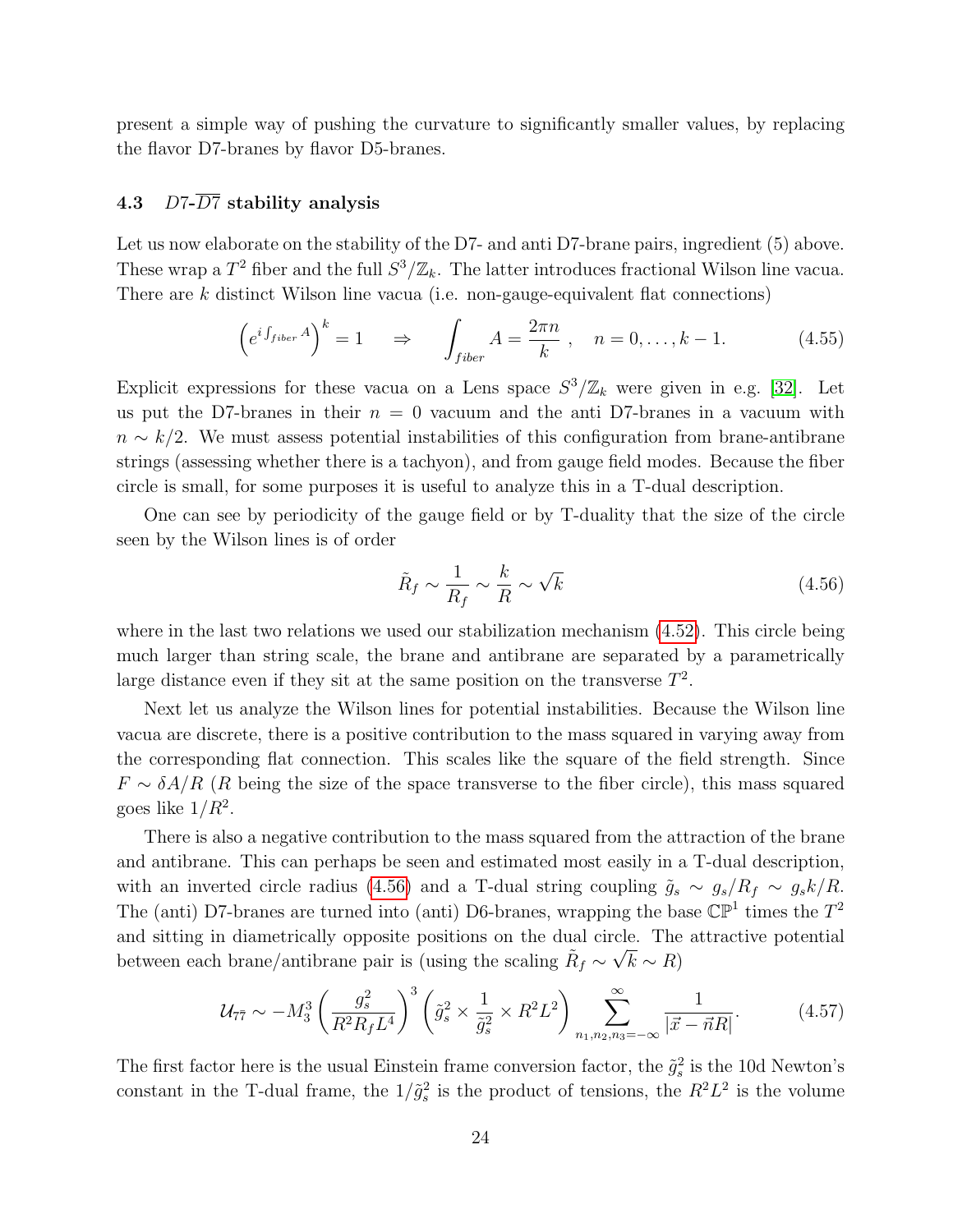present a simple way of pushing the curvature to significantly smaller values, by replacing the flavor D7-branes by flavor D5-branes.

### <span id="page-24-0"></span>4.3 D7- $\overline{D7}$  stability analysis

Let us now elaborate on the stability of the D7- and anti D7-brane pairs, ingredient (5) above. These wrap a  $T^2$  fiber and the full  $S^3/\mathbb{Z}_k$ . The latter introduces fractional Wilson line vacua. There are  $k$  distinct Wilson line vacua (i.e. non-gauge-equivalent flat connections)

$$
\left(e^{i\int_{fiber}A}\right)^k = 1 \quad \Rightarrow \quad \int_{fiber} A = \frac{2\pi n}{k} \,, \quad n = 0, \dots, k - 1. \tag{4.55}
$$

Explicit expressions for these vacua on a Lens space  $S^3/\mathbb{Z}_k$  were given in e.g. [\[32\]](#page-37-3). Let us put the D7-branes in their  $n = 0$  vacuum and the anti D7-branes in a vacuum with  $n \sim k/2$ . We must assess potential instabilities of this configuration from brane-antibrane strings (assessing whether there is a tachyon), and from gauge field modes. Because the fiber circle is small, for some purposes it is useful to analyze this in a T-dual description.

One can see by periodicity of the gauge field or by T-duality that the size of the circle seen by the Wilson lines is of order

<span id="page-24-1"></span>
$$
\tilde{R}_f \sim \frac{1}{R_f} \sim \frac{k}{R} \sim \sqrt{k} \tag{4.56}
$$

where in the last two relations we used our stabilization mechanism  $(4.52)$ . This circle being much larger than string scale, the brane and antibrane are separated by a parametrically large distance even if they sit at the same position on the transverse  $T^2$ .

Next let us analyze the Wilson lines for potential instabilities. Because the Wilson line vacua are discrete, there is a positive contribution to the mass squared in varying away from the corresponding flat connection. This scales like the square of the field strength. Since  $F \sim \delta A/R$  (R being the size of the space transverse to the fiber circle), this mass squared goes like  $1/R^2$ .

There is also a negative contribution to the mass squared from the attraction of the brane and antibrane. This can perhaps be seen and estimated most easily in a T-dual description, with an inverted circle radius [\(4.56\)](#page-24-1) and a T-dual string coupling  $\tilde{g}_s \sim g_s/R_f \sim g_s k/R$ . The (anti) D7-branes are turned into (anti) D6-branes, wrapping the base  $\mathbb{CP}^1$  times the  $T^2$ and sitting in diametrically opposite positions on the dual circle. The attractive potential between each brane/antibrane pair is (using the scaling  $\tilde{R}_f \sim \sqrt{k} \sim R$ )

$$
\mathcal{U}_{7\bar{7}} \sim -M_3^3 \left(\frac{g_s^2}{R^2 R_f L^4}\right)^3 \left(\tilde{g}_s^2 \times \frac{1}{\tilde{g}_s^2} \times R^2 L^2\right) \sum_{n_1, n_2, n_3 = -\infty}^{\infty} \frac{1}{|\vec{x} - \vec{n}R|}.
$$
 (4.57)

The first factor here is the usual Einstein frame conversion factor, the  $\tilde{g}_s^2$  is the 10d Newton's constant in the T-dual frame, the  $1/\tilde{g}_s^2$  is the product of tensions, the  $R^2L^2$  is the volume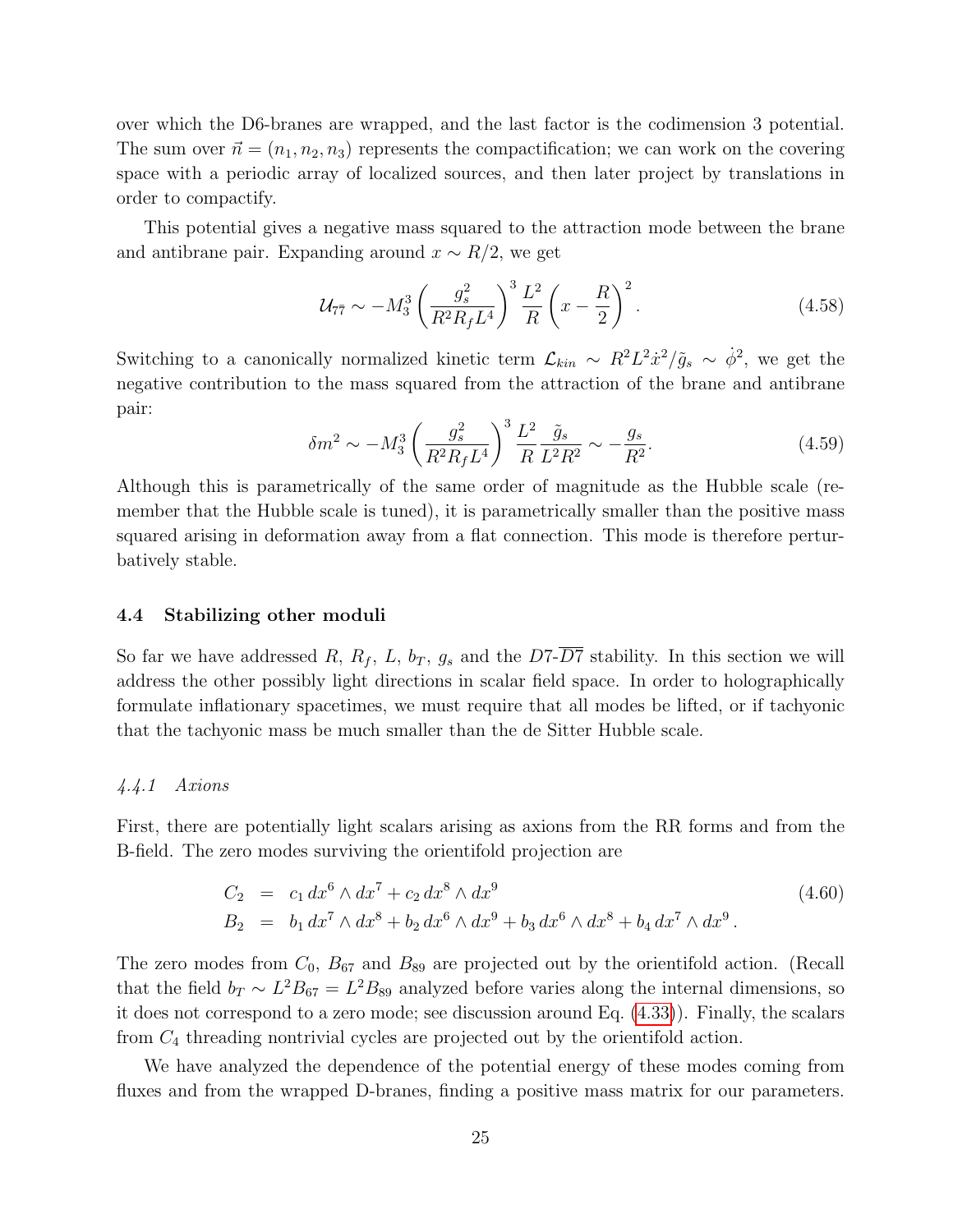over which the D6-branes are wrapped, and the last factor is the codimension 3 potential. The sum over  $\vec{n} = (n_1, n_2, n_3)$  represents the compactification; we can work on the covering space with a periodic array of localized sources, and then later project by translations in order to compactify.

This potential gives a negative mass squared to the attraction mode between the brane and antibrane pair. Expanding around  $x \sim R/2$ , we get

$$
\mathcal{U}_{7\bar{7}} \sim -M_3^3 \left(\frac{g_s^2}{R^2 R_f L^4}\right)^3 \frac{L^2}{R} \left(x - \frac{R}{2}\right)^2. \tag{4.58}
$$

Switching to a canonically normalized kinetic term  $\mathcal{L}_{kin} \sim R^2 L^2 \dot{x}^2 / \tilde{g}_s \sim \dot{\phi}^2$ , we get the negative contribution to the mass squared from the attraction of the brane and antibrane pair:

$$
\delta m^2 \sim -M_3^3 \left(\frac{g_s^2}{R^2 R_f L^4}\right)^3 \frac{L^2}{R} \frac{\tilde{g}_s}{L^2 R^2} \sim -\frac{g_s}{R^2}.\tag{4.59}
$$

Although this is parametrically of the same order of magnitude as the Hubble scale (remember that the Hubble scale is tuned), it is parametrically smaller than the positive mass squared arising in deformation away from a flat connection. This mode is therefore perturbatively stable.

#### <span id="page-25-0"></span>4.4 Stabilizing other moduli

So far we have addressed R,  $R_f$ , L,  $b_T$ ,  $g_s$  and the D7- $\overline{D7}$  stability. In this section we will address the other possibly light directions in scalar field space. In order to holographically formulate inflationary spacetimes, we must require that all modes be lifted, or if tachyonic that the tachyonic mass be much smaller than the de Sitter Hubble scale.

#### <span id="page-25-1"></span>4.4.1 Axions

First, there are potentially light scalars arising as axions from the RR forms and from the B-field. The zero modes surviving the orientifold projection are

<span id="page-25-2"></span>
$$
C_2 = c_1 dx^6 \wedge dx^7 + c_2 dx^8 \wedge dx^9
$$
  
\n
$$
B_2 = b_1 dx^7 \wedge dx^8 + b_2 dx^6 \wedge dx^9 + b_3 dx^6 \wedge dx^8 + b_4 dx^7 \wedge dx^9.
$$
\n(4.60)

The zero modes from  $C_0$ ,  $B_{67}$  and  $B_{89}$  are projected out by the orientifold action. (Recall that the field  $b_T \sim L^2 B_{67} = L^2 B_{89}$  analyzed before varies along the internal dimensions, so it does not correspond to a zero mode; see discussion around Eq. [\(4.33\)](#page-15-1)). Finally, the scalars from  $C_4$  threading nontrivial cycles are projected out by the orientifold action.

We have analyzed the dependence of the potential energy of these modes coming from fluxes and from the wrapped D-branes, finding a positive mass matrix for our parameters.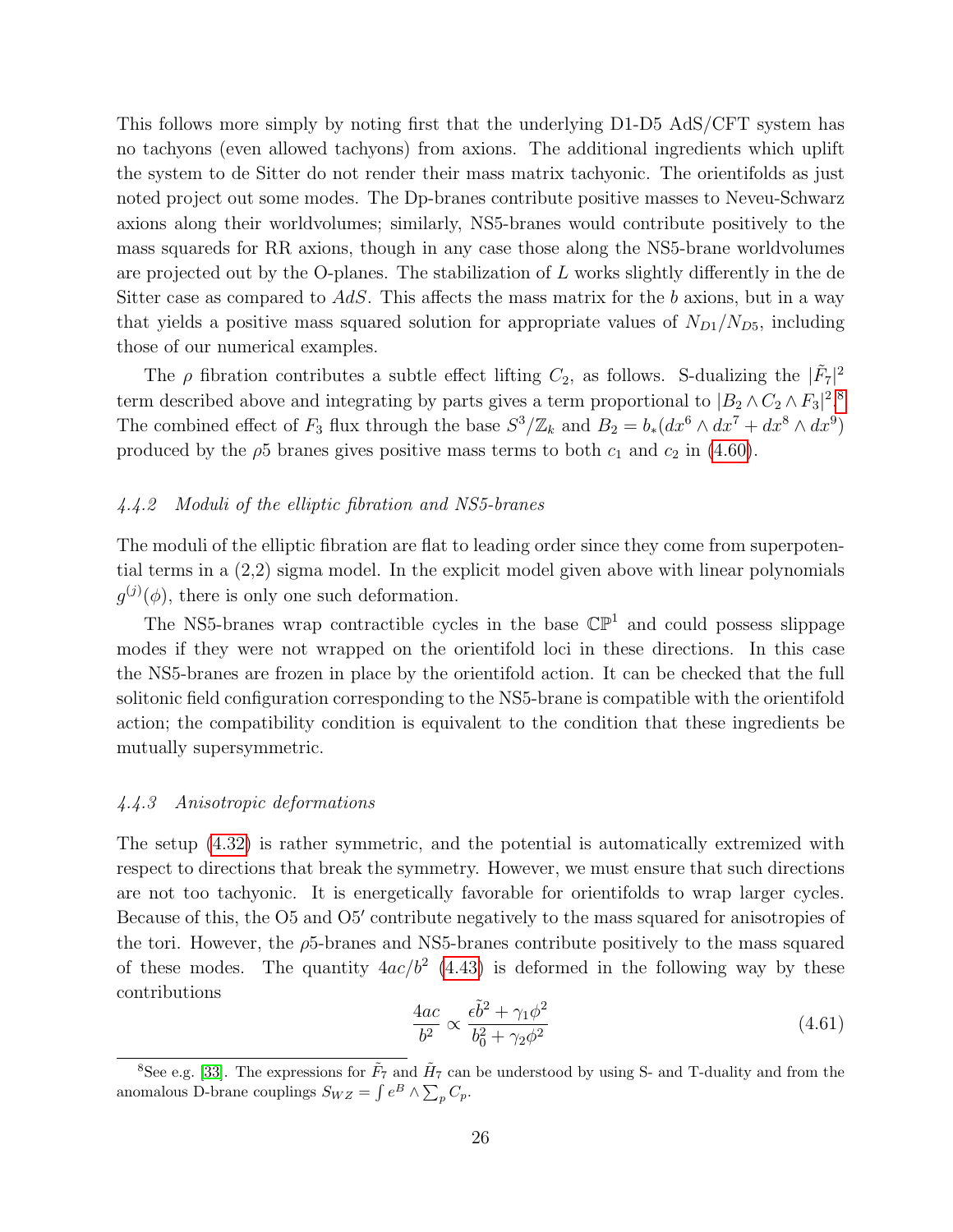This follows more simply by noting first that the underlying D1-D5 AdS/CFT system has no tachyons (even allowed tachyons) from axions. The additional ingredients which uplift the system to de Sitter do not render their mass matrix tachyonic. The orientifolds as just noted project out some modes. The Dp-branes contribute positive masses to Neveu-Schwarz axions along their worldvolumes; similarly, NS5-branes would contribute positively to the mass squareds for RR axions, though in any case those along the NS5-brane worldvolumes are projected out by the O-planes. The stabilization of  $L$  works slightly differently in the de Sitter case as compared to  $AdS$ . This affects the mass matrix for the b axions, but in a way that yields a positive mass squared solution for appropriate values of  $N_{D1}/N_{D5}$ , including those of our numerical examples.

The  $\rho$  fibration contributes a subtle effect lifting  $C_2$ , as follows. S-dualizing the  $|\tilde{F}_7|^2$ term described above and integrating by parts gives a term proportional to  $|B_2 \wedge C_2 \wedge F_3|^2$ .<sup>[8](#page-26-2)</sup> The combined effect of  $F_3$  flux through the base  $S^3/\mathbb{Z}_k$  and  $B_2 = b_*(dx^6 \wedge dx^7 + dx^8 \wedge dx^9)$ produced by the  $\rho$ 5 branes gives positive mass terms to both  $c_1$  and  $c_2$  in [\(4.60\)](#page-25-2).

#### <span id="page-26-0"></span>4.4.2 Moduli of the elliptic fibration and NS5-branes

The moduli of the elliptic fibration are flat to leading order since they come from superpotential terms in a (2,2) sigma model. In the explicit model given above with linear polynomials  $g^{(j)}(\phi)$ , there is only one such deformation.

The NS5-branes wrap contractible cycles in the base  $\mathbb{CP}^1$  and could possess slippage modes if they were not wrapped on the orientifold loci in these directions. In this case the NS5-branes are frozen in place by the orientifold action. It can be checked that the full solitonic field configuration corresponding to the NS5-brane is compatible with the orientifold action; the compatibility condition is equivalent to the condition that these ingredients be mutually supersymmetric.

#### <span id="page-26-1"></span>4.4.3 Anisotropic deformations

The setup [\(4.32\)](#page-14-1) is rather symmetric, and the potential is automatically extremized with respect to directions that break the symmetry. However, we must ensure that such directions are not too tachyonic. It is energetically favorable for orientifolds to wrap larger cycles. Because of this, the O5 and O5' contribute negatively to the mass squared for anisotropies of the tori. However, the  $\rho$ 5-branes and NS5-branes contribute positively to the mass squared of these modes. The quantity  $4ac/b^2$  [\(4.43\)](#page-20-2) is deformed in the following way by these contributions

$$
\frac{4ac}{b^2} \propto \frac{\epsilon \tilde{b}^2 + \gamma_1 \phi^2}{b_0^2 + \gamma_2 \phi^2}
$$
\n(4.61)

<span id="page-26-2"></span><sup>&</sup>lt;sup>8</sup>See e.g. [\[33\]](#page-37-4). The expressions for  $\tilde{F}_7$  and  $\tilde{H}_7$  can be understood by using S- and T-duality and from the anomalous D-brane couplings  $S_{WZ} = \int e^B \wedge \sum_p C_p$ .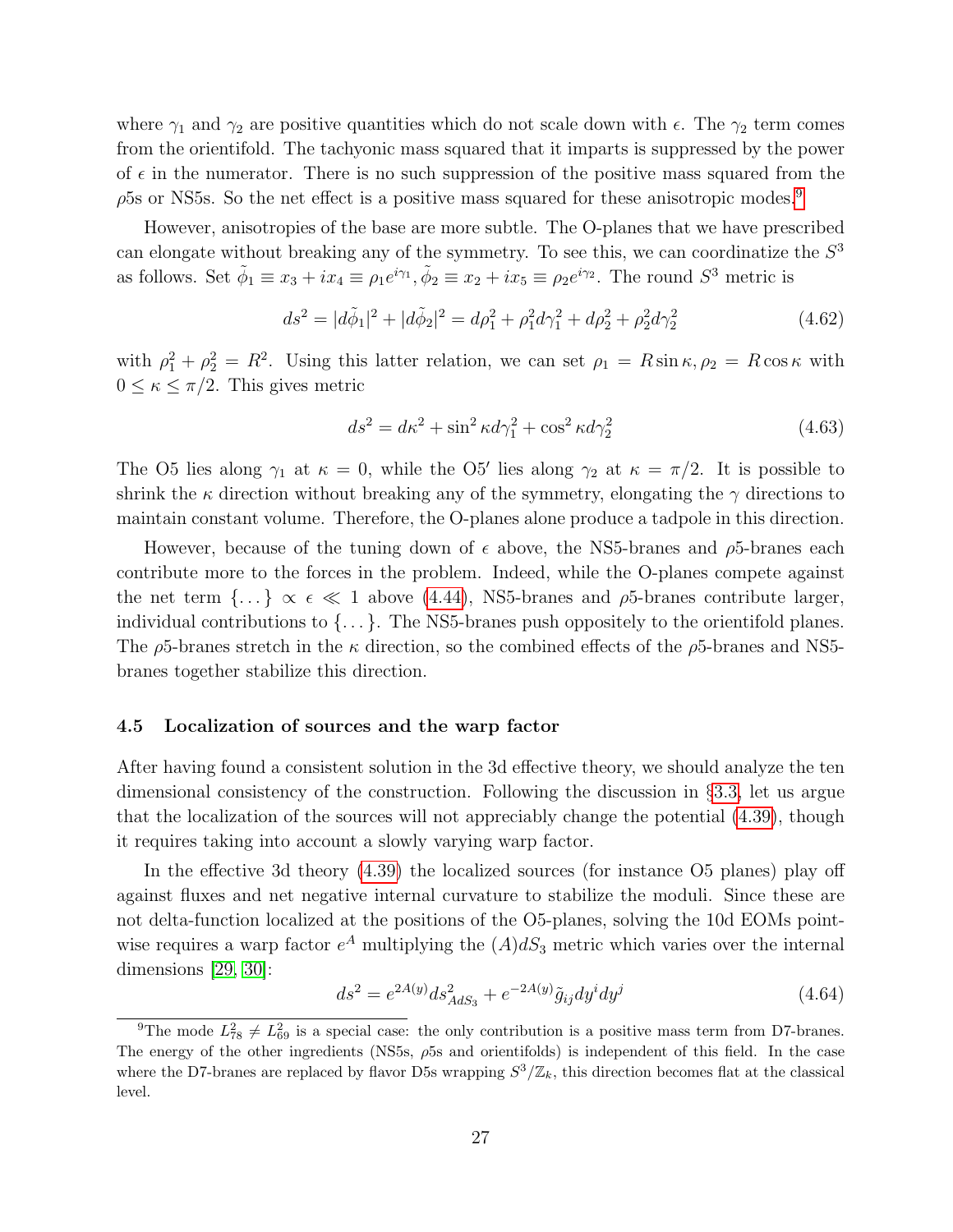where  $\gamma_1$  and  $\gamma_2$  are positive quantities which do not scale down with  $\epsilon$ . The  $\gamma_2$  term comes from the orientifold. The tachyonic mass squared that it imparts is suppressed by the power of  $\epsilon$  in the numerator. There is no such suppression of the positive mass squared from the  $\rho$ 5s or NS5s. So the net effect is a positive mass squared for these anisotropic modes.<sup>[9](#page-27-1)</sup>

However, anisotropies of the base are more subtle. The O-planes that we have prescribed can elongate without breaking any of the symmetry. To see this, we can coordinatize the  $S<sup>3</sup>$ as follows. Set  $\tilde{\phi}_1 \equiv x_3 + ix_4 \equiv \rho_1 e^{i\gamma_1}, \tilde{\phi}_2 \equiv x_2 + ix_5 \equiv \rho_2 e^{i\gamma_2}$ . The round  $S^3$  metric is

$$
ds^{2} = |d\tilde{\phi}_{1}|^{2} + |d\tilde{\phi}_{2}|^{2} = d\rho_{1}^{2} + \rho_{1}^{2}d\gamma_{1}^{2} + d\rho_{2}^{2} + \rho_{2}^{2}d\gamma_{2}^{2}
$$
\n(4.62)

with  $\rho_1^2 + \rho_2^2 = R^2$ . Using this latter relation, we can set  $\rho_1 = R \sin \kappa, \rho_2 = R \cos \kappa$  with  $0 \leq \kappa \leq \pi/2$ . This gives metric

$$
ds^2 = d\kappa^2 + \sin^2 \kappa d\gamma_1^2 + \cos^2 \kappa d\gamma_2^2 \tag{4.63}
$$

The O5 lies along  $\gamma_1$  at  $\kappa = 0$ , while the O5' lies along  $\gamma_2$  at  $\kappa = \pi/2$ . It is possible to shrink the  $\kappa$  direction without breaking any of the symmetry, elongating the  $\gamma$  directions to maintain constant volume. Therefore, the O-planes alone produce a tadpole in this direction.

However, because of the tuning down of  $\epsilon$  above, the NS5-branes and  $\rho$ 5-branes each contribute more to the forces in the problem. Indeed, while the O-planes compete against the net term  $\{\ldots\} \propto \epsilon \ll 1$  above [\(4.44\)](#page-20-3), NS5-branes and  $\rho$ 5-branes contribute larger, individual contributions to {. . . }. The NS5-branes push oppositely to the orientifold planes. The  $\rho$ 5-branes stretch in the  $\kappa$  direction, so the combined effects of the  $\rho$ 5-branes and NS5branes together stabilize this direction.

#### <span id="page-27-0"></span>4.5 Localization of sources and the warp factor

After having found a consistent solution in the 3d effective theory, we should analyze the ten dimensional consistency of the construction. Following the discussion in §[3.3,](#page-12-0) let us argue that the localization of the sources will not appreciably change the potential [\(4.39\)](#page-18-1), though it requires taking into account a slowly varying warp factor.

In the effective 3d theory [\(4.39\)](#page-18-1) the localized sources (for instance O5 planes) play off against fluxes and net negative internal curvature to stabilize the moduli. Since these are not delta-function localized at the positions of the O5-planes, solving the 10d EOMs pointwise requires a warp factor  $e^A$  multiplying the  $(A)dS_3$  metric which varies over the internal dimensions [\[29,](#page-37-0) [30\]](#page-37-1):

$$
ds^{2} = e^{2A(y)}ds^{2}_{AdS_{3}} + e^{-2A(y)}\tilde{g}_{ij}dy^{i}dy^{j}
$$
\n(4.64)

<span id="page-27-1"></span><sup>&</sup>lt;sup>9</sup>The mode  $L_{78}^2 \neq L_{69}^2$  is a special case: the only contribution is a positive mass term from D7-branes. The energy of the other ingredients (NS5s,  $\rho$ 5s and orientifolds) is independent of this field. In the case where the D7-branes are replaced by flavor D5s wrapping  $S^3/\mathbb{Z}_k$ , this direction becomes flat at the classical level.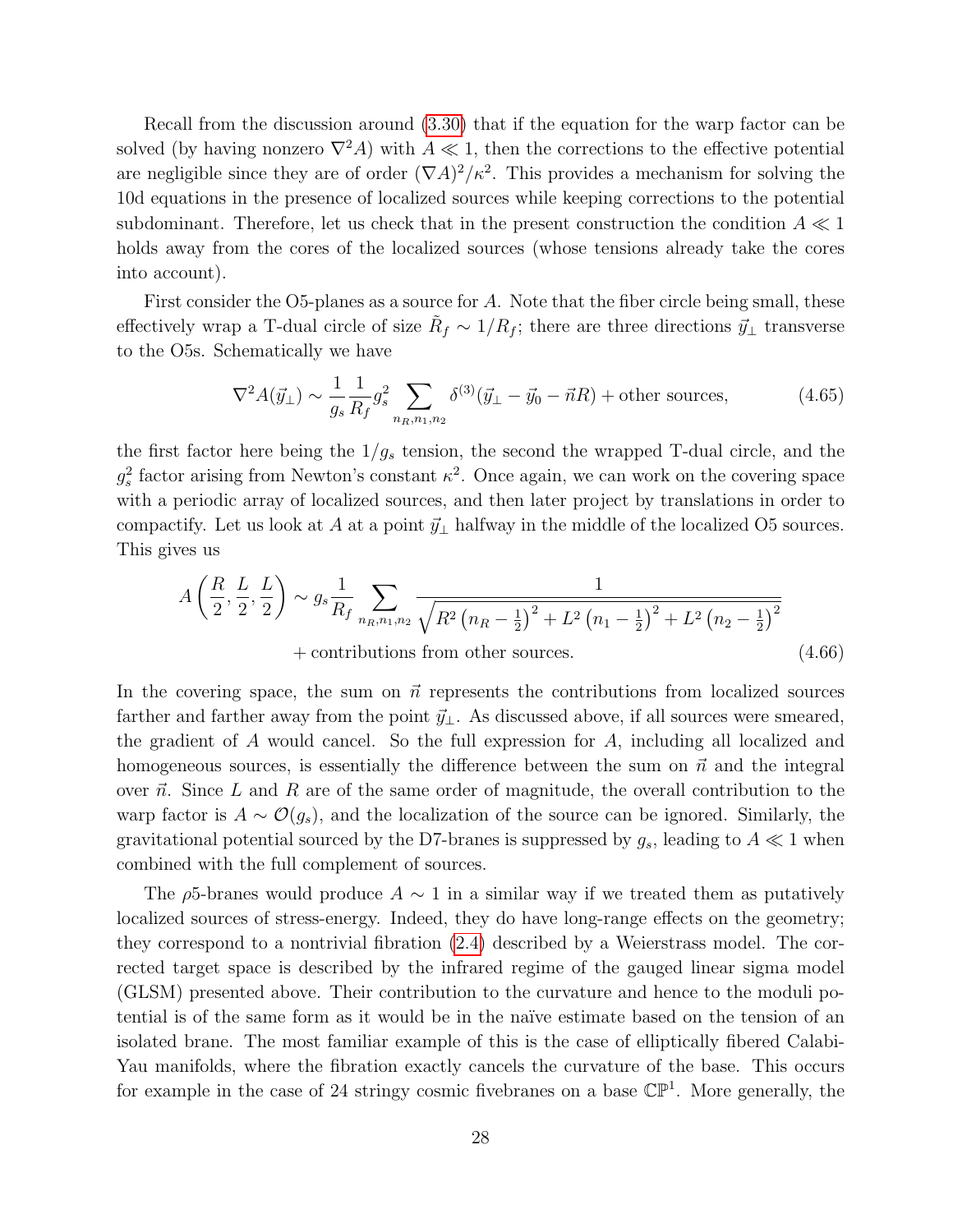Recall from the discussion around [\(3.30\)](#page-12-2) that if the equation for the warp factor can be solved (by having nonzero  $\nabla^2 A$ ) with  $A \ll 1$ , then the corrections to the effective potential are negligible since they are of order  $(\nabla A)^2/\kappa^2$ . This provides a mechanism for solving the 10d equations in the presence of localized sources while keeping corrections to the potential subdominant. Therefore, let us check that in the present construction the condition  $A \ll 1$ holds away from the cores of the localized sources (whose tensions already take the cores into account).

First consider the O5-planes as a source for A. Note that the fiber circle being small, these effectively wrap a T-dual circle of size  $\tilde{R}_f \sim 1/R_f$ ; there are three directions  $\vec{y}_\perp$  transverse to the O5s. Schematically we have

$$
\nabla^2 A(\vec{y}_\perp) \sim \frac{1}{g_s} \frac{1}{R_f} g_s^2 \sum_{n_R, n_1, n_2} \delta^{(3)}(\vec{y}_\perp - \vec{y}_0 - \vec{n}R) + \text{other sources},\tag{4.65}
$$

the first factor here being the  $1/g_s$  tension, the second the wrapped T-dual circle, and the  $g_s^2$  factor arising from Newton's constant  $\kappa^2$ . Once again, we can work on the covering space with a periodic array of localized sources, and then later project by translations in order to compactify. Let us look at A at a point  $\vec{y}_\perp$  halfway in the middle of the localized O5 sources. This gives us

$$
A\left(\frac{R}{2}, \frac{L}{2}, \frac{L}{2}\right) \sim g_s \frac{1}{R_f} \sum_{n_R, n_1, n_2} \frac{1}{\sqrt{R^2 \left(n_R - \frac{1}{2}\right)^2 + L^2 \left(n_1 - \frac{1}{2}\right)^2 + L^2 \left(n_2 - \frac{1}{2}\right)^2}}
$$
  
+ contributions from other sources. (4.66)

In the covering space, the sum on  $\vec{n}$  represents the contributions from localized sources farther and farther away from the point  $\vec{y}_\perp$ . As discussed above, if all sources were smeared, the gradient of A would cancel. So the full expression for A, including all localized and homogeneous sources, is essentially the difference between the sum on  $\vec{n}$  and the integral over  $\vec{n}$ . Since L and R are of the same order of magnitude, the overall contribution to the warp factor is  $A \sim \mathcal{O}(g_s)$ , and the localization of the source can be ignored. Similarly, the gravitational potential sourced by the D7-branes is suppressed by  $g_s$ , leading to  $A \ll 1$  when combined with the full complement of sources.

The  $\rho$ 5-branes would produce  $A \sim 1$  in a similar way if we treated them as putatively localized sources of stress-energy. Indeed, they do have long-range effects on the geometry; they correspond to a nontrivial fibration [\(2.4\)](#page-4-1) described by a Weierstrass model. The corrected target space is described by the infrared regime of the gauged linear sigma model (GLSM) presented above. Their contribution to the curvature and hence to the moduli potential is of the same form as it would be in the na¨ıve estimate based on the tension of an isolated brane. The most familiar example of this is the case of elliptically fibered Calabi-Yau manifolds, where the fibration exactly cancels the curvature of the base. This occurs for example in the case of 24 stringy cosmic fivebranes on a base  $\mathbb{CP}^1$ . More generally, the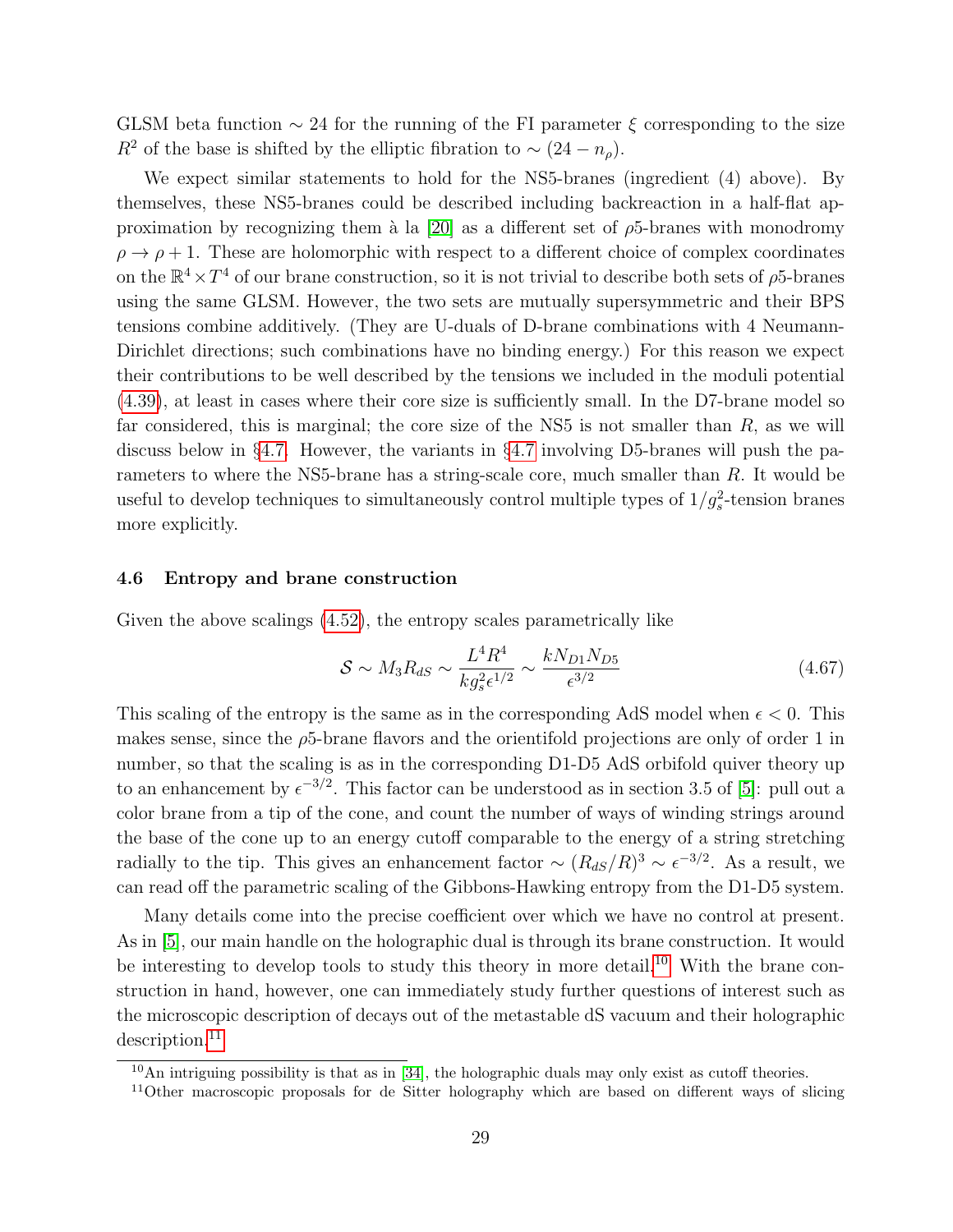GLSM beta function  $\sim$  24 for the running of the FI parameter  $\xi$  corresponding to the size  $R^2$  of the base is shifted by the elliptic fibration to ~  $(24 - n_\rho)$ .

We expect similar statements to hold for the NS5-branes (ingredient (4) above). By themselves, these NS5-branes could be described including backreaction in a half-flat ap-proximation by recognizing them à la [\[20\]](#page-35-3) as a different set of  $\rho$ 5-branes with monodromy  $\rho \rightarrow \rho + 1$ . These are holomorphic with respect to a different choice of complex coordinates on the  $\mathbb{R}^4 \times T^4$  of our brane construction, so it is not trivial to describe both sets of  $\rho$ 5-branes using the same GLSM. However, the two sets are mutually supersymmetric and their BPS tensions combine additively. (They are U-duals of D-brane combinations with 4 Neumann-Dirichlet directions; such combinations have no binding energy.) For this reason we expect their contributions to be well described by the tensions we included in the moduli potential [\(4.39\)](#page-18-1), at least in cases where their core size is sufficiently small. In the D7-brane model so far considered, this is marginal; the core size of the NS5 is not smaller than  $R$ , as we will discuss below in §[4.7.](#page-30-0) However, the variants in §[4.7](#page-30-0) involving D5-branes will push the parameters to where the NS5-brane has a string-scale core, much smaller than R. It would be useful to develop techniques to simultaneously control multiple types of  $1/g_s^2$ -tension branes more explicitly.

#### <span id="page-29-0"></span>4.6 Entropy and brane construction

Given the above scalings [\(4.52\)](#page-21-3), the entropy scales parametrically like

$$
S \sim M_3 R_{dS} \sim \frac{L^4 R^4}{k g_s^2 \epsilon^{1/2}} \sim \frac{k N_{D1} N_{D5}}{\epsilon^{3/2}} \tag{4.67}
$$

This scaling of the entropy is the same as in the corresponding AdS model when  $\epsilon < 0$ . This makes sense, since the  $\rho$ 5-brane flavors and the orientifold projections are only of order 1 in number, so that the scaling is as in the corresponding D1-D5 AdS orbifold quiver theory up to an enhancement by  $\epsilon^{-3/2}$ . This factor can be understood as in section 3.5 of [\[5\]](#page-33-4): pull out a color brane from a tip of the cone, and count the number of ways of winding strings around the base of the cone up to an energy cutoff comparable to the energy of a string stretching radially to the tip. This gives an enhancement factor  $\sim (R_{dS}/R)^3 \sim \epsilon^{-3/2}$ . As a result, we can read off the parametric scaling of the Gibbons-Hawking entropy from the D1-D5 system.

Many details come into the precise coefficient over which we have no control at present. As in [\[5\]](#page-33-4), our main handle on the holographic dual is through its brane construction. It would be interesting to develop tools to study this theory in more detail.<sup>[10](#page-29-1)</sup> With the brane construction in hand, however, one can immediately study further questions of interest such as the microscopic description of decays out of the metastable dS vacuum and their holographic description.<sup>[11](#page-29-2)</sup>

<span id="page-29-1"></span> $10$ An intriguing possibility is that as in [\[34\]](#page-37-5), the holographic duals may only exist as cutoff theories.

<span id="page-29-2"></span><sup>&</sup>lt;sup>11</sup>Other macroscopic proposals for de Sitter holography which are based on different ways of slicing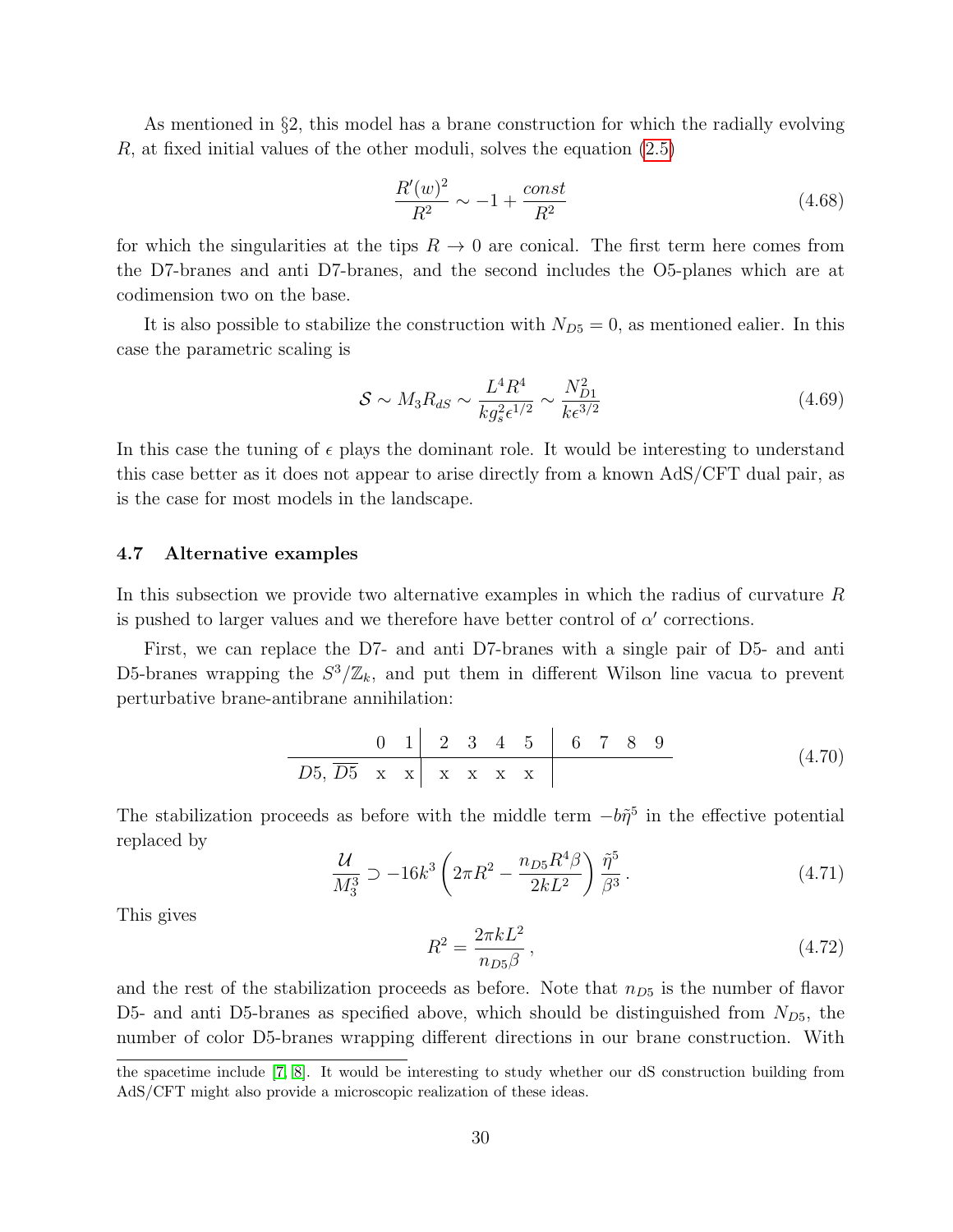As mentioned in §2, this model has a brane construction for which the radially evolving R, at fixed initial values of the other moduli, solves the equation [\(2.5\)](#page-4-0)

$$
\frac{R'(w)^2}{R^2} \sim -1 + \frac{const}{R^2}
$$
\n(4.68)

for which the singularities at the tips  $R \to 0$  are conical. The first term here comes from the D7-branes and anti D7-branes, and the second includes the O5-planes which are at codimension two on the base.

It is also possible to stabilize the construction with  $N_{D5} = 0$ , as mentioned ealier. In this case the parametric scaling is

$$
S \sim M_3 R_{dS} \sim \frac{L^4 R^4}{k g_s^2 \epsilon^{1/2}} \sim \frac{N_{D1}^2}{k \epsilon^{3/2}}
$$
(4.69)

In this case the tuning of  $\epsilon$  plays the dominant role. It would be interesting to understand this case better as it does not appear to arise directly from a known AdS/CFT dual pair, as is the case for most models in the landscape.

#### <span id="page-30-0"></span>4.7 Alternative examples

In this subsection we provide two alternative examples in which the radius of curvature R is pushed to larger values and we therefore have better control of  $\alpha'$  corrections.

First, we can replace the D7- and anti D7-branes with a single pair of D5- and anti D5-branes wrapping the  $S^3/\mathbb{Z}_k$ , and put them in different Wilson line vacua to prevent perturbative brane-antibrane annihilation:

0 1 2 3 4 5 6 7 8 9 D5, D5 x x x x x x (4.70)

The stabilization proceeds as before with the middle term  $-b\tilde{\eta}^5$  in the effective potential replaced by

$$
\frac{\mathcal{U}}{M_3^3} \supset -16k^3 \left(2\pi R^2 - \frac{n_{D5}R^4\beta}{2k^2}\right) \frac{\tilde{\eta}^5}{\beta^3} \,. \tag{4.71}
$$

This gives

$$
R^2 = \frac{2\pi k L^2}{n_{D5}\beta} \,,\tag{4.72}
$$

and the rest of the stabilization proceeds as before. Note that  $n_{D5}$  is the number of flavor D5- and anti D5-branes as specified above, which should be distinguished from  $N_{D5}$ , the number of color D5-branes wrapping different directions in our brane construction. With

the spacetime include [\[7,](#page-34-0) [8\]](#page-34-1). It would be interesting to study whether our dS construction building from AdS/CFT might also provide a microscopic realization of these ideas.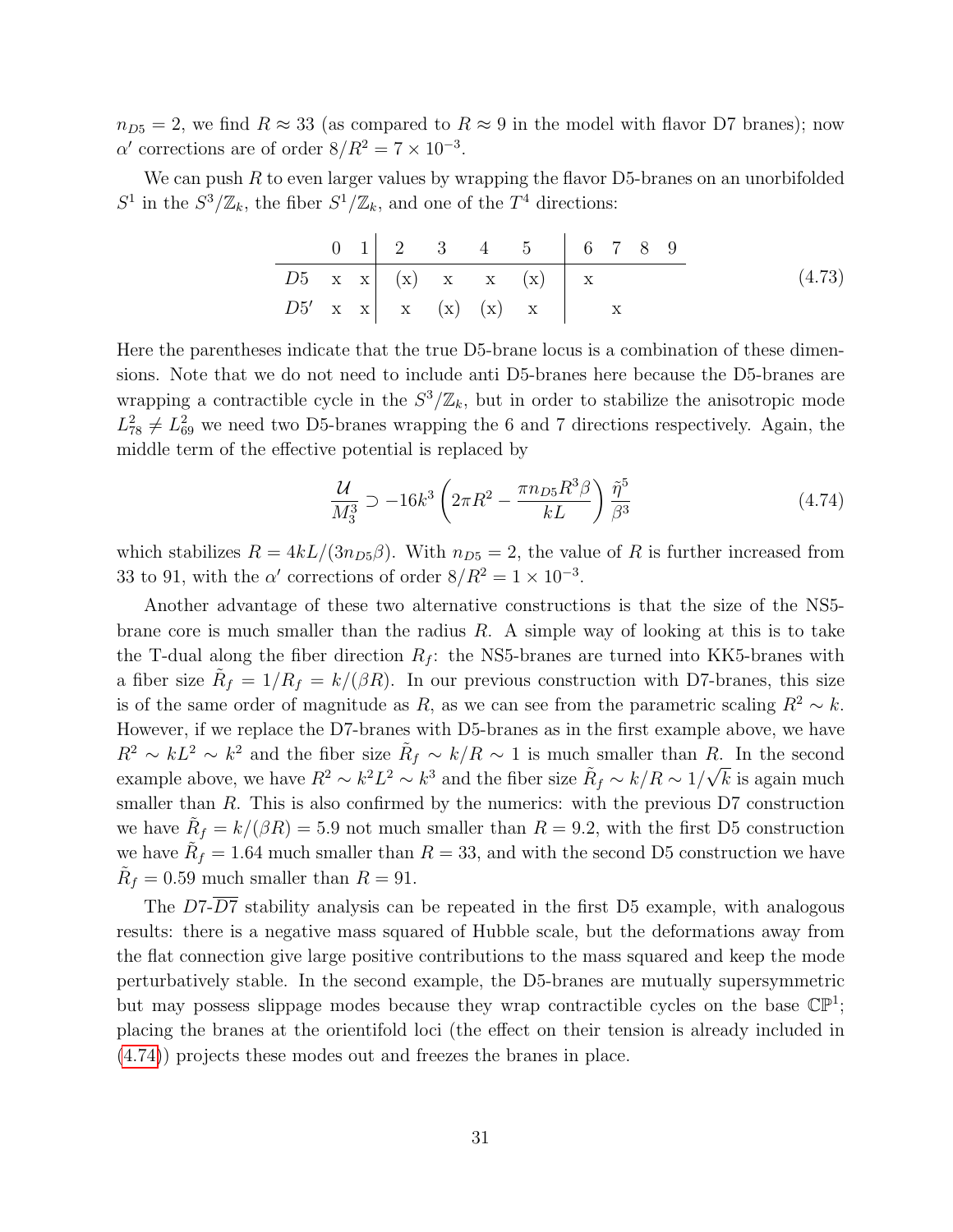$n_{D5} = 2$ , we find  $R \approx 33$  (as compared to  $R \approx 9$  in the model with flavor D7 branes); now  $\alpha'$  corrections are of order  $8/R^2 = 7 \times 10^{-3}$ .

We can push  $R$  to even larger values by wrapping the flavor D5-branes on an unorbifolded  $S^1$  in the  $S^3/\mathbb{Z}_k$ , the fiber  $S^1/\mathbb{Z}_k$ , and one of the  $T^4$  directions:

$$
\begin{array}{c|ccccccccc}\n0 & 1 & 2 & 3 & 4 & 5 & 6 & 7 & 8 & 9 \\
\hline\nD5 & x & x & (x) & x & (x) & x & (4.73) \\
D5' & x & x & (x) & (x) & x & x & (x) \\
\end{array}
$$

Here the parentheses indicate that the true D5-brane locus is a combination of these dimensions. Note that we do not need to include anti D5-branes here because the D5-branes are wrapping a contractible cycle in the  $S^3/\mathbb{Z}_k$ , but in order to stabilize the anisotropic mode  $L_{78}^2 \neq L_{69}^2$  we need two D5-branes wrapping the 6 and 7 directions respectively. Again, the middle term of the effective potential is replaced by

<span id="page-31-0"></span>
$$
\frac{\mathcal{U}}{M_3^3} \supset -16k^3 \left(2\pi R^2 - \frac{\pi n_{D5}R^3\beta}{kL}\right) \frac{\tilde{\eta}^5}{\beta^3} \tag{4.74}
$$

which stabilizes  $R = 4kL/(3n_{D5}\beta)$ . With  $n_{D5} = 2$ , the value of R is further increased from 33 to 91, with the  $\alpha'$  corrections of order  $8/R^2 = 1 \times 10^{-3}$ .

Another advantage of these two alternative constructions is that the size of the NS5 brane core is much smaller than the radius  $R$ . A simple way of looking at this is to take the T-dual along the fiber direction  $R_f$ : the NS5-branes are turned into KK5-branes with a fiber size  $\tilde{R}_f = 1/R_f = k/(\beta R)$ . In our previous construction with D7-branes, this size is of the same order of magnitude as R, as we can see from the parametric scaling  $R^2 \sim k$ . However, if we replace the D7-branes with D5-branes as in the first example above, we have  $R^2 \sim kL^2 \sim k^2$  and the fiber size  $\tilde{R}_f \sim k/R \sim 1$  is much smaller than R. In the second example above, we have  $R^2 \sim k^2 L^2 \sim k^3$  and the fiber size  $\tilde{R}_f \sim k/R \sim 1/\sqrt{k}$  is again much smaller than  $R$ . This is also confirmed by the numerics: with the previous  $D7$  construction we have  $\tilde{R}_f = k/(\beta R) = 5.9$  not much smaller than  $R = 9.2$ , with the first D5 construction we have  $\tilde{R}_f = 1.64$  much smaller than  $R = 33$ , and with the second D5 construction we have  $\tilde{R}_f = 0.59$  much smaller than  $R = 91$ .

The  $D7-\overline{D7}$  stability analysis can be repeated in the first D5 example, with analogous results: there is a negative mass squared of Hubble scale, but the deformations away from the flat connection give large positive contributions to the mass squared and keep the mode perturbatively stable. In the second example, the D5-branes are mutually supersymmetric but may possess slippage modes because they wrap contractible cycles on the base  $\mathbb{CP}^1$ ; placing the branes at the orientifold loci (the effect on their tension is already included in [\(4.74\)](#page-31-0)) projects these modes out and freezes the branes in place.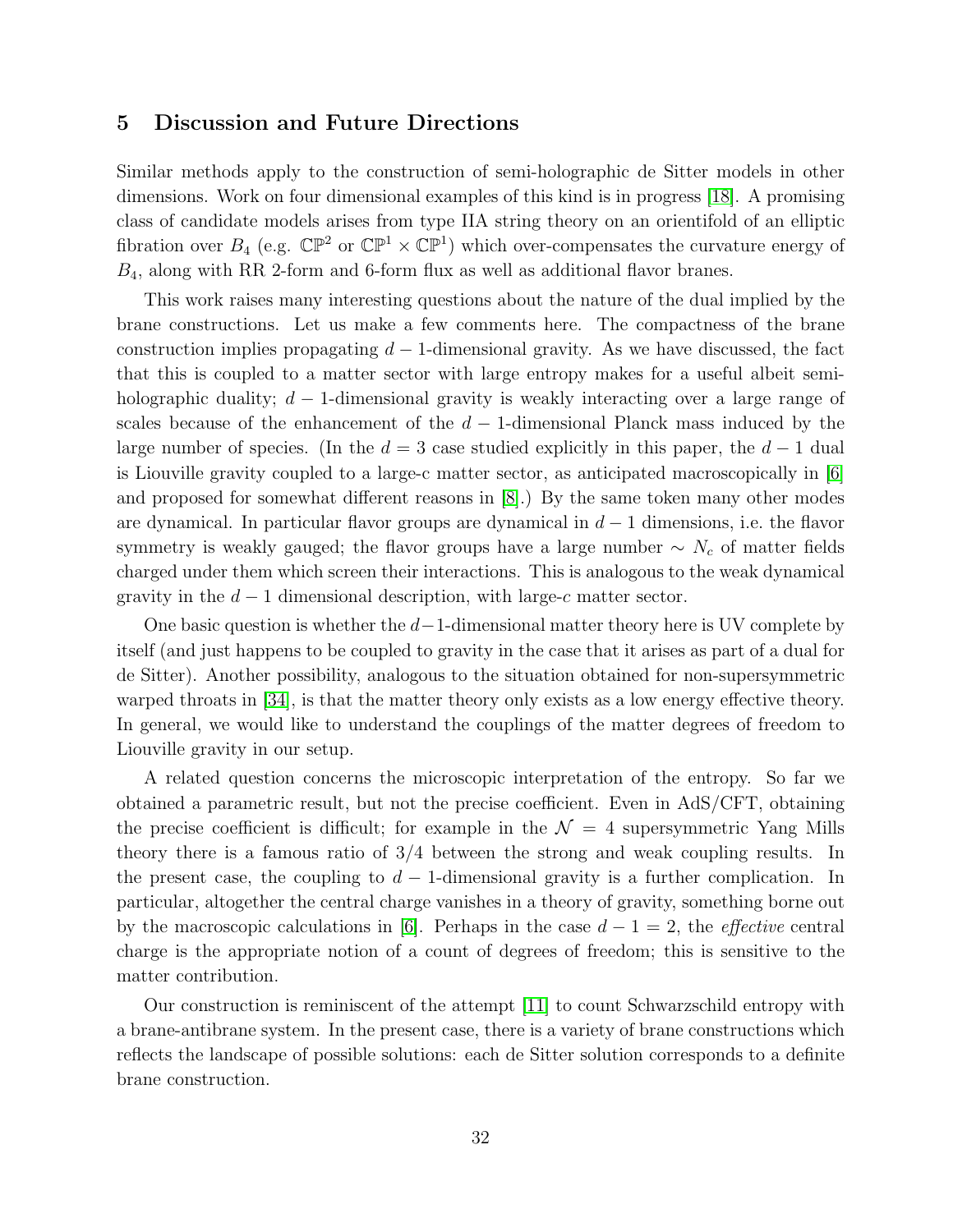## <span id="page-32-0"></span>5 Discussion and Future Directions

Similar methods apply to the construction of semi-holographic de Sitter models in other dimensions. Work on four dimensional examples of this kind is in progress [\[18\]](#page-35-1). A promising class of candidate models arises from type IIA string theory on an orientifold of an elliptic fibration over  $B_4$  (e.g.  $\mathbb{CP}^2$  or  $\mathbb{CP}^1 \times \mathbb{CP}^1$ ) which over-compensates the curvature energy of  $B_4$ , along with RR 2-form and 6-form flux as well as additional flavor branes.

This work raises many interesting questions about the nature of the dual implied by the brane constructions. Let us make a few comments here. The compactness of the brane construction implies propagating  $d-1$ -dimensional gravity. As we have discussed, the fact that this is coupled to a matter sector with large entropy makes for a useful albeit semiholographic duality;  $d-1$ -dimensional gravity is weakly interacting over a large range of scales because of the enhancement of the  $d-1$ -dimensional Planck mass induced by the large number of species. (In the  $d = 3$  case studied explicitly in this paper, the  $d - 1$  dual is Liouville gravity coupled to a large-c matter sector, as anticipated macroscopically in [\[6\]](#page-33-5) and proposed for somewhat different reasons in [\[8\]](#page-34-1).) By the same token many other modes are dynamical. In particular flavor groups are dynamical in  $d-1$  dimensions, i.e. the flavor symmetry is weakly gauged; the flavor groups have a large number  $\sim N_c$  of matter fields charged under them which screen their interactions. This is analogous to the weak dynamical gravity in the  $d-1$  dimensional description, with large-c matter sector.

One basic question is whether the  $d-1$ -dimensional matter theory here is UV complete by itself (and just happens to be coupled to gravity in the case that it arises as part of a dual for de Sitter). Another possibility, analogous to the situation obtained for non-supersymmetric warped throats in [\[34\]](#page-37-5), is that the matter theory only exists as a low energy effective theory. In general, we would like to understand the couplings of the matter degrees of freedom to Liouville gravity in our setup.

A related question concerns the microscopic interpretation of the entropy. So far we obtained a parametric result, but not the precise coefficient. Even in AdS/CFT, obtaining the precise coefficient is difficult; for example in the  $\mathcal{N} = 4$  supersymmetric Yang Mills theory there is a famous ratio of 3/4 between the strong and weak coupling results. In the present case, the coupling to  $d-1$ -dimensional gravity is a further complication. In particular, altogether the central charge vanishes in a theory of gravity, something borne out by the macroscopic calculations in [\[6\]](#page-33-5). Perhaps in the case  $d-1=2$ , the *effective* central charge is the appropriate notion of a count of degrees of freedom; this is sensitive to the matter contribution.

Our construction is reminiscent of the attempt [\[11\]](#page-34-3) to count Schwarzschild entropy with a brane-antibrane system. In the present case, there is a variety of brane constructions which reflects the landscape of possible solutions: each de Sitter solution corresponds to a definite brane construction.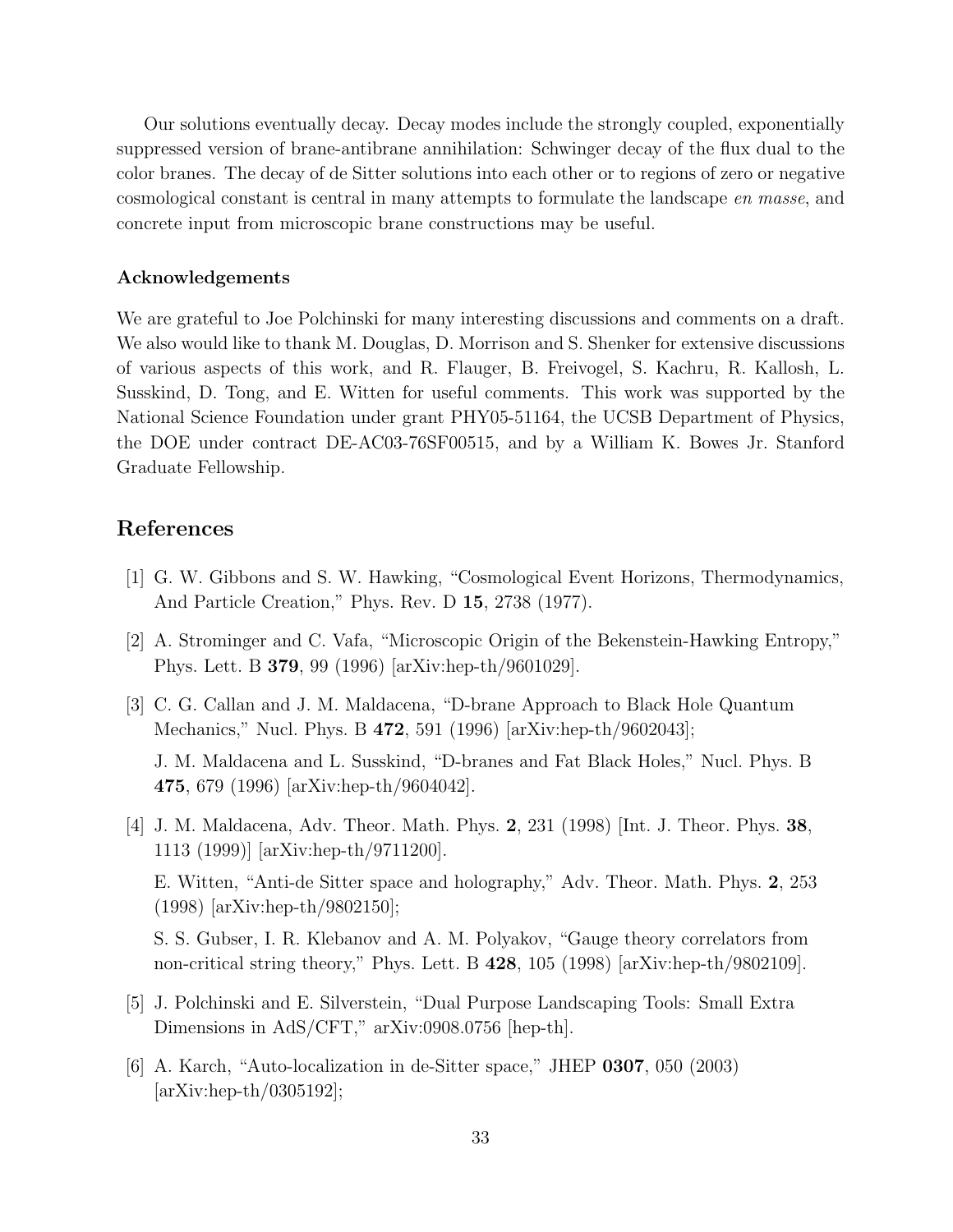Our solutions eventually decay. Decay modes include the strongly coupled, exponentially suppressed version of brane-antibrane annihilation: Schwinger decay of the flux dual to the color branes. The decay of de Sitter solutions into each other or to regions of zero or negative cosmological constant is central in many attempts to formulate the landscape en masse, and concrete input from microscopic brane constructions may be useful.

#### Acknowledgements

We are grateful to Joe Polchinski for many interesting discussions and comments on a draft. We also would like to thank M. Douglas, D. Morrison and S. Shenker for extensive discussions of various aspects of this work, and R. Flauger, B. Freivogel, S. Kachru, R. Kallosh, L. Susskind, D. Tong, and E. Witten for useful comments. This work was supported by the National Science Foundation under grant PHY05-51164, the UCSB Department of Physics, the DOE under contract DE-AC03-76SF00515, and by a William K. Bowes Jr. Stanford Graduate Fellowship.

## References

- <span id="page-33-0"></span>[1] G. W. Gibbons and S. W. Hawking, "Cosmological Event Horizons, Thermodynamics, And Particle Creation," Phys. Rev. D 15, 2738 (1977).
- <span id="page-33-1"></span>[2] A. Strominger and C. Vafa, "Microscopic Origin of the Bekenstein-Hawking Entropy," Phys. Lett. B 379, 99 (1996) [arXiv:hep-th/9601029].
- <span id="page-33-2"></span>[3] C. G. Callan and J. M. Maldacena, "D-brane Approach to Black Hole Quantum Mechanics," Nucl. Phys. B 472, 591 (1996) [arXiv:hep-th/9602043]; J. M. Maldacena and L. Susskind, "D-branes and Fat Black Holes," Nucl. Phys. B 475, 679 (1996) [arXiv:hep-th/9604042].
- <span id="page-33-3"></span>[4] J. M. Maldacena, Adv. Theor. Math. Phys. 2, 231 (1998) [Int. J. Theor. Phys. 38, 1113 (1999)] [arXiv:hep-th/9711200]. E. Witten, "Anti-de Sitter space and holography," Adv. Theor. Math. Phys. 2, 253 (1998) [arXiv:hep-th/9802150]; S. S. Gubser, I. R. Klebanov and A. M. Polyakov, "Gauge theory correlators from

non-critical string theory," Phys. Lett. B 428, 105 (1998) [arXiv:hep-th/9802109].

- <span id="page-33-4"></span>[5] J. Polchinski and E. Silverstein, "Dual Purpose Landscaping Tools: Small Extra Dimensions in AdS/CFT," arXiv:0908.0756 [hep-th].
- <span id="page-33-5"></span>[6] A. Karch, "Auto-localization in de-Sitter space," JHEP 0307, 050 (2003)  $\arXiv:hep-th/0305192$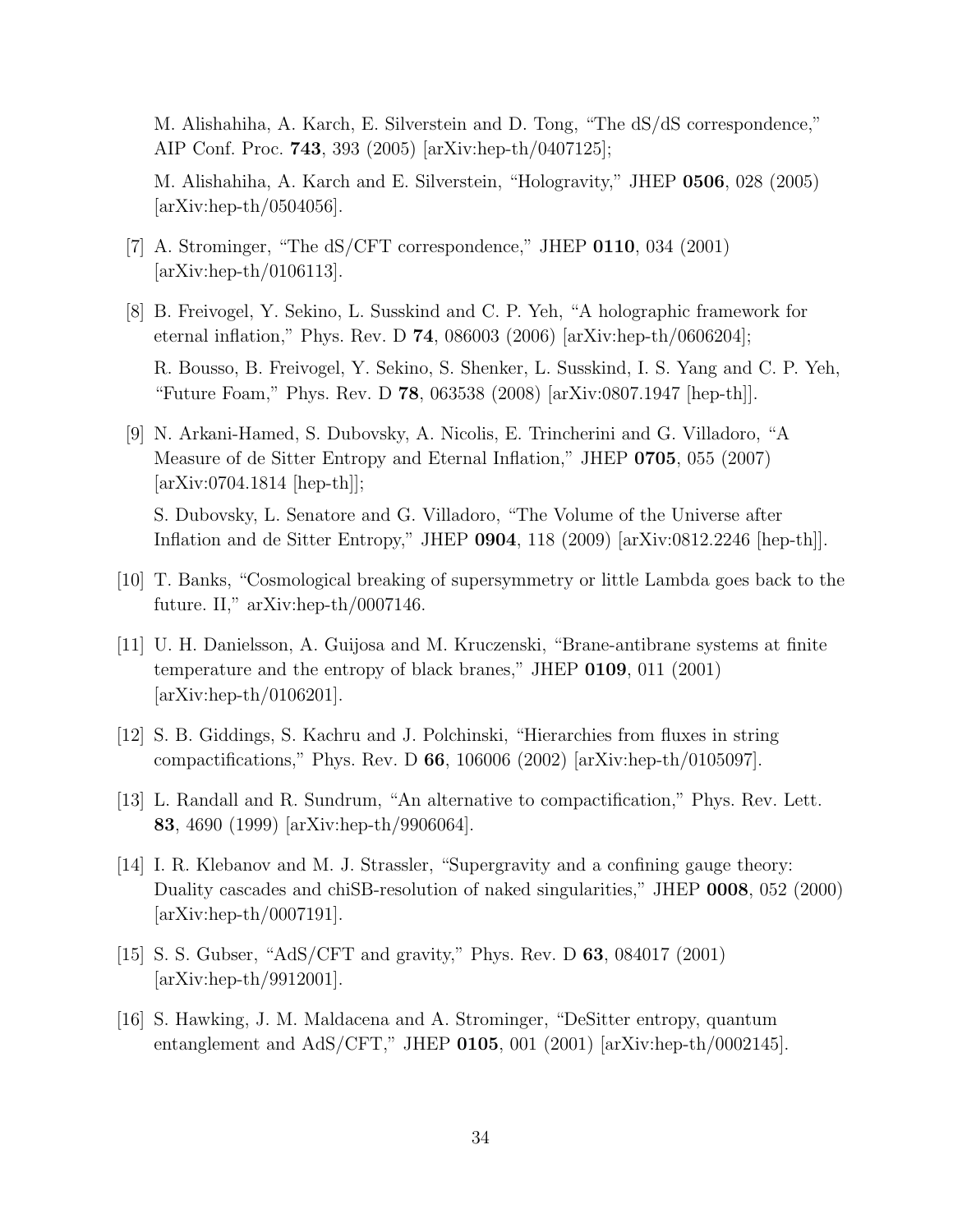M. Alishahiha, A. Karch, E. Silverstein and D. Tong, "The dS/dS correspondence," AIP Conf. Proc. 743, 393 (2005) [arXiv:hep-th/0407125];

M. Alishahiha, A. Karch and E. Silverstein, "Hologravity," JHEP 0506, 028 (2005)  $\arXiv:hep-th/0504056$ .

- <span id="page-34-0"></span>[7] A. Strominger, "The dS/CFT correspondence," JHEP 0110, 034 (2001) [arXiv:hep-th/0106113].
- <span id="page-34-1"></span>[8] B. Freivogel, Y. Sekino, L. Susskind and C. P. Yeh, "A holographic framework for eternal inflation," Phys. Rev. D 74, 086003 (2006) [arXiv:hep-th/0606204]; R. Bousso, B. Freivogel, Y. Sekino, S. Shenker, L. Susskind, I. S. Yang and C. P. Yeh, "Future Foam," Phys. Rev. D 78, 063538 (2008) [arXiv:0807.1947 [hep-th]].
- <span id="page-34-2"></span>[9] N. Arkani-Hamed, S. Dubovsky, A. Nicolis, E. Trincherini and G. Villadoro, "A Measure of de Sitter Entropy and Eternal Inflation," JHEP 0705, 055 (2007) [arXiv:0704.1814 [hep-th]];

S. Dubovsky, L. Senatore and G. Villadoro, "The Volume of the Universe after Inflation and de Sitter Entropy," JHEP 0904, 118 (2009) [arXiv:0812.2246 [hep-th]].

- <span id="page-34-9"></span>[10] T. Banks, "Cosmological breaking of supersymmetry or little Lambda goes back to the future. II," arXiv:hep-th/0007146.
- <span id="page-34-3"></span>[11] U. H. Danielsson, A. Guijosa and M. Kruczenski, "Brane-antibrane systems at finite temperature and the entropy of black branes," JHEP 0109, 011 (2001) [arXiv:hep-th/0106201].
- <span id="page-34-4"></span>[12] S. B. Giddings, S. Kachru and J. Polchinski, "Hierarchies from fluxes in string compactifications," Phys. Rev. D 66, 106006 (2002) [arXiv:hep-th/0105097].
- <span id="page-34-5"></span>[13] L. Randall and R. Sundrum, "An alternative to compactification," Phys. Rev. Lett. 83, 4690 (1999) [arXiv:hep-th/9906064].
- <span id="page-34-6"></span>[14] I. R. Klebanov and M. J. Strassler, "Supergravity and a confining gauge theory: Duality cascades and chiSB-resolution of naked singularities," JHEP 0008, 052 (2000) [arXiv:hep-th/0007191].
- <span id="page-34-7"></span>[15] S. S. Gubser, "AdS/CFT and gravity," Phys. Rev. D 63, 084017 (2001) [arXiv:hep-th/9912001].
- <span id="page-34-8"></span>[16] S. Hawking, J. M. Maldacena and A. Strominger, "DeSitter entropy, quantum entanglement and AdS/CFT," JHEP 0105, 001 (2001) [arXiv:hep-th/0002145].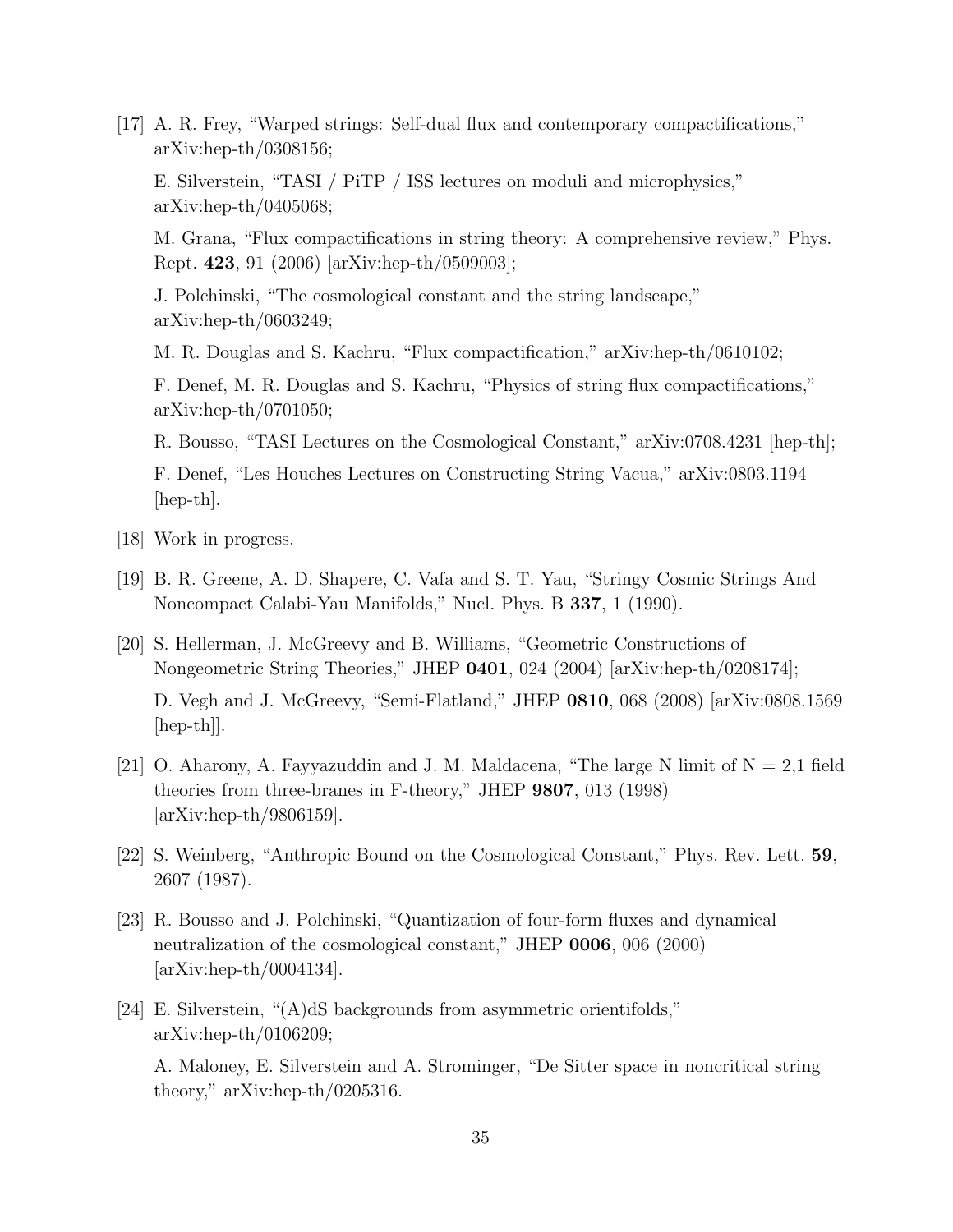<span id="page-35-0"></span>[17] A. R. Frey, "Warped strings: Self-dual flux and contemporary compactifications," arXiv:hep-th/0308156;

E. Silverstein, "TASI / PiTP / ISS lectures on moduli and microphysics," arXiv:hep-th/0405068;

M. Grana, "Flux compactifications in string theory: A comprehensive review," Phys. Rept. 423, 91 (2006) [arXiv:hep-th/0509003];

J. Polchinski, "The cosmological constant and the string landscape," arXiv:hep-th/0603249;

M. R. Douglas and S. Kachru, "Flux compactification," arXiv:hep-th/0610102;

F. Denef, M. R. Douglas and S. Kachru, "Physics of string flux compactifications," arXiv:hep-th/0701050;

R. Bousso, "TASI Lectures on the Cosmological Constant," arXiv:0708.4231 [hep-th];

F. Denef, "Les Houches Lectures on Constructing String Vacua," arXiv:0803.1194  $\vert$ hep-th $\vert$ .

- <span id="page-35-1"></span>[18] Work in progress.
- <span id="page-35-2"></span>[19] B. R. Greene, A. D. Shapere, C. Vafa and S. T. Yau, "Stringy Cosmic Strings And Noncompact Calabi-Yau Manifolds," Nucl. Phys. B 337, 1 (1990).
- <span id="page-35-3"></span>[20] S. Hellerman, J. McGreevy and B. Williams, "Geometric Constructions of Nongeometric String Theories," JHEP 0401, 024 (2004) [arXiv:hep-th/0208174]; D. Vegh and J. McGreevy, "Semi-Flatland," JHEP 0810, 068 (2008) [arXiv:0808.1569 [hep-th]].
- <span id="page-35-4"></span>[21] O. Aharony, A. Fayyazuddin and J. M. Maldacena, "The large N limit of  $N = 2.1$  field theories from three-branes in F-theory," JHEP 9807, 013 (1998) [arXiv:hep-th/9806159].
- <span id="page-35-5"></span>[22] S. Weinberg, "Anthropic Bound on the Cosmological Constant," Phys. Rev. Lett. 59, 2607 (1987).
- <span id="page-35-6"></span>[23] R. Bousso and J. Polchinski, "Quantization of four-form fluxes and dynamical neutralization of the cosmological constant," JHEP 0006, 006 (2000)  $\arXiv:hep-th/0004134$ .
- <span id="page-35-7"></span>[24] E. Silverstein, "(A)dS backgrounds from asymmetric orientifolds," arXiv:hep-th/0106209;

A. Maloney, E. Silverstein and A. Strominger, "De Sitter space in noncritical string theory," arXiv:hep-th/0205316.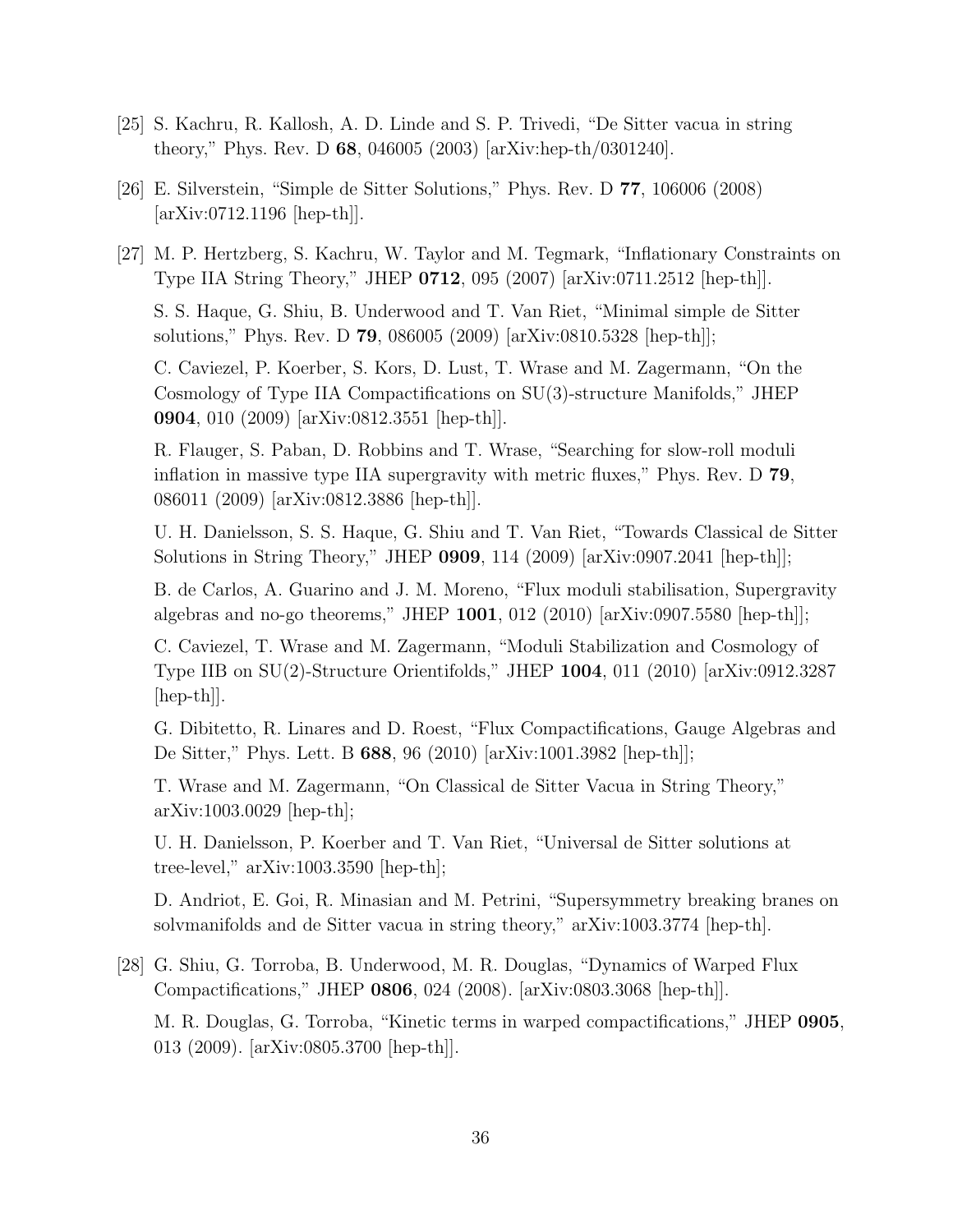- <span id="page-36-0"></span>[25] S. Kachru, R. Kallosh, A. D. Linde and S. P. Trivedi, "De Sitter vacua in string theory," Phys. Rev. D 68, 046005 (2003) [arXiv:hep-th/0301240].
- <span id="page-36-1"></span>[26] E. Silverstein, "Simple de Sitter Solutions," Phys. Rev. D 77, 106006 (2008) [arXiv:0712.1196 [hep-th]].
- <span id="page-36-2"></span>[27] M. P. Hertzberg, S. Kachru, W. Taylor and M. Tegmark, "Inflationary Constraints on Type IIA String Theory," JHEP 0712, 095 (2007) [arXiv:0711.2512 [hep-th]].

S. S. Haque, G. Shiu, B. Underwood and T. Van Riet, "Minimal simple de Sitter solutions," Phys. Rev. D 79, 086005 (2009) [arXiv:0810.5328 [hep-th]];

C. Caviezel, P. Koerber, S. Kors, D. Lust, T. Wrase and M. Zagermann, "On the Cosmology of Type IIA Compactifications on SU(3)-structure Manifolds," JHEP 0904, 010 (2009) [arXiv:0812.3551 [hep-th]].

R. Flauger, S. Paban, D. Robbins and T. Wrase, "Searching for slow-roll moduli inflation in massive type IIA supergravity with metric fluxes," Phys. Rev. D 79, 086011 (2009) [arXiv:0812.3886 [hep-th]].

U. H. Danielsson, S. S. Haque, G. Shiu and T. Van Riet, "Towards Classical de Sitter Solutions in String Theory," JHEP 0909, 114 (2009) [arXiv:0907.2041 [hep-th]];

B. de Carlos, A. Guarino and J. M. Moreno, "Flux moduli stabilisation, Supergravity algebras and no-go theorems," JHEP 1001, 012 (2010) [arXiv:0907.5580 [hep-th]];

C. Caviezel, T. Wrase and M. Zagermann, "Moduli Stabilization and Cosmology of Type IIB on SU(2)-Structure Orientifolds," JHEP 1004, 011 (2010) [arXiv:0912.3287 [hep-th]].

G. Dibitetto, R. Linares and D. Roest, "Flux Compactifications, Gauge Algebras and De Sitter," Phys. Lett. B 688, 96 (2010) [arXiv:1001.3982 [hep-th]];

T. Wrase and M. Zagermann, "On Classical de Sitter Vacua in String Theory," arXiv:1003.0029 [hep-th];

U. H. Danielsson, P. Koerber and T. Van Riet, "Universal de Sitter solutions at tree-level," arXiv:1003.3590 [hep-th];

D. Andriot, E. Goi, R. Minasian and M. Petrini, "Supersymmetry breaking branes on solvmanifolds and de Sitter vacua in string theory," arXiv:1003.3774 [hep-th].

<span id="page-36-3"></span>[28] G. Shiu, G. Torroba, B. Underwood, M. R. Douglas, "Dynamics of Warped Flux Compactifications," JHEP 0806, 024 (2008). [arXiv:0803.3068 [hep-th]]. M. R. Douglas, G. Torroba, "Kinetic terms in warped compactifications," JHEP 0905, 013 (2009). [arXiv:0805.3700 [hep-th]].